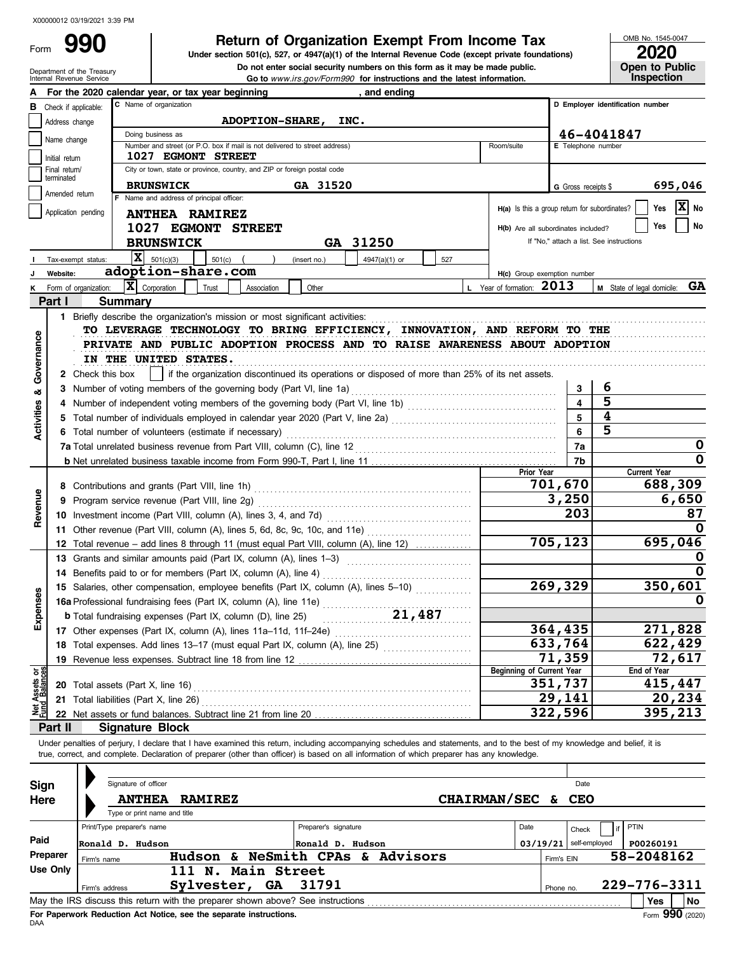Form

# **990 2000 Return of Organization Exempt From Income Tax 2010 2020 2020 2020 2020 2020 2020 2020 2020 2020 2020 2020 2020 2020 2020 2020 2020 2020 2020 2020 2020 2020 2020**

De not enter social security numbers on this form as it may be made published and the Treasury<br>Internal Revenue Service<br>Go to *www.irs.gov/Form990* for instructions and the latest information. Do not enter social security numbers on this form as it may be made public. **Under section 501(c), 527, or 4947(a)(1) of the Internal Revenue Code (except private foundations)** OMB No. 1545-0047

| ZUZU                  |
|-----------------------|
| <b>Open to Public</b> |
| <b>Inspection</b>     |

|                                                                                         |                             | For the 2020 calendar year, or tax year beginning                                                                                                                                                                                                                                                                        | and ending                                                                                      |                                               |                         |                                          |  |  |
|-----------------------------------------------------------------------------------------|-----------------------------|--------------------------------------------------------------------------------------------------------------------------------------------------------------------------------------------------------------------------------------------------------------------------------------------------------------------------|-------------------------------------------------------------------------------------------------|-----------------------------------------------|-------------------------|------------------------------------------|--|--|
| C Name of organization<br>D Employer identification number<br>Check if applicable:<br>в |                             |                                                                                                                                                                                                                                                                                                                          |                                                                                                 |                                               |                         |                                          |  |  |
|                                                                                         | Address change              | ADOPTION-SHARE, INC.                                                                                                                                                                                                                                                                                                     |                                                                                                 |                                               |                         |                                          |  |  |
|                                                                                         | Name change                 | Doing business as                                                                                                                                                                                                                                                                                                        |                                                                                                 |                                               |                         | 46-4041847                               |  |  |
|                                                                                         |                             | Number and street (or P.O. box if mail is not delivered to street address)                                                                                                                                                                                                                                               | Room/suite                                                                                      | E Telephone number                            |                         |                                          |  |  |
|                                                                                         | Initial return              | <b>1027 EGMONT STREET</b>                                                                                                                                                                                                                                                                                                |                                                                                                 |                                               |                         |                                          |  |  |
|                                                                                         | Final return/<br>terminated | City or town, state or province, country, and ZIP or foreign postal code                                                                                                                                                                                                                                                 |                                                                                                 |                                               |                         |                                          |  |  |
|                                                                                         | Amended return              | <b>BRUNSWICK</b>                                                                                                                                                                                                                                                                                                         | GA 31520                                                                                        |                                               | G Gross receipts \$     | 695,046                                  |  |  |
|                                                                                         |                             | F Name and address of principal officer:                                                                                                                                                                                                                                                                                 |                                                                                                 | H(a) Is this a group return for subordinates? |                         | $\overline{\mathbf{x}}$<br>Yes<br>No     |  |  |
|                                                                                         | Application pending         | <b>ANTHEA RAMIREZ</b>                                                                                                                                                                                                                                                                                                    |                                                                                                 |                                               |                         |                                          |  |  |
|                                                                                         |                             | 1027 EGMONT STREET                                                                                                                                                                                                                                                                                                       |                                                                                                 | H(b) Are all subordinates included?           |                         | No<br>Yes                                |  |  |
|                                                                                         |                             | <b>BRUNSWICK</b>                                                                                                                                                                                                                                                                                                         | GA 31250                                                                                        |                                               |                         | If "No," attach a list. See instructions |  |  |
|                                                                                         |                             | X <br>501(c)(3)<br>$501(c)$ (<br>(insert no.)<br>Tax-exempt status:                                                                                                                                                                                                                                                      | 4947(a)(1) or<br>527                                                                            |                                               |                         |                                          |  |  |
|                                                                                         | Website:                    | adoption-share.com                                                                                                                                                                                                                                                                                                       |                                                                                                 | H(c) Group exemption number                   |                         |                                          |  |  |
|                                                                                         |                             | $ \mathbf{X} $ Corporation<br>Trust<br>Form of organization:<br>Association                                                                                                                                                                                                                                              | Other                                                                                           | L Year of formation: 2013                     |                         | GA<br>M State of legal domicile:         |  |  |
|                                                                                         | Part I                      | <b>Summary</b>                                                                                                                                                                                                                                                                                                           |                                                                                                 |                                               |                         |                                          |  |  |
|                                                                                         |                             | 1 Briefly describe the organization's mission or most significant activities:                                                                                                                                                                                                                                            |                                                                                                 |                                               |                         |                                          |  |  |
|                                                                                         |                             | TO LEVERAGE TECHNOLOGY TO BRING EFFICIENCY, INNOVATION, AND REFORM TO THE                                                                                                                                                                                                                                                |                                                                                                 |                                               |                         |                                          |  |  |
|                                                                                         |                             | PRIVATE AND PUBLIC ADOPTION PROCESS AND TO RAISE AWARENESS ABOUT ADOPTION                                                                                                                                                                                                                                                |                                                                                                 |                                               |                         |                                          |  |  |
| Governance                                                                              |                             | IN THE UNITED STATES.                                                                                                                                                                                                                                                                                                    |                                                                                                 |                                               |                         |                                          |  |  |
|                                                                                         |                             |                                                                                                                                                                                                                                                                                                                          |                                                                                                 |                                               |                         |                                          |  |  |
|                                                                                         |                             | 2 Check this box                                                                                                                                                                                                                                                                                                         | if the organization discontinued its operations or disposed of more than 25% of its net assets. |                                               |                         |                                          |  |  |
| ಹ                                                                                       |                             | 3 Number of voting members of the governing body (Part VI, line 1a)                                                                                                                                                                                                                                                      |                                                                                                 |                                               | 3                       | 6                                        |  |  |
| Activities                                                                              |                             | Number of independent voting members of the governing body (Part VI, line 1b) [11] [11] [11] [11] [11] [11] [1                                                                                                                                                                                                           |                                                                                                 |                                               | $\overline{\mathbf{4}}$ | $\overline{\mathbf{5}}$                  |  |  |
|                                                                                         |                             | 5 Total number of individuals employed in calendar year 2020 (Part V, line 2a) [11] [20] [11] [20] [11] [20] [                                                                                                                                                                                                           |                                                                                                 |                                               | 5                       | 4                                        |  |  |
|                                                                                         |                             | 6 Total number of volunteers (estimate if necessary)                                                                                                                                                                                                                                                                     |                                                                                                 |                                               | 6                       | 5                                        |  |  |
|                                                                                         |                             | 7a Total unrelated business revenue from Part VIII, column (C), line 12                                                                                                                                                                                                                                                  |                                                                                                 |                                               | 7a                      | 0                                        |  |  |
|                                                                                         |                             |                                                                                                                                                                                                                                                                                                                          |                                                                                                 |                                               | 7b                      | 0                                        |  |  |
|                                                                                         |                             |                                                                                                                                                                                                                                                                                                                          |                                                                                                 | Prior Year                                    |                         | <b>Current Year</b>                      |  |  |
|                                                                                         |                             |                                                                                                                                                                                                                                                                                                                          |                                                                                                 |                                               | 701,670                 | 688,309                                  |  |  |
|                                                                                         | 9                           |                                                                                                                                                                                                                                                                                                                          |                                                                                                 |                                               | 3,250                   | 6,650                                    |  |  |
| Revenue                                                                                 |                             |                                                                                                                                                                                                                                                                                                                          |                                                                                                 |                                               | 203                     | 87                                       |  |  |
|                                                                                         |                             |                                                                                                                                                                                                                                                                                                                          |                                                                                                 |                                               |                         | O                                        |  |  |
|                                                                                         |                             | 12 Total revenue - add lines 8 through 11 (must equal Part VIII, column (A), line 12)                                                                                                                                                                                                                                    |                                                                                                 | 705,123                                       | 695,046                 |                                          |  |  |
|                                                                                         |                             | 13 Grants and similar amounts paid (Part IX, column (A), lines 1-3) [1] [1] [1] [1] [1] [1] Grants and similar                                                                                                                                                                                                           |                                                                                                 |                                               |                         | o                                        |  |  |
|                                                                                         |                             | 14 Benefits paid to or for members (Part IX, column (A), line 4)                                                                                                                                                                                                                                                         |                                                                                                 |                                               |                         |                                          |  |  |
|                                                                                         |                             | 15 Salaries, other compensation, employee benefits (Part IX, column (A), lines 5-10)                                                                                                                                                                                                                                     |                                                                                                 |                                               | 269,329                 | 350,601                                  |  |  |
| xpenses                                                                                 |                             | 16a Professional fundraising fees (Part IX, column (A), line 11e)                                                                                                                                                                                                                                                        |                                                                                                 |                                               |                         |                                          |  |  |
|                                                                                         |                             | <b>b</b> Total fundraising expenses (Part IX, column (D), line 25)                                                                                                                                                                                                                                                       | 21,487                                                                                          |                                               |                         |                                          |  |  |
|                                                                                         |                             | 17 Other expenses (Part IX, column (A), lines 11a-11d, 11f-24e)                                                                                                                                                                                                                                                          |                                                                                                 |                                               | 364,435                 | 271,828                                  |  |  |
|                                                                                         |                             | 18 Total expenses. Add lines 13-17 (must equal Part IX, column (A), line 25) [[[[[[[[[[[[[[[[[[[[[[[[[[[[[[[[                                                                                                                                                                                                            |                                                                                                 |                                               | 633,764                 | 622,429                                  |  |  |
|                                                                                         |                             |                                                                                                                                                                                                                                                                                                                          |                                                                                                 |                                               | 71,359                  | 72,617                                   |  |  |
|                                                                                         |                             | 19 Revenue less expenses. Subtract line 18 from line 12                                                                                                                                                                                                                                                                  |                                                                                                 | <b>Beginning of Current Year</b>              |                         | End of Year                              |  |  |
| Net Assets or<br>Fund Balances                                                          |                             | 20 Total assets (Part X, line 16)                                                                                                                                                                                                                                                                                        |                                                                                                 |                                               | 351,737                 | 415,447                                  |  |  |
|                                                                                         |                             | 21 Total liabilities (Part X, line 26)                                                                                                                                                                                                                                                                                   |                                                                                                 |                                               | 29,141                  | 20,234                                   |  |  |
|                                                                                         |                             |                                                                                                                                                                                                                                                                                                                          |                                                                                                 |                                               | 322,596                 | 395,213                                  |  |  |
|                                                                                         | Part II                     | <b>Signature Block</b>                                                                                                                                                                                                                                                                                                   |                                                                                                 |                                               |                         |                                          |  |  |
|                                                                                         |                             |                                                                                                                                                                                                                                                                                                                          |                                                                                                 |                                               |                         |                                          |  |  |
|                                                                                         |                             | Under penalties of perjury, I declare that I have examined this return, including accompanying schedules and statements, and to the best of my knowledge and belief, it is<br>true, correct, and complete. Declaration of preparer (other than officer) is based on all information of which preparer has any knowledge. |                                                                                                 |                                               |                         |                                          |  |  |
|                                                                                         |                             |                                                                                                                                                                                                                                                                                                                          |                                                                                                 |                                               |                         |                                          |  |  |
|                                                                                         |                             | Signature of officer                                                                                                                                                                                                                                                                                                     |                                                                                                 |                                               |                         |                                          |  |  |
| <b>Sign</b>                                                                             |                             |                                                                                                                                                                                                                                                                                                                          |                                                                                                 |                                               | Date                    |                                          |  |  |
| Here                                                                                    |                             | <b>ANTHEA</b><br><b>RAMIREZ</b>                                                                                                                                                                                                                                                                                          |                                                                                                 | <b>CHAIRMAN/SEC</b>                           | <b>CEO</b><br>&         |                                          |  |  |
|                                                                                         |                             | Type or print name and title                                                                                                                                                                                                                                                                                             |                                                                                                 |                                               |                         |                                          |  |  |
|                                                                                         |                             | Print/Type preparer's name                                                                                                                                                                                                                                                                                               | Preparer's signature                                                                            | Date                                          | Check                   | PTIN<br>if                               |  |  |
| Paid                                                                                    |                             | Ronald D. Hudson                                                                                                                                                                                                                                                                                                         | Ronald D. Hudson                                                                                | 03/19/21                                      | self-employed           | P00260191                                |  |  |
|                                                                                         | Preparer                    | Hudson & NeSmith CPAs & Advisors<br>Firm's name                                                                                                                                                                                                                                                                          |                                                                                                 |                                               | Firm's EIN              | 58-2048162                               |  |  |
|                                                                                         | <b>Use Only</b>             | 111 N. Main Street                                                                                                                                                                                                                                                                                                       |                                                                                                 |                                               |                         |                                          |  |  |
|                                                                                         |                             | Sylvester, GA<br>Firm's address                                                                                                                                                                                                                                                                                          | 31791                                                                                           |                                               | Phone no.               | 229-776-3311                             |  |  |
|                                                                                         |                             |                                                                                                                                                                                                                                                                                                                          |                                                                                                 |                                               |                         | Yes<br>No                                |  |  |

|          |                                                                                                | Signature of officer         |                    |    |                           |                    |      |            | Date                     |              |
|----------|------------------------------------------------------------------------------------------------|------------------------------|--------------------|----|---------------------------|--------------------|------|------------|--------------------------|--------------|
| Sign     |                                                                                                |                              |                    |    |                           |                    |      |            |                          |              |
| Here     |                                                                                                | <b>ANTHEA</b>                | <b>RAMIREZ</b>     |    |                           | CHAIRMAN/SEC & CEO |      |            |                          |              |
|          |                                                                                                | Type or print name and title |                    |    |                           |                    |      |            |                          |              |
|          |                                                                                                | Print/Type preparer's name   |                    |    | Preparer's signature      |                    | Date |            | Check                    | PTIN         |
| Paid     |                                                                                                | Ronald D. Hudson             |                    |    | Ronald D. Hudson          |                    |      |            | $03/19/21$ self-employed | P00260191    |
| Preparer | Firm's name                                                                                    |                              | Hudson &           |    | <b>NeSmith CPAs &amp;</b> | <b>Advisors</b>    |      | Firm's EIN |                          | 58-2048162   |
| Use Only |                                                                                                |                              | 111 N. Main Street |    |                           |                    |      |            |                          |              |
|          |                                                                                                | Firm's address               | Sylvester,         | GA | 31791                     |                    |      | Phone no.  |                          | 229-776-3311 |
|          | l No<br>May the IRS discuss this return with the preparer shown above? See instructions<br>Yes |                              |                    |    |                           |                    |      |            |                          |              |
|          | Form 990 (2020)<br>For Paperwork Reduction Act Notice, see the separate instructions.          |                              |                    |    |                           |                    |      |            |                          |              |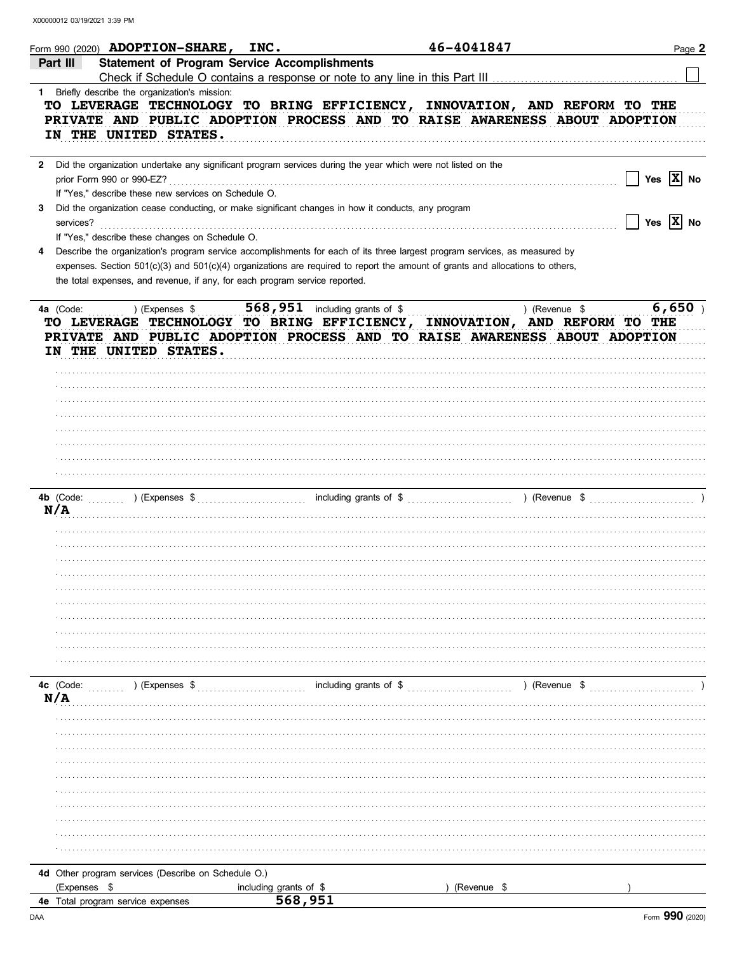|                                                | Form 990 (2020) <b>ADOPTION-SHARE, INC.</b>                                                                                                                                                                                                                                                                     |                                        | 46-4041847  | Page 2                      |
|------------------------------------------------|-----------------------------------------------------------------------------------------------------------------------------------------------------------------------------------------------------------------------------------------------------------------------------------------------------------------|----------------------------------------|-------------|-----------------------------|
| Part III                                       | <b>Statement of Program Service Accomplishments</b>                                                                                                                                                                                                                                                             |                                        |             |                             |
| 1 Briefly describe the organization's mission: |                                                                                                                                                                                                                                                                                                                 |                                        |             |                             |
| IN THE UNITED STATES.                          | TO LEVERAGE TECHNOLOGY TO BRING EFFICIENCY, INNOVATION, AND REFORM TO THE<br>PRIVATE AND PUBLIC ADOPTION PROCESS AND TO RAISE AWARENESS ABOUT ADOPTION                                                                                                                                                          |                                        |             |                             |
| prior Form 990 or 990-EZ?                      | 2 Did the organization undertake any significant program services during the year which were not listed on the                                                                                                                                                                                                  |                                        |             | Yes $X$ No                  |
| 3<br>services?                                 | If "Yes," describe these new services on Schedule O.<br>Did the organization cease conducting, or make significant changes in how it conducts, any program                                                                                                                                                      |                                        |             | Yes $\boxed{\mathbf{X}}$ No |
| 4                                              | If "Yes," describe these changes on Schedule O.<br>Describe the organization's program service accomplishments for each of its three largest program services, as measured by<br>expenses. Section 501(c)(3) and 501(c)(4) organizations are required to report the amount of grants and allocations to others, |                                        |             |                             |
|                                                | the total expenses, and revenue, if any, for each program service reported.                                                                                                                                                                                                                                     |                                        |             |                             |
| 4a (Code:<br>IN THE UNITED STATES.             | ) (Expenses \$<br>TO LEVERAGE TECHNOLOGY TO BRING EFFICIENCY, INNOVATION, AND REFORM TO THE<br>PRIVATE AND PUBLIC ADOPTION PROCESS AND TO RAISE AWARENESS ABOUT ADOPTION                                                                                                                                        | <b>568, 951</b> including grants of \$ |             | 6,650<br>) (Revenue \$      |
|                                                |                                                                                                                                                                                                                                                                                                                 |                                        |             |                             |
|                                                |                                                                                                                                                                                                                                                                                                                 |                                        |             |                             |
|                                                |                                                                                                                                                                                                                                                                                                                 |                                        |             |                             |
|                                                |                                                                                                                                                                                                                                                                                                                 |                                        |             |                             |
| 4b (Code:                                      | $\sum_{i=1}^{n}$ (Expenses \$                                                                                                                                                                                                                                                                                   |                                        |             | ) (Revenue \$               |
| N/A                                            |                                                                                                                                                                                                                                                                                                                 |                                        |             |                             |
|                                                |                                                                                                                                                                                                                                                                                                                 |                                        |             |                             |
|                                                |                                                                                                                                                                                                                                                                                                                 |                                        |             |                             |
|                                                |                                                                                                                                                                                                                                                                                                                 |                                        |             |                             |
|                                                |                                                                                                                                                                                                                                                                                                                 |                                        |             |                             |
|                                                |                                                                                                                                                                                                                                                                                                                 |                                        |             |                             |
| 4c (Code:<br>N/A                               | ) (Expenses \$                                                                                                                                                                                                                                                                                                  | including grants of \$                 |             | ) (Revenue \$               |
|                                                |                                                                                                                                                                                                                                                                                                                 |                                        |             |                             |
|                                                |                                                                                                                                                                                                                                                                                                                 |                                        |             |                             |
|                                                |                                                                                                                                                                                                                                                                                                                 |                                        |             |                             |
|                                                |                                                                                                                                                                                                                                                                                                                 |                                        |             |                             |
|                                                |                                                                                                                                                                                                                                                                                                                 |                                        |             |                             |
|                                                |                                                                                                                                                                                                                                                                                                                 |                                        |             |                             |
| (Expenses \$                                   | 4d Other program services (Describe on Schedule O.)<br>including grants of \$                                                                                                                                                                                                                                   |                                        | (Revenue \$ |                             |
| 4e Total program service expenses              |                                                                                                                                                                                                                                                                                                                 | 568,951                                |             |                             |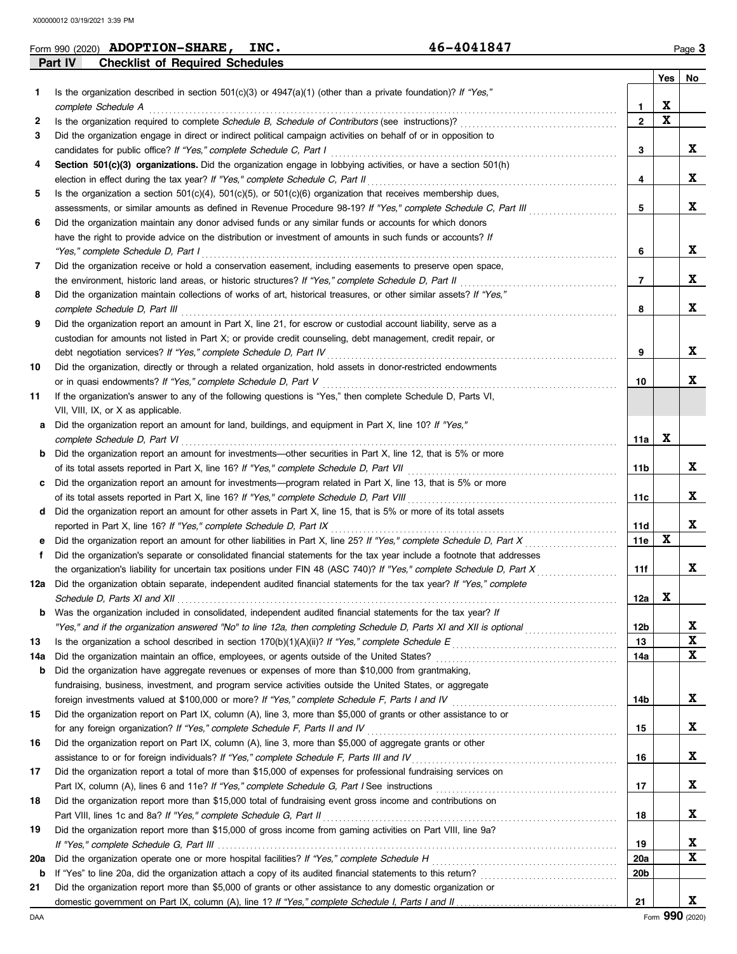## **Part IV Checklist of Required Schedules Form 990 (2020) ADOPTION-SHARE, INC.** 46-4041847 Page 3

| 46-4041847 |  |  |  |
|------------|--|--|--|
|------------|--|--|--|

|     |                                                                                                                                                                                                                                |                 | Yes | No          |
|-----|--------------------------------------------------------------------------------------------------------------------------------------------------------------------------------------------------------------------------------|-----------------|-----|-------------|
| 1.  | Is the organization described in section $501(c)(3)$ or $4947(a)(1)$ (other than a private foundation)? If "Yes,"                                                                                                              |                 |     |             |
|     | complete Schedule A                                                                                                                                                                                                            | 1               | X   |             |
| 2   | Is the organization required to complete Schedule B, Schedule of Contributors (see instructions)?                                                                                                                              | $\mathbf{2}$    | X   |             |
| 3   | Did the organization engage in direct or indirect political campaign activities on behalf of or in opposition to                                                                                                               |                 |     |             |
|     | candidates for public office? If "Yes," complete Schedule C, Part I                                                                                                                                                            | 3               |     | X           |
| 4   | Section 501(c)(3) organizations. Did the organization engage in lobbying activities, or have a section 501(h)                                                                                                                  |                 |     |             |
|     | election in effect during the tax year? If "Yes," complete Schedule C, Part II                                                                                                                                                 | 4               |     | X           |
| 5   | Is the organization a section $501(c)(4)$ , $501(c)(5)$ , or $501(c)(6)$ organization that receives membership dues,                                                                                                           |                 |     |             |
|     | assessments, or similar amounts as defined in Revenue Procedure 98-19? If "Yes," complete Schedule C, Part III                                                                                                                 | 5               |     | X           |
| 6   | Did the organization maintain any donor advised funds or any similar funds or accounts for which donors                                                                                                                        |                 |     |             |
|     | have the right to provide advice on the distribution or investment of amounts in such funds or accounts? If                                                                                                                    |                 |     |             |
|     | "Yes," complete Schedule D, Part I                                                                                                                                                                                             | 6               |     | X           |
| 7   | Did the organization receive or hold a conservation easement, including easements to preserve open space,                                                                                                                      |                 |     |             |
|     | the environment, historic land areas, or historic structures? If "Yes," complete Schedule D, Part II                                                                                                                           | 7               |     | X           |
| 8   | Did the organization maintain collections of works of art, historical treasures, or other similar assets? If "Yes,"                                                                                                            |                 |     |             |
|     | complete Schedule D, Part III                                                                                                                                                                                                  | 8               |     | X           |
| 9   | Did the organization report an amount in Part X, line 21, for escrow or custodial account liability, serve as a                                                                                                                |                 |     |             |
|     | custodian for amounts not listed in Part X; or provide credit counseling, debt management, credit repair, or                                                                                                                   |                 |     |             |
|     | debt negotiation services? If "Yes," complete Schedule D, Part IV                                                                                                                                                              | 9               |     | X           |
| 10  | Did the organization, directly or through a related organization, hold assets in donor-restricted endowments                                                                                                                   |                 |     | X           |
| 11  | or in quasi endowments? If "Yes," complete Schedule D, Part V<br>If the organization's answer to any of the following questions is "Yes," then complete Schedule D, Parts VI,                                                  | 10              |     |             |
|     | VII, VIII, IX, or X as applicable.                                                                                                                                                                                             |                 |     |             |
| a   | Did the organization report an amount for land, buildings, and equipment in Part X, line 10? If "Yes,"                                                                                                                         |                 |     |             |
|     | complete Schedule D, Part VI                                                                                                                                                                                                   | 11a             | X   |             |
|     | <b>b</b> Did the organization report an amount for investments—other securities in Part X, line 12, that is 5% or more                                                                                                         |                 |     |             |
|     | of its total assets reported in Part X, line 16? If "Yes," complete Schedule D, Part VII                                                                                                                                       | 11b             |     | X           |
| C   | Did the organization report an amount for investments—program related in Part X, line 13, that is 5% or more                                                                                                                   |                 |     |             |
|     | of its total assets reported in Part X, line 16? If "Yes," complete Schedule D, Part VIII [[[[[[[[[[[[[[[[[[[[                                                                                                                 | 11c             |     | X           |
| d   | Did the organization report an amount for other assets in Part X, line 15, that is 5% or more of its total assets                                                                                                              |                 |     |             |
|     | reported in Part X, line 16? If "Yes," complete Schedule D, Part IX                                                                                                                                                            | 11d             |     | X           |
| е   | Did the organization report an amount for other liabilities in Part X, line 25? If "Yes," complete Schedule D, Part X                                                                                                          | 11e             | X   |             |
| f.  | Did the organization's separate or consolidated financial statements for the tax year include a footnote that addresses                                                                                                        |                 |     |             |
|     | the organization's liability for uncertain tax positions under FIN 48 (ASC 740)? If "Yes," complete Schedule D, Part X                                                                                                         | 11f             |     | X           |
| 12a | Did the organization obtain separate, independent audited financial statements for the tax year? If "Yes," complete                                                                                                            |                 |     |             |
|     | Schedule D, Parts XI and XII electron contract the contract of the Contract of the Contract of the Contract of Contract of the Contract of Contract of Contract of Contract of Contract of Contract of Contract of Contract of | 12a             | X   |             |
| b   | Was the organization included in consolidated, independent audited financial statements for the tax year? If                                                                                                                   |                 |     |             |
|     | "Yes," and if the organization answered "No" to line 12a, then completing Schedule D, Parts XI and XII is optional                                                                                                             | 12 <sub>b</sub> |     | X           |
| 13  | Is the organization a school described in section 170(b)(1)(A)(ii)? If "Yes," complete Schedule E                                                                                                                              | 13              |     | $\mathbf x$ |
| 14a |                                                                                                                                                                                                                                | 14a             |     | X           |
| b   | Did the organization have aggregate revenues or expenses of more than \$10,000 from grantmaking,                                                                                                                               |                 |     |             |
|     | fundraising, business, investment, and program service activities outside the United States, or aggregate<br>foreign investments valued at \$100,000 or more? If "Yes," complete Schedule F, Parts I and IV [[[[[[[[[[[[[[[    | 14b             |     | X           |
| 15  | Did the organization report on Part IX, column (A), line 3, more than \$5,000 of grants or other assistance to or                                                                                                              |                 |     |             |
|     | for any foreign organization? If "Yes," complete Schedule F, Parts II and IV                                                                                                                                                   | 15              |     | X           |
| 16  | Did the organization report on Part IX, column (A), line 3, more than \$5,000 of aggregate grants or other                                                                                                                     |                 |     |             |
|     | assistance to or for foreign individuals? If "Yes," complete Schedule F, Parts III and IV                                                                                                                                      | 16              |     | X           |
| 17  | Did the organization report a total of more than \$15,000 of expenses for professional fundraising services on                                                                                                                 |                 |     |             |
|     |                                                                                                                                                                                                                                | 17              |     | X           |
| 18  | Did the organization report more than \$15,000 total of fundraising event gross income and contributions on                                                                                                                    |                 |     |             |
|     | Part VIII, lines 1c and 8a? If "Yes," complete Schedule G, Part II                                                                                                                                                             | 18              |     | X           |
| 19  | Did the organization report more than \$15,000 of gross income from gaming activities on Part VIII, line 9a?                                                                                                                   |                 |     |             |
|     |                                                                                                                                                                                                                                | 19              |     | X           |
| 20a |                                                                                                                                                                                                                                | 20a             |     | X           |
| b   |                                                                                                                                                                                                                                | 20b             |     |             |
| 21  | Did the organization report more than \$5,000 of grants or other assistance to any domestic organization or                                                                                                                    |                 |     |             |
|     |                                                                                                                                                                                                                                | 21              |     | X           |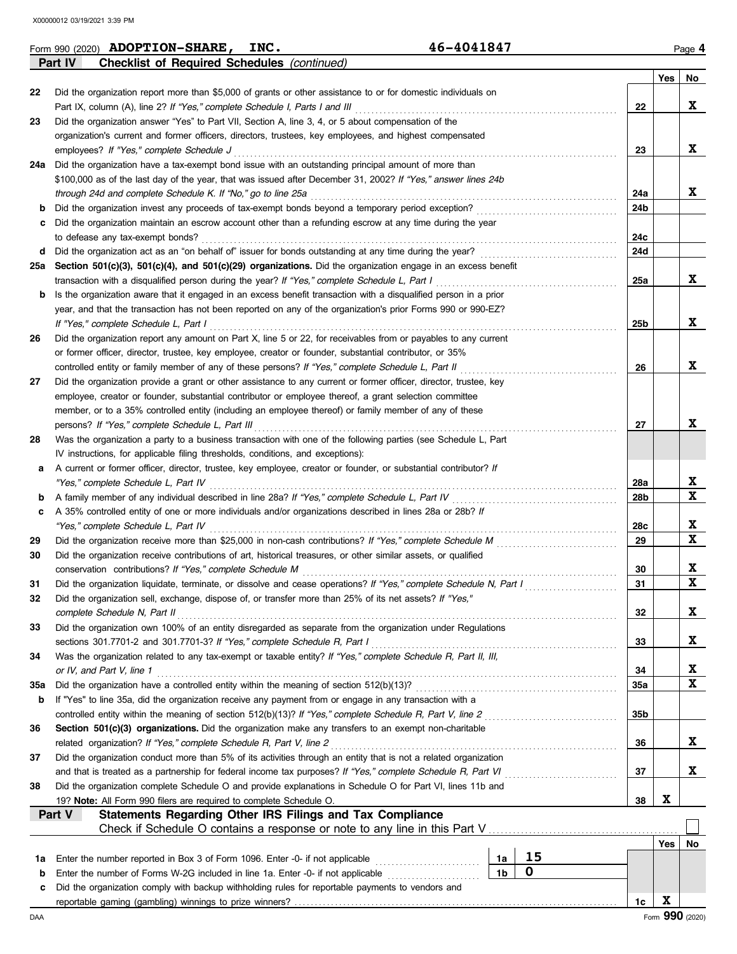|     | Part IV<br><b>Checklist of Required Schedules (continued)</b>                                                      |            |                 |             |
|-----|--------------------------------------------------------------------------------------------------------------------|------------|-----------------|-------------|
|     |                                                                                                                    |            | Yes             | No          |
| 22  | Did the organization report more than \$5,000 of grants or other assistance to or for domestic individuals on      |            |                 |             |
|     | Part IX, column (A), line 2? If "Yes," complete Schedule I, Parts I and III                                        | 22         |                 | X           |
| 23  | Did the organization answer "Yes" to Part VII, Section A, line 3, 4, or 5 about compensation of the                |            |                 |             |
|     | organization's current and former officers, directors, trustees, key employees, and highest compensated            |            |                 |             |
|     | employees? If "Yes," complete Schedule J                                                                           | 23         |                 | X           |
| 24a | Did the organization have a tax-exempt bond issue with an outstanding principal amount of more than                |            |                 |             |
|     | \$100,000 as of the last day of the year, that was issued after December 31, 2002? If "Yes," answer lines 24b      |            |                 |             |
|     | through 24d and complete Schedule K. If "No," go to line 25a                                                       | 24a        |                 | X           |
| b   | Did the organization invest any proceeds of tax-exempt bonds beyond a temporary period exception?                  | 24b        |                 |             |
|     | Did the organization maintain an escrow account other than a refunding escrow at any time during the year          |            |                 |             |
| c   | to defease any tax-exempt bonds?                                                                                   | 24с        |                 |             |
|     |                                                                                                                    | 24d        |                 |             |
| d   |                                                                                                                    |            |                 |             |
| 25а | Section 501(c)(3), 501(c)(4), and 501(c)(29) organizations. Did the organization engage in an excess benefit       |            |                 |             |
|     | transaction with a disqualified person during the year? If "Yes," complete Schedule L, Part I                      | 25a        |                 | X           |
| b   | Is the organization aware that it engaged in an excess benefit transaction with a disqualified person in a prior   |            |                 |             |
|     | year, and that the transaction has not been reported on any of the organization's prior Forms 990 or 990-EZ?       |            |                 |             |
|     | If "Yes," complete Schedule L, Part I                                                                              | 25b        |                 | X           |
| 26  | Did the organization report any amount on Part X, line 5 or 22, for receivables from or payables to any current    |            |                 |             |
|     | or former officer, director, trustee, key employee, creator or founder, substantial contributor, or 35%            |            |                 |             |
|     | controlled entity or family member of any of these persons? If "Yes," complete Schedule L, Part II                 | 26         |                 | X           |
| 27  | Did the organization provide a grant or other assistance to any current or former officer, director, trustee, key  |            |                 |             |
|     | employee, creator or founder, substantial contributor or employee thereof, a grant selection committee             |            |                 |             |
|     | member, or to a 35% controlled entity (including an employee thereof) or family member of any of these             |            |                 |             |
|     | persons? If "Yes," complete Schedule L, Part III                                                                   | 27         |                 | X           |
| 28  | Was the organization a party to a business transaction with one of the following parties (see Schedule L, Part     |            |                 |             |
|     | IV instructions, for applicable filing thresholds, conditions, and exceptions):                                    |            |                 |             |
| а   | A current or former officer, director, trustee, key employee, creator or founder, or substantial contributor? If   |            |                 |             |
|     | "Yes," complete Schedule L, Part IV                                                                                | 28a        |                 | X           |
| b   | A family member of any individual described in line 28a? If "Yes," complete Schedule L, Part IV [[[[[[[[[[[[[      | 28b        |                 | X           |
| с   | A 35% controlled entity of one or more individuals and/or organizations described in lines 28a or 28b? If          |            |                 |             |
|     | "Yes," complete Schedule L, Part IV                                                                                | 28c        |                 | X           |
| 29  |                                                                                                                    | 29         |                 | X           |
| 30  | Did the organization receive contributions of art, historical treasures, or other similar assets, or qualified     |            |                 |             |
|     |                                                                                                                    |            |                 | X           |
|     | conservation contributions? If "Yes," complete Schedule M                                                          | 30         |                 | X           |
| 31  | Did the organization liquidate, terminate, or dissolve and cease operations? If "Yes," complete Schedule N, Part I | 31         |                 |             |
|     | Did the organization sell, exchange, dispose of, or transfer more than 25% of its net assets? If "Yes,"            |            |                 |             |
|     | complete Schedule N, Part II                                                                                       | 32         |                 | X           |
| 33  | Did the organization own 100% of an entity disregarded as separate from the organization under Regulations         |            |                 |             |
|     | sections 301.7701-2 and 301.7701-3? If "Yes," complete Schedule R, Part I                                          | 33         |                 | X           |
| 34  | Was the organization related to any tax-exempt or taxable entity? If "Yes," complete Schedule R, Part II, III,     |            |                 |             |
|     | or IV, and Part V, line 1                                                                                          | 34         |                 | X           |
| 35a | Did the organization have a controlled entity within the meaning of section 512(b)(13)?                            | <b>35a</b> |                 | $\mathbf x$ |
| b   | If "Yes" to line 35a, did the organization receive any payment from or engage in any transaction with a            |            |                 |             |
|     | controlled entity within the meaning of section 512(b)(13)? If "Yes," complete Schedule R, Part V, line 2          | 35b        |                 |             |
| 36  | Section 501(c)(3) organizations. Did the organization make any transfers to an exempt non-charitable               |            |                 |             |
|     | related organization? If "Yes," complete Schedule R, Part V, line 2                                                | 36         |                 | X           |
| 37  | Did the organization conduct more than 5% of its activities through an entity that is not a related organization   |            |                 |             |
|     | and that is treated as a partnership for federal income tax purposes? If "Yes," complete Schedule R, Part VI       | 37         |                 | X           |
| 38  | Did the organization complete Schedule O and provide explanations in Schedule O for Part VI, lines 11b and         |            |                 |             |
|     | 19? Note: All Form 990 filers are required to complete Schedule O.                                                 | 38         | X               |             |
|     | Statements Regarding Other IRS Filings and Tax Compliance<br>Part V                                                |            |                 |             |
|     | Check if Schedule O contains a response or note to any line in this Part V                                         |            |                 |             |
|     |                                                                                                                    |            | Yes             | No          |
| 1a  | 15<br>Enter the number reported in Box 3 of Form 1096. Enter -0- if not applicable<br>1a                           |            |                 |             |
|     | $\mathbf 0$<br>1 <sub>b</sub>                                                                                      |            |                 |             |
| b   | Enter the number of Forms W-2G included in line 1a. Enter -0- if not applicable                                    |            |                 |             |
| c   | Did the organization comply with backup withholding rules for reportable payments to vendors and                   |            | X               |             |
|     |                                                                                                                    | 1c         |                 |             |
| DAA |                                                                                                                    |            | Form 990 (2020) |             |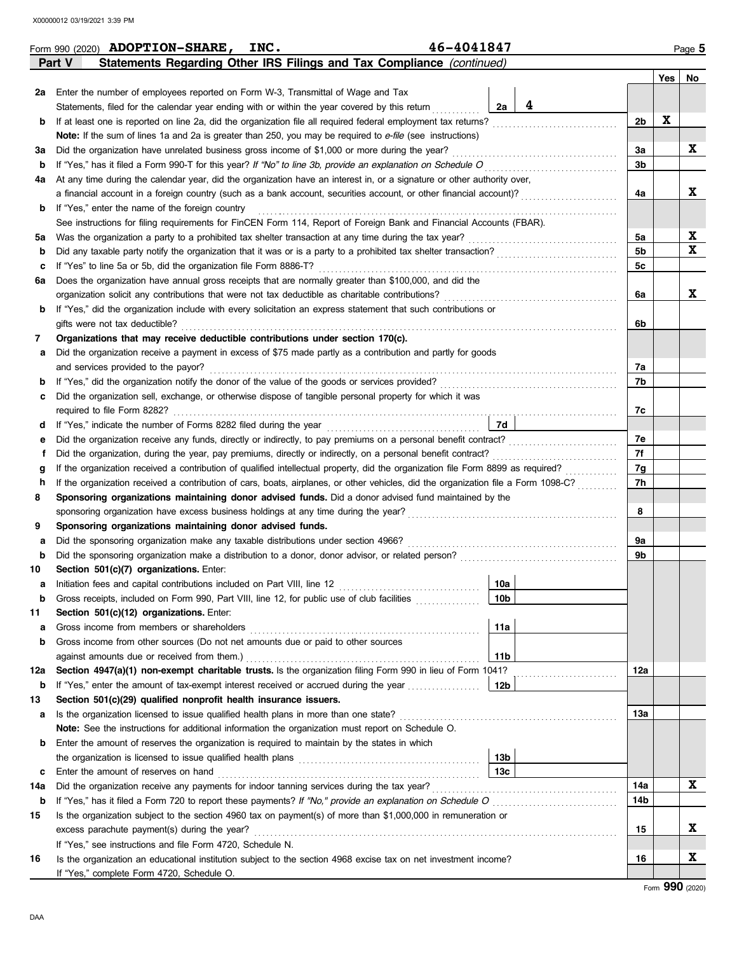|        | 46-4041847<br>Form 990 (2020) <b>ADOPTION-SHARE, INC.</b>                                                                                                                                                                       |                |             | Page 5      |
|--------|---------------------------------------------------------------------------------------------------------------------------------------------------------------------------------------------------------------------------------|----------------|-------------|-------------|
|        | Statements Regarding Other IRS Filings and Tax Compliance (continued)<br>Part V                                                                                                                                                 |                |             |             |
|        |                                                                                                                                                                                                                                 |                | Yes         | No          |
| 2a     | Enter the number of employees reported on Form W-3, Transmittal of Wage and Tax                                                                                                                                                 |                |             |             |
|        | 4<br>2a<br>Statements, filed for the calendar year ending with or within the year covered by this return                                                                                                                        |                |             |             |
| b      | If at least one is reported on line 2a, did the organization file all required federal employment tax returns?                                                                                                                  | 2 <sub>b</sub> | $\mathbf x$ |             |
|        | Note: If the sum of lines 1a and 2a is greater than 250, you may be required to e-file (see instructions)                                                                                                                       |                |             |             |
| За     | Did the organization have unrelated business gross income of \$1,000 or more during the year?                                                                                                                                   | За             |             | X           |
| b      | If "Yes," has it filed a Form 990-T for this year? If "No" to line 3b, provide an explanation on Schedule O                                                                                                                     | 3 <sub>b</sub> |             |             |
| 4a     | At any time during the calendar year, did the organization have an interest in, or a signature or other authority over,                                                                                                         |                |             |             |
|        | a financial account in a foreign country (such as a bank account, securities account, or other financial account)?                                                                                                              | 4a             |             | X           |
| b      | If "Yes," enter the name of the foreign country                                                                                                                                                                                 |                |             |             |
|        | See instructions for filing requirements for FinCEN Form 114, Report of Foreign Bank and Financial Accounts (FBAR).                                                                                                             |                |             |             |
| 5а     |                                                                                                                                                                                                                                 | 5a             |             | X           |
| b      |                                                                                                                                                                                                                                 | 5 <sub>b</sub> |             | $\mathbf x$ |
| c      | If "Yes" to line 5a or 5b, did the organization file Form 8886-T?                                                                                                                                                               | 5c             |             |             |
| 6а     | Does the organization have annual gross receipts that are normally greater than \$100,000, and did the                                                                                                                          |                |             |             |
|        | organization solicit any contributions that were not tax deductible as charitable contributions?                                                                                                                                | 6a             |             | X           |
| b      | If "Yes," did the organization include with every solicitation an express statement that such contributions or                                                                                                                  |                |             |             |
|        | gifts were not tax deductible?                                                                                                                                                                                                  | 6b             |             |             |
| 7      | Organizations that may receive deductible contributions under section 170(c).                                                                                                                                                   |                |             |             |
| а      | Did the organization receive a payment in excess of \$75 made partly as a contribution and partly for goods                                                                                                                     |                |             |             |
|        | and services provided to the payor?                                                                                                                                                                                             | 7a             |             |             |
| b      |                                                                                                                                                                                                                                 | 7b             |             |             |
| c      | Did the organization sell, exchange, or otherwise dispose of tangible personal property for which it was                                                                                                                        |                |             |             |
|        | 7d                                                                                                                                                                                                                              | 7c             |             |             |
| d      |                                                                                                                                                                                                                                 | 7е             |             |             |
| е<br>Ť | Did the organization receive any funds, directly or indirectly, to pay premiums on a personal benefit contract?<br>Did the organization, during the year, pay premiums, directly or indirectly, on a personal benefit contract? | 7f             |             |             |
| g      |                                                                                                                                                                                                                                 | 7g             |             |             |
| h      | If the organization received a contribution of cars, boats, airplanes, or other vehicles, did the organization file a Form 1098-C?                                                                                              | 7h             |             |             |
| 8      | Sponsoring organizations maintaining donor advised funds. Did a donor advised fund maintained by the                                                                                                                            |                |             |             |
|        | sponsoring organization have excess business holdings at any time during the year?                                                                                                                                              | 8              |             |             |
| 9      | Sponsoring organizations maintaining donor advised funds.                                                                                                                                                                       |                |             |             |
| а      |                                                                                                                                                                                                                                 | 9a             |             |             |
| b      | Did the sponsoring organization make a distribution to a donor, donor advisor, or related person?                                                                                                                               | 9b             |             |             |
| 10     | Section 501(c)(7) organizations. Enter:                                                                                                                                                                                         |                |             |             |
| а      | 10a                                                                                                                                                                                                                             |                |             |             |
| b      | 10 <sub>b</sub><br>Gross receipts, included on Form 990, Part VIII, line 12, for public use of club facilities                                                                                                                  |                |             |             |
| 11     | Section 501(c)(12) organizations. Enter:                                                                                                                                                                                        |                |             |             |
| а      | Gross income from members or shareholders<br>11a                                                                                                                                                                                |                |             |             |
| b      | Gross income from other sources (Do not net amounts due or paid to other sources                                                                                                                                                |                |             |             |
|        | against amounts due or received from them.)<br>11b                                                                                                                                                                              |                |             |             |
| 12a    | Section 4947(a)(1) non-exempt charitable trusts. Is the organization filing Form 990 in lieu of Form 1041?                                                                                                                      | 12a            |             |             |
| b      | If "Yes," enter the amount of tax-exempt interest received or accrued during the year<br>  12b                                                                                                                                  |                |             |             |
| 13     | Section 501(c)(29) qualified nonprofit health insurance issuers.                                                                                                                                                                |                |             |             |
| а      | Is the organization licensed to issue qualified health plans in more than one state?                                                                                                                                            | 13a            |             |             |
|        | Note: See the instructions for additional information the organization must report on Schedule O.                                                                                                                               |                |             |             |
| b      | Enter the amount of reserves the organization is required to maintain by the states in which                                                                                                                                    |                |             |             |
|        | 13 <sub>b</sub>                                                                                                                                                                                                                 |                |             |             |
| c      | 13c<br>Enter the amount of reserves on hand                                                                                                                                                                                     |                |             |             |
| 14a    |                                                                                                                                                                                                                                 | 14a            |             | $\mathbf x$ |
| b      |                                                                                                                                                                                                                                 | 14b            |             |             |
| 15     | Is the organization subject to the section 4960 tax on payment(s) of more than \$1,000,000 in remuneration or                                                                                                                   |                |             |             |
|        | excess parachute payment(s) during the year?                                                                                                                                                                                    | 15             |             | X           |
|        | If "Yes," see instructions and file Form 4720, Schedule N.                                                                                                                                                                      |                |             |             |
| 16     | Is the organization an educational institution subject to the section 4968 excise tax on net investment income?                                                                                                                 | 16             |             | X           |
|        | If "Yes," complete Form 4720, Schedule O.                                                                                                                                                                                       |                |             |             |

|  |  |  | 5-4041847 |  |  |
|--|--|--|-----------|--|--|
|  |  |  |           |  |  |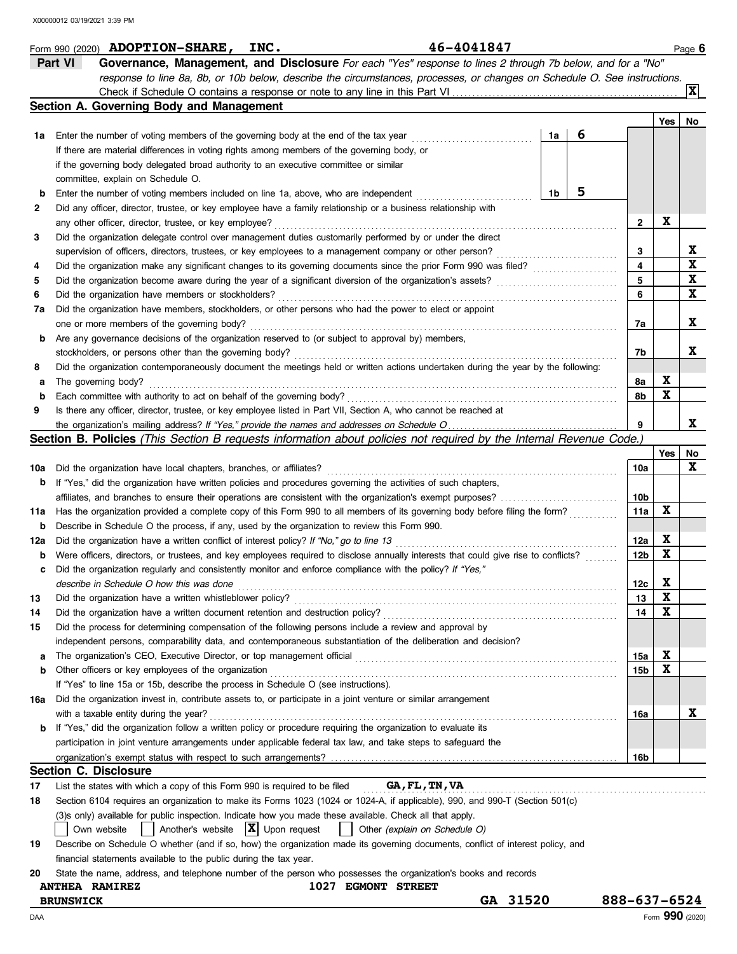|             | 46-4041847<br>Form 990 $(2020)$ <b>ADOPTION-SHARE,</b><br>INC.                                                                      |          |    |   |              |     |             | Page 6       |
|-------------|-------------------------------------------------------------------------------------------------------------------------------------|----------|----|---|--------------|-----|-------------|--------------|
|             | Part VI<br>Governance, Management, and Disclosure For each "Yes" response to lines 2 through 7b below, and for a "No"               |          |    |   |              |     |             |              |
|             | response to line 8a, 8b, or 10b below, describe the circumstances, processes, or changes on Schedule O. See instructions.           |          |    |   |              |     |             |              |
|             |                                                                                                                                     |          |    |   |              |     |             | $\mathbf{x}$ |
|             | Section A. Governing Body and Management                                                                                            |          |    |   |              |     |             |              |
|             |                                                                                                                                     |          |    |   |              |     | Yes         | No           |
| 1a          | Enter the number of voting members of the governing body at the end of the tax year                                                 |          | 1a | 6 |              |     |             |              |
|             | If there are material differences in voting rights among members of the governing body, or                                          |          |    |   |              |     |             |              |
|             | if the governing body delegated broad authority to an executive committee or similar                                                |          |    |   |              |     |             |              |
|             | committee, explain on Schedule O.                                                                                                   |          |    |   |              |     |             |              |
| b           | Enter the number of voting members included on line 1a, above, who are independent                                                  |          | 1b | 5 |              |     |             |              |
| 2           | Did any officer, director, trustee, or key employee have a family relationship or a business relationship with                      |          |    |   |              |     |             |              |
|             | any other officer, director, trustee, or key employee?                                                                              |          |    |   |              | 2   | X           |              |
| 3           | Did the organization delegate control over management duties customarily performed by or under the direct                           |          |    |   |              |     |             |              |
|             |                                                                                                                                     |          |    |   |              | 3   |             | X            |
|             | supervision of officers, directors, trustees, or key employees to a management company or other person?                             |          |    |   |              | 4   |             | $\mathbf x$  |
| 4           | Did the organization make any significant changes to its governing documents since the prior Form 990 was filed?                    |          |    |   |              | 5   |             | $\mathbf x$  |
| 5           | Did the organization become aware during the year of a significant diversion of the organization's assets?                          |          |    |   |              |     |             | X            |
| 6           | Did the organization have members or stockholders?                                                                                  |          |    |   |              | 6   |             |              |
| 7а          | Did the organization have members, stockholders, or other persons who had the power to elect or appoint                             |          |    |   |              |     |             |              |
|             | one or more members of the governing body?                                                                                          |          |    |   |              | 7a  |             | X            |
| b           | Are any governance decisions of the organization reserved to (or subject to approval by) members,                                   |          |    |   |              |     |             |              |
|             | stockholders, or persons other than the governing body?                                                                             |          |    |   |              | 7b  |             | X            |
| 8           | Did the organization contemporaneously document the meetings held or written actions undertaken during the year by the following:   |          |    |   |              |     |             |              |
| а           | The governing body?                                                                                                                 |          |    |   |              | 8а  | X           |              |
| $\mathbf b$ | Each committee with authority to act on behalf of the governing body?                                                               |          |    |   |              | 8b  | X           |              |
| 9           | Is there any officer, director, trustee, or key employee listed in Part VII, Section A, who cannot be reached at                    |          |    |   |              |     |             |              |
|             |                                                                                                                                     |          |    |   |              | 9   |             | X            |
|             | <b>Section B. Policies</b> (This Section B requests information about policies not required by the Internal Revenue Code.)          |          |    |   |              |     |             |              |
|             |                                                                                                                                     |          |    |   |              |     | Yes         | No           |
| 10a         | Did the organization have local chapters, branches, or affiliates?                                                                  |          |    |   |              | 10a |             | X            |
| b           | If "Yes," did the organization have written policies and procedures governing the activities of such chapters,                      |          |    |   |              |     |             |              |
|             | affiliates, and branches to ensure their operations are consistent with the organization's exempt purposes?                         |          |    |   |              | 10b |             |              |
| 11a         | Has the organization provided a complete copy of this Form 990 to all members of its governing body before filing the form?         |          |    |   |              | 11a | X           |              |
| b           | Describe in Schedule O the process, if any, used by the organization to review this Form 990.                                       |          |    |   |              |     |             |              |
| 12a         | Did the organization have a written conflict of interest policy? If "No," go to line 13                                             |          |    |   |              | 12a | X           |              |
| b           | Were officers, directors, or trustees, and key employees required to disclose annually interests that could give rise to conflicts? |          |    |   |              | 12b | $\mathbf x$ |              |
|             | Did the organization regularly and consistently monitor and enforce compliance with the policy? If "Yes,"                           |          |    |   |              |     |             |              |
|             | describe in Schedule O how this was done                                                                                            |          |    |   |              | 12c | X           |              |
|             |                                                                                                                                     |          |    |   |              |     | X           |              |
| 13          | Did the organization have a written whistleblower policy?                                                                           |          |    |   |              | 13  | X           |              |
| 14          | Did the organization have a written document retention and destruction policy?                                                      |          |    |   |              | 14  |             |              |
| 15          | Did the process for determining compensation of the following persons include a review and approval by                              |          |    |   |              |     |             |              |
|             | independent persons, comparability data, and contemporaneous substantiation of the deliberation and decision?                       |          |    |   |              |     |             |              |
| а           | The organization's CEO, Executive Director, or top management official                                                              |          |    |   |              | 15a | X           |              |
| b           | Other officers or key employees of the organization                                                                                 |          |    |   |              | 15b | X           |              |
|             | If "Yes" to line 15a or 15b, describe the process in Schedule O (see instructions).                                                 |          |    |   |              |     |             |              |
| 16a         | Did the organization invest in, contribute assets to, or participate in a joint venture or similar arrangement                      |          |    |   |              |     |             |              |
|             | with a taxable entity during the year?                                                                                              |          |    |   |              | 16a |             | X            |
| b           | If "Yes," did the organization follow a written policy or procedure requiring the organization to evaluate its                      |          |    |   |              |     |             |              |
|             | participation in joint venture arrangements under applicable federal tax law, and take steps to safeguard the                       |          |    |   |              |     |             |              |
|             |                                                                                                                                     |          |    |   |              | 16b |             |              |
|             | <b>Section C. Disclosure</b>                                                                                                        |          |    |   |              |     |             |              |
| 17          | List the states with which a copy of this Form 990 is required to be filed<br>GA, FL, TN, VA                                        |          |    |   |              |     |             |              |
| 18          | Section 6104 requires an organization to make its Forms 1023 (1024 or 1024-A, if applicable), 990, and 990-T (Section 501(c)        |          |    |   |              |     |             |              |
|             | (3) sonly) available for public inspection. Indicate how you made these available. Check all that apply.                            |          |    |   |              |     |             |              |
|             | $ \mathbf{X} $ Upon request<br>Another's website<br>Own website<br>Other (explain on Schedule O)                                    |          |    |   |              |     |             |              |
| 19          | Describe on Schedule O whether (and if so, how) the organization made its governing documents, conflict of interest policy, and     |          |    |   |              |     |             |              |
|             | financial statements available to the public during the tax year.                                                                   |          |    |   |              |     |             |              |
| 20          | State the name, address, and telephone number of the person who possesses the organization's books and records                      |          |    |   |              |     |             |              |
|             | <b>1027 EGMONT STREET</b><br><b>ANTHEA RAMIREZ</b>                                                                                  |          |    |   |              |     |             |              |
|             | <b>BRUNSWICK</b>                                                                                                                    | GA 31520 |    |   | 888-637-6524 |     |             |              |
|             |                                                                                                                                     |          |    |   |              |     |             |              |

DAA Form **990** (2020)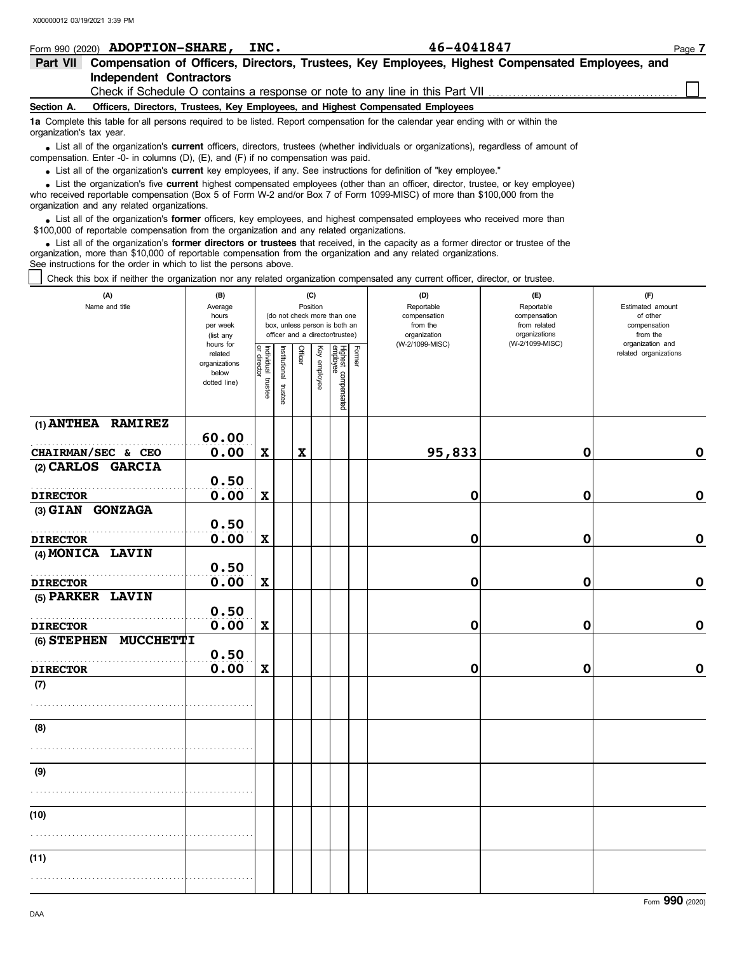|                          | Form 990 (2020) <b>ADOPTION-SHARE,</b>                                                                                                                                                                                                     | INC. | 46-4041847                                                                                                                                                                                                                                                  | Page 7 |  |  |  |  |
|--------------------------|--------------------------------------------------------------------------------------------------------------------------------------------------------------------------------------------------------------------------------------------|------|-------------------------------------------------------------------------------------------------------------------------------------------------------------------------------------------------------------------------------------------------------------|--------|--|--|--|--|
| <b>Part VII</b>          |                                                                                                                                                                                                                                            |      | Compensation of Officers, Directors, Trustees, Key Employees, Highest Compensated Employees, and                                                                                                                                                            |        |  |  |  |  |
|                          | Independent Contractors                                                                                                                                                                                                                    |      |                                                                                                                                                                                                                                                             |        |  |  |  |  |
|                          |                                                                                                                                                                                                                                            |      | Check if Schedule O contains a response or note to any line in this Part VII                                                                                                                                                                                |        |  |  |  |  |
| Section A.               |                                                                                                                                                                                                                                            |      | Officers, Directors, Trustees, Key Employees, and Highest Compensated Employees                                                                                                                                                                             |        |  |  |  |  |
| organization's tax year. |                                                                                                                                                                                                                                            |      | 1a Complete this table for all persons required to be listed. Report compensation for the calendar year ending with or within the                                                                                                                           |        |  |  |  |  |
|                          | • List all of the organization's <b>current</b> officers, directors, trustees (whether individuals or organizations), regardless of amount of<br>compensation. Enter -0- in columns $(D)$ , $(E)$ , and $(F)$ if no compensation was paid. |      |                                                                                                                                                                                                                                                             |        |  |  |  |  |
|                          | • List all of the organization's current key employees, if any. See instructions for definition of "key employee."                                                                                                                         |      |                                                                                                                                                                                                                                                             |        |  |  |  |  |
|                          |                                                                                                                                                                                                                                            |      | • List the organization's five current highest compensated employees (other than an officer, director, trustee, or key employee)<br>who received reportable compensation (Box 5 of Form W-2 and/or Box 7 of Form 1099-MISC) of more than \$100,000 from the |        |  |  |  |  |

organization and any related organizations. • List all of the organization's **former** officers, key employees, and highest compensated employees who received more than<br>00,000 of reportable compensation from the organization and any related organizations \$100,000 of reportable compensation from the organization and any related organizations.

List all of the organization's **former directors or trustees** that received, in the capacity as a former director or trustee of the organization, more than \$10,000 of reportable compensation from the organization and any related organizations. See instructions for the order in which to list the persons above. **•**

Check this box if neither the organization nor any related organization compensated any current officer, director, or trustee.

| (A)<br>Name and title               | (B)<br>Average<br>hours<br>per week<br>(list any<br>hours for |                                   |                       |                           | (C)<br>Position | (do not check more than one<br>box, unless person is both an<br>officer and a director/trustee) |               | (D)<br>Reportable<br>compensation<br>from the<br>organization<br>(W-2/1099-MISC) | (E)<br>Reportable<br>compensation<br>from related<br>organizations<br>(W-2/1099-MISC) | (F)<br>Estimated amount<br>of other<br>compensation<br>from the<br>organization and |
|-------------------------------------|---------------------------------------------------------------|-----------------------------------|-----------------------|---------------------------|-----------------|-------------------------------------------------------------------------------------------------|---------------|----------------------------------------------------------------------------------|---------------------------------------------------------------------------------------|-------------------------------------------------------------------------------------|
|                                     | related<br>organizations<br>below<br>dotted line)             | Individual trustee<br>or director | Institutional trustee | <b>Officer</b>            | Key employee    | Highest compensated<br>employee                                                                 | <b>Former</b> |                                                                                  |                                                                                       | related organizations                                                               |
| $(1)$ ANTHEA RAMIREZ                | 60.00                                                         |                                   |                       |                           |                 |                                                                                                 |               |                                                                                  |                                                                                       |                                                                                     |
| CHAIRMAN/SEC & CEO                  | 0.00                                                          | $\boldsymbol{\mathrm{X}}$         |                       | $\boldsymbol{\mathrm{X}}$ |                 |                                                                                                 |               | 95,833                                                                           | $\mathbf 0$                                                                           | 0                                                                                   |
| (2) CARLOS GARCIA                   | 0.50                                                          |                                   |                       |                           |                 |                                                                                                 |               |                                                                                  |                                                                                       |                                                                                     |
| <b>DIRECTOR</b>                     | 0.00                                                          | $\boldsymbol{\mathrm{X}}$         |                       |                           |                 |                                                                                                 |               | 0                                                                                | $\mathbf 0$                                                                           | $\pmb{0}$                                                                           |
| (3) GIAN GONZAGA                    |                                                               |                                   |                       |                           |                 |                                                                                                 |               |                                                                                  |                                                                                       |                                                                                     |
|                                     | 0.50                                                          |                                   |                       |                           |                 |                                                                                                 |               |                                                                                  |                                                                                       |                                                                                     |
| <b>DIRECTOR</b>                     | 0.00                                                          | $\mathbf x$                       |                       |                           |                 |                                                                                                 |               | 0                                                                                | 0                                                                                     | $\mathbf 0$                                                                         |
| (4) MONICA LAVIN                    |                                                               |                                   |                       |                           |                 |                                                                                                 |               |                                                                                  |                                                                                       |                                                                                     |
|                                     | 0.50                                                          |                                   |                       |                           |                 |                                                                                                 |               |                                                                                  |                                                                                       |                                                                                     |
| <b>DIRECTOR</b><br>(5) PARKER LAVIN | 0.00                                                          | $\mathbf x$                       |                       |                           |                 |                                                                                                 |               | 0                                                                                | $\mathbf 0$                                                                           | $\mathbf 0$                                                                         |
|                                     | 0.50                                                          |                                   |                       |                           |                 |                                                                                                 |               |                                                                                  |                                                                                       |                                                                                     |
| <b>DIRECTOR</b>                     | 0.00                                                          | $\boldsymbol{\mathrm{X}}$         |                       |                           |                 |                                                                                                 |               | 0                                                                                | 0                                                                                     | $\mathbf 0$                                                                         |
| <b>MUCCHETTI</b><br>(6) STEPHEN     |                                                               |                                   |                       |                           |                 |                                                                                                 |               |                                                                                  |                                                                                       |                                                                                     |
|                                     | 0.50                                                          |                                   |                       |                           |                 |                                                                                                 |               |                                                                                  |                                                                                       |                                                                                     |
| <b>DIRECTOR</b>                     | 0.00                                                          | $\mathbf X$                       |                       |                           |                 |                                                                                                 |               | 0                                                                                | 0                                                                                     | $\mathbf 0$                                                                         |
| (7)                                 |                                                               |                                   |                       |                           |                 |                                                                                                 |               |                                                                                  |                                                                                       |                                                                                     |
|                                     |                                                               |                                   |                       |                           |                 |                                                                                                 |               |                                                                                  |                                                                                       |                                                                                     |
| (8)                                 |                                                               |                                   |                       |                           |                 |                                                                                                 |               |                                                                                  |                                                                                       |                                                                                     |
|                                     |                                                               |                                   |                       |                           |                 |                                                                                                 |               |                                                                                  |                                                                                       |                                                                                     |
| (9)                                 |                                                               |                                   |                       |                           |                 |                                                                                                 |               |                                                                                  |                                                                                       |                                                                                     |
|                                     |                                                               |                                   |                       |                           |                 |                                                                                                 |               |                                                                                  |                                                                                       |                                                                                     |
| (10)                                |                                                               |                                   |                       |                           |                 |                                                                                                 |               |                                                                                  |                                                                                       |                                                                                     |
|                                     |                                                               |                                   |                       |                           |                 |                                                                                                 |               |                                                                                  |                                                                                       |                                                                                     |
| (11)                                |                                                               |                                   |                       |                           |                 |                                                                                                 |               |                                                                                  |                                                                                       |                                                                                     |
|                                     |                                                               |                                   |                       |                           |                 |                                                                                                 |               |                                                                                  |                                                                                       |                                                                                     |

Form **990** (2020)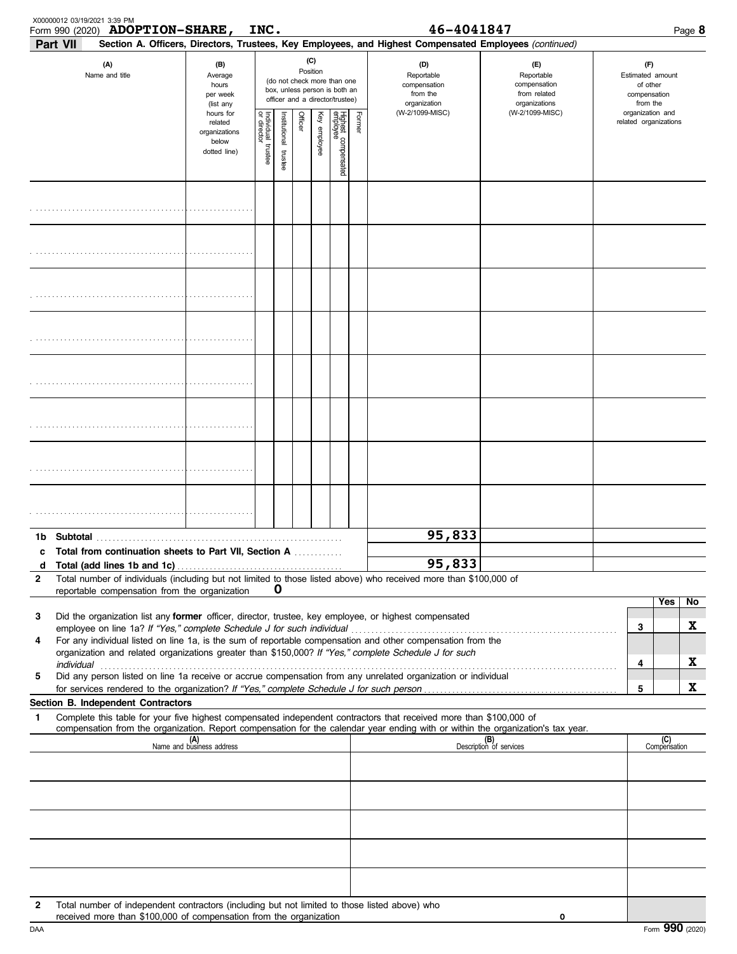|              | X00000012 03/19/2021 3:39 PM<br><b>ADOPTION-SHARE,</b><br>Form 990 (2020)<br>Part VII                                                                                                                                                                                                                                                                                                                                                |                                                                | INC.                              |                         |         |                 |                                                                                                 |        | 46-4041847<br>Section A. Officers, Directors, Trustees, Key Employees, and Highest Compensated Employees (continued) |                                                                    |  |                                                                 |                       | Page 8 |
|--------------|--------------------------------------------------------------------------------------------------------------------------------------------------------------------------------------------------------------------------------------------------------------------------------------------------------------------------------------------------------------------------------------------------------------------------------------|----------------------------------------------------------------|-----------------------------------|-------------------------|---------|-----------------|-------------------------------------------------------------------------------------------------|--------|----------------------------------------------------------------------------------------------------------------------|--------------------------------------------------------------------|--|-----------------------------------------------------------------|-----------------------|--------|
|              | (A)<br>Name and title                                                                                                                                                                                                                                                                                                                                                                                                                | (B)<br>Average<br>hours<br>per week<br>(list any               |                                   |                         |         | (C)<br>Position | (do not check more than one<br>box, unless person is both an<br>officer and a director/trustee) |        | (D)<br>Reportable<br>compensation<br>from the<br>organization                                                        | (E)<br>Reportable<br>compensation<br>from related<br>organizations |  | (F)<br>Estimated amount<br>of other<br>compensation<br>from the |                       |        |
|              |                                                                                                                                                                                                                                                                                                                                                                                                                                      | hours for<br>related<br>organizations<br>below<br>dotted line) | Individual trustee<br>or director | nstitutional<br>trustee | Officer | Key employee    | Highest compensated<br>employee                                                                 | Former | (W-2/1099-MISC)                                                                                                      | (W-2/1099-MISC)                                                    |  | organization and                                                | related organizations |        |
|              |                                                                                                                                                                                                                                                                                                                                                                                                                                      |                                                                |                                   |                         |         |                 |                                                                                                 |        |                                                                                                                      |                                                                    |  |                                                                 |                       |        |
|              |                                                                                                                                                                                                                                                                                                                                                                                                                                      |                                                                |                                   |                         |         |                 |                                                                                                 |        |                                                                                                                      |                                                                    |  |                                                                 |                       |        |
|              |                                                                                                                                                                                                                                                                                                                                                                                                                                      |                                                                |                                   |                         |         |                 |                                                                                                 |        |                                                                                                                      |                                                                    |  |                                                                 |                       |        |
|              |                                                                                                                                                                                                                                                                                                                                                                                                                                      |                                                                |                                   |                         |         |                 |                                                                                                 |        |                                                                                                                      |                                                                    |  |                                                                 |                       |        |
|              |                                                                                                                                                                                                                                                                                                                                                                                                                                      |                                                                |                                   |                         |         |                 |                                                                                                 |        |                                                                                                                      |                                                                    |  |                                                                 |                       |        |
|              |                                                                                                                                                                                                                                                                                                                                                                                                                                      |                                                                |                                   |                         |         |                 |                                                                                                 |        |                                                                                                                      |                                                                    |  |                                                                 |                       |        |
|              |                                                                                                                                                                                                                                                                                                                                                                                                                                      |                                                                |                                   |                         |         |                 |                                                                                                 |        |                                                                                                                      |                                                                    |  |                                                                 |                       |        |
|              |                                                                                                                                                                                                                                                                                                                                                                                                                                      |                                                                |                                   |                         |         |                 |                                                                                                 |        |                                                                                                                      |                                                                    |  |                                                                 |                       |        |
| 1b<br>c      | Subtotal<br><b>Total from continuation sheets to Part VII, Section A</b>                                                                                                                                                                                                                                                                                                                                                             |                                                                |                                   |                         |         |                 |                                                                                                 |        | 95,833                                                                                                               |                                                                    |  |                                                                 |                       |        |
| d            |                                                                                                                                                                                                                                                                                                                                                                                                                                      |                                                                |                                   |                         |         |                 |                                                                                                 |        | 95,833                                                                                                               |                                                                    |  |                                                                 |                       |        |
| $\mathbf{2}$ | Total number of individuals (including but not limited to those listed above) who received more than \$100,000 of<br>reportable compensation from the organization                                                                                                                                                                                                                                                                   |                                                                |                                   | O                       |         |                 |                                                                                                 |        |                                                                                                                      |                                                                    |  |                                                                 |                       |        |
|              |                                                                                                                                                                                                                                                                                                                                                                                                                                      |                                                                |                                   |                         |         |                 |                                                                                                 |        |                                                                                                                      |                                                                    |  |                                                                 | Yes                   | No     |
| 3            | Did the organization list any former officer, director, trustee, key employee, or highest compensated                                                                                                                                                                                                                                                                                                                                |                                                                |                                   |                         |         |                 |                                                                                                 |        |                                                                                                                      |                                                                    |  | 3                                                               |                       | X      |
| 4            | employee on line 1a? If "Yes," complete Schedule J for such individual manufactured content to the 1at of the term of the term of the employee on line 1a? If "Yes," complete Schedule J for such individual<br>For any individual listed on line 1a, is the sum of reportable compensation and other compensation from the<br>organization and related organizations greater than \$150,000? If "Yes," complete Schedule J for such |                                                                |                                   |                         |         |                 |                                                                                                 |        |                                                                                                                      |                                                                    |  | 4                                                               |                       | x      |
| 5            | Did any person listed on line 1a receive or accrue compensation from any unrelated organization or individual                                                                                                                                                                                                                                                                                                                        |                                                                |                                   |                         |         |                 |                                                                                                 |        |                                                                                                                      |                                                                    |  |                                                                 |                       |        |
|              |                                                                                                                                                                                                                                                                                                                                                                                                                                      |                                                                |                                   |                         |         |                 |                                                                                                 |        |                                                                                                                      |                                                                    |  | 5                                                               |                       | X      |
| 1            | Section B. Independent Contractors<br>Complete this table for your five highest compensated independent contractors that received more than \$100,000 of                                                                                                                                                                                                                                                                             |                                                                |                                   |                         |         |                 |                                                                                                 |        |                                                                                                                      |                                                                    |  |                                                                 |                       |        |
|              | compensation from the organization. Report compensation for the calendar year ending with or within the organization's tax year.                                                                                                                                                                                                                                                                                                     | (A)<br>Name and business address                               |                                   |                         |         |                 |                                                                                                 |        |                                                                                                                      | (B)<br>Description of services                                     |  |                                                                 | (C)<br>Compensation   |        |
|              |                                                                                                                                                                                                                                                                                                                                                                                                                                      |                                                                |                                   |                         |         |                 |                                                                                                 |        |                                                                                                                      |                                                                    |  |                                                                 |                       |        |
|              |                                                                                                                                                                                                                                                                                                                                                                                                                                      |                                                                |                                   |                         |         |                 |                                                                                                 |        |                                                                                                                      |                                                                    |  |                                                                 |                       |        |
|              |                                                                                                                                                                                                                                                                                                                                                                                                                                      |                                                                |                                   |                         |         |                 |                                                                                                 |        |                                                                                                                      |                                                                    |  |                                                                 |                       |        |
|              |                                                                                                                                                                                                                                                                                                                                                                                                                                      |                                                                |                                   |                         |         |                 |                                                                                                 |        |                                                                                                                      |                                                                    |  |                                                                 |                       |        |
|              |                                                                                                                                                                                                                                                                                                                                                                                                                                      |                                                                |                                   |                         |         |                 |                                                                                                 |        |                                                                                                                      |                                                                    |  |                                                                 |                       |        |
| 2            | Total number of independent contractors (including but not limited to those listed above) who<br>received more than \$100,000 of compensation from the organization                                                                                                                                                                                                                                                                  |                                                                |                                   |                         |         |                 |                                                                                                 |        |                                                                                                                      | 0                                                                  |  |                                                                 |                       |        |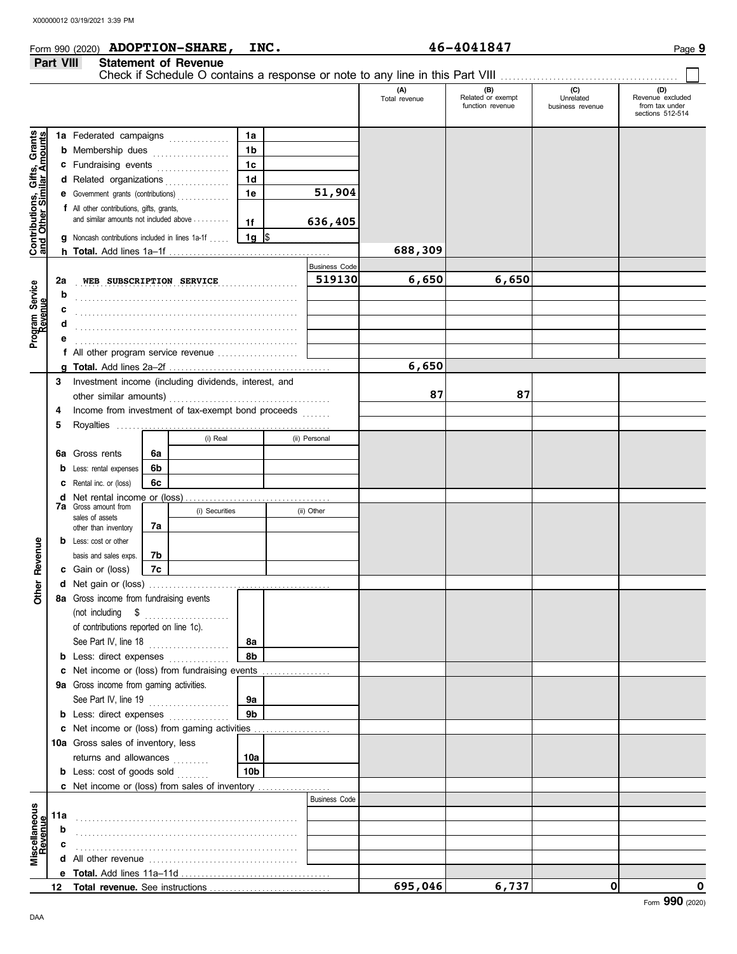# **Form 990 (2020) ADOPTION-SHARE, INC.** 46-4041847 Page 9 **Part VIII Statement of Revenue**<br>Chack if Schoolule Q sen

|                                                                  | Fail VIII |                                           | <b>JIAICHICHI UI NGVCHUC</b>                            |                 |                      |                      |                                              |                               |                                                               |
|------------------------------------------------------------------|-----------|-------------------------------------------|---------------------------------------------------------|-----------------|----------------------|----------------------|----------------------------------------------|-------------------------------|---------------------------------------------------------------|
|                                                                  |           |                                           |                                                         |                 |                      | (A)<br>Total revenue | (B)<br>Related or exempt<br>function revenue | Unrelated<br>business revenue | (D)<br>Revenue excluded<br>from tax under<br>sections 512-514 |
|                                                                  |           |                                           | 1a Federated campaigns                                  | 1a              |                      |                      |                                              |                               |                                                               |
| <b>Contributions, Gifts, Grants</b><br>and Other Similar Amounts |           |                                           | <b>b</b> Membership dues                                | 1 <sub>b</sub>  |                      |                      |                                              |                               |                                                               |
|                                                                  |           |                                           | c Fundraising events                                    | 1 <sub>c</sub>  |                      |                      |                                              |                               |                                                               |
|                                                                  |           | d Related organizations                   | . <b>.</b> .                                            | 1 <sub>d</sub>  |                      |                      |                                              |                               |                                                               |
|                                                                  |           | e Government grants (contributions)       |                                                         | 1e              | 51,904               |                      |                                              |                               |                                                               |
|                                                                  |           | f All other contributions, gifts, grants, |                                                         |                 |                      |                      |                                              |                               |                                                               |
|                                                                  |           |                                           | and similar amounts not included above                  | 1f              | 636,405              |                      |                                              |                               |                                                               |
|                                                                  |           |                                           | <b>g</b> Noncash contributions included in lines 1a-1f  | $1g$ \$         |                      |                      |                                              |                               |                                                               |
|                                                                  |           |                                           |                                                         |                 |                      | 688,309              |                                              |                               |                                                               |
|                                                                  |           |                                           |                                                         |                 | <b>Business Code</b> |                      |                                              |                               |                                                               |
|                                                                  | 2a        | WEB SUBSCRIPTION SERVICE                  |                                                         |                 | 519130               | 6,650                | 6,650                                        |                               |                                                               |
| Program Service<br>Revenue                                       | b         |                                           |                                                         |                 |                      |                      |                                              |                               |                                                               |
|                                                                  | c         |                                           |                                                         |                 |                      |                      |                                              |                               |                                                               |
|                                                                  | d         |                                           |                                                         |                 |                      |                      |                                              |                               |                                                               |
|                                                                  | е         |                                           |                                                         |                 |                      |                      |                                              |                               |                                                               |
|                                                                  |           |                                           | f All other program service revenue                     |                 |                      |                      |                                              |                               |                                                               |
|                                                                  |           |                                           |                                                         |                 |                      | 6,650                |                                              |                               |                                                               |
|                                                                  |           |                                           | 3 Investment income (including dividends, interest, and |                 |                      |                      |                                              |                               |                                                               |
|                                                                  |           | other similar amounts)                    |                                                         |                 |                      | 87                   | 87                                           |                               |                                                               |
|                                                                  | 4         |                                           | Income from investment of tax-exempt bond proceeds      |                 | .                    |                      |                                              |                               |                                                               |
|                                                                  | 5         |                                           |                                                         |                 |                      |                      |                                              |                               |                                                               |
|                                                                  |           |                                           | (i) Real                                                |                 | (ii) Personal        |                      |                                              |                               |                                                               |
|                                                                  |           | 6a Gross rents                            | 6a                                                      |                 |                      |                      |                                              |                               |                                                               |
|                                                                  |           | <b>b</b> Less: rental expenses            | 6b                                                      |                 |                      |                      |                                              |                               |                                                               |
|                                                                  |           | <b>C</b> Rental inc. or (loss)            | 6с                                                      |                 |                      |                      |                                              |                               |                                                               |
|                                                                  |           | <b>7a</b> Gross amount from               |                                                         |                 |                      |                      |                                              |                               |                                                               |
|                                                                  |           | sales of assets                           | (i) Securities                                          |                 | (ii) Other           |                      |                                              |                               |                                                               |
|                                                                  |           | other than inventory                      | 7а                                                      |                 |                      |                      |                                              |                               |                                                               |
|                                                                  |           | <b>b</b> Less: cost or other              |                                                         |                 |                      |                      |                                              |                               |                                                               |
|                                                                  |           | basis and sales exps.                     | 7b                                                      |                 |                      |                      |                                              |                               |                                                               |
| <b>Other Revenue</b>                                             |           | c Gain or (loss)                          | 7c                                                      |                 |                      |                      |                                              |                               |                                                               |
|                                                                  |           |                                           |                                                         |                 |                      |                      |                                              |                               |                                                               |
|                                                                  |           | 8a Gross income from fundraising events   |                                                         |                 |                      |                      |                                              |                               |                                                               |
|                                                                  |           | (not including \$                         |                                                         |                 |                      |                      |                                              |                               |                                                               |
|                                                                  |           | of contributions reported on line 1c).    |                                                         |                 |                      |                      |                                              |                               |                                                               |
|                                                                  |           | See Part IV, line 18                      | .                                                       | 8a              |                      |                      |                                              |                               |                                                               |
|                                                                  |           | <b>b</b> Less: direct expenses            |                                                         | 8b              |                      |                      |                                              |                               |                                                               |
|                                                                  |           |                                           | c Net income or (loss) from fundraising events          |                 |                      |                      |                                              |                               |                                                               |
|                                                                  |           | 9a Gross income from gaming activities.   |                                                         |                 |                      |                      |                                              |                               |                                                               |
|                                                                  |           | See Part IV, line 19                      | .                                                       | 9а              |                      |                      |                                              |                               |                                                               |
|                                                                  |           | <b>b</b> Less: direct expenses            |                                                         | 9 <sub>b</sub>  |                      |                      |                                              |                               |                                                               |
|                                                                  |           |                                           | c Net income or (loss) from gaming activities           |                 |                      |                      |                                              |                               |                                                               |
|                                                                  |           | 10a Gross sales of inventory, less        |                                                         |                 |                      |                      |                                              |                               |                                                               |
|                                                                  |           | returns and allowances                    |                                                         | 10a             |                      |                      |                                              |                               |                                                               |
|                                                                  |           | <b>b</b> Less: cost of goods sold         |                                                         | 10 <sub>b</sub> |                      |                      |                                              |                               |                                                               |
|                                                                  |           |                                           |                                                         |                 | <b>Business Code</b> |                      |                                              |                               |                                                               |
|                                                                  |           |                                           |                                                         |                 |                      |                      |                                              |                               |                                                               |
|                                                                  | 11a       |                                           |                                                         |                 |                      |                      |                                              |                               |                                                               |
| Miscellaneous<br>Revenue                                         | b         |                                           |                                                         |                 |                      |                      |                                              |                               |                                                               |
|                                                                  | c         |                                           |                                                         |                 |                      |                      |                                              |                               |                                                               |
|                                                                  |           |                                           |                                                         |                 |                      |                      |                                              |                               |                                                               |
|                                                                  |           |                                           |                                                         |                 |                      | 695,046              | 6,737                                        | 0                             | 0                                                             |
|                                                                  |           |                                           |                                                         |                 |                      |                      |                                              |                               |                                                               |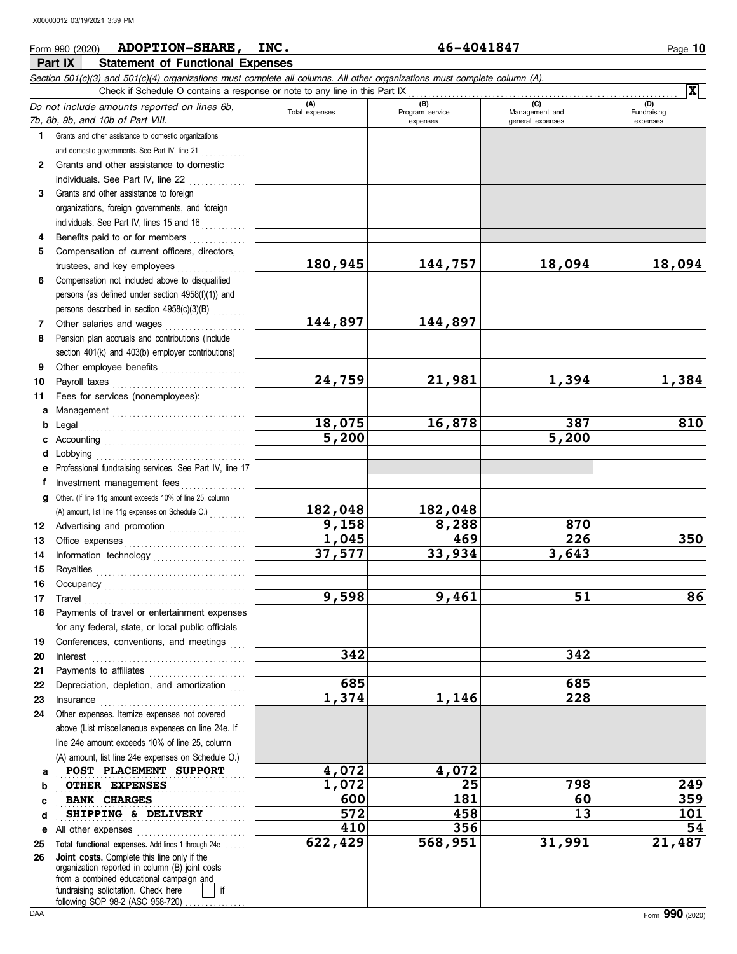### **Part IX Statement of Functional Expenses Form 990 (2020) ADOPTION-SHARE, INC.** 46-4041847 Page 10 *Section 501(c)(3) and 501(c)(4) organizations must complete all columns. All other organizations must complete column (A). Do not include amounts reported on lines 6b, 7b, 8b, 9b, and 10b of Part VIII.* **1 2 3 4** Grants and other assistance to domestic organizations and domestic governments. See Part IV, line 21 . . . . . . . . . . . Grants and other assistance to domestic individuals. See Part IV, line 22 . . . . . . . . . . . . . Grants and other assistance to foreign organizations, foreign governments, and foreign individuals. See Part IV, lines 15 and 16 Benefite paid to or for members **(A) (B) (C) (D)** Management and expenses and general expenses (D)<br>Fundraising expenses Check if Schedule O contains a response or note to any line in this Part IX **X**

| 4 | Benefits paid to or for members                      |  |
|---|------------------------------------------------------|--|
| 5 | Compensation of current officers, directors,         |  |
|   | trustees, and key employees                          |  |
| 6 | Compensation not included above to disqualified      |  |
|   | persons (as defined under section $4958(f)(1)$ ) and |  |
|   | persons described in section 4958(c)(3)(B)           |  |
|   | Other salaries and wages                             |  |

- **8** Other salaries and wages ................... Pension plan accruals and contributions (include section 401(k) and 403(b) employer contributions)
- **9 10 11** Other employee benefits . . . . . . . . . . . . . . . . . . . . . Payroll taxes . . . . . . . . . . . . . . . . . . . . . . . . . . . . . . . . . Fees for services (nonemployees):
- 
- **a** Management . . . . . . . . . . . . . . . . . . . . . . . . . . . . . . . . . **b** Legal . . . . . . . . . . . . . . . . . . . . . . . . . . . . . . . . . . . . . . . . . **e**
	- **d** Lobbying . . . . . . . . . . . . . . . . . . . . . . . . . . . . . . . . . . . . .
- **f** Professional fundraising services. See Part IV, line 17
- **g** Other. (If line 11g amount exceeds 10% of line 25, column Investment management fees ................
	- (A) amount, list line 11g expenses on Schedule O.)

Royalties . . . . . . . . . . . . . . . . . . . . . . . . . . . . . . . . . . . . . Occupancy . . . . . . . . . . . . . . . . . . . . . . . . . . . . . . . . . . . Travel . . . . . . . . . . . . . . . . . . . . . . . . . . . . . . . . . . . . . . . . Payments of travel or entertainment expenses for any federal, state, or local public officials Conferences, conventions, and meetings Interest . . . . . . . . . . . . . . . . . . . . . . . . . . . . . . . . . . . . . . Payments to affiliates . . . . . . . . . . . . . . . . . . . . . . . . Depreciation, depletion, and amortization Insurance Other expenses. Itemize expenses not covered above (List miscellaneous expenses on line 24e. If line 24e amount exceeds 10% of line 25, column (A) amount, list line 24e expenses on Schedule O.)

**12** Advertising and promotion . . . . . . . . . . . . . . . . . . . **13 14** Office expenses . . . . . . . . . . . . . . . . . . . . . . . . . . . . . . Information technology . . . . . . . . . . . . . . . . . . . . . . .

**e** All other expenses . . . . . . . . . . . . . . . . . . . . . . . . . . .

**Total functional expenses.** Add lines 1 through 24e

**Joint costs.** Complete this line only if the

fundraising solicitation. Check here | | if organization reported in column (B) joint costs from a combined educational campaign and

following SOP 98-2 (ASC 958-720)

BANK CHARGES

- **c** Accounting . . . . . . . . . . . . . . . . . . . . . . . . . . . . . . . . . . .
- - -
		-
		-
		-
		-
	-
	-
	-
	- -
		- -
- 
- 
- 
- 
- 
- 
- 
- 
- 
- 
- 
- 
- **9,158 8,288 870**

**POST PLACEMENT SUPPORT 4,072 4,072** 

. . . . . . . . . . . . . . . . . . . . . . . . . . . . . . . . . . . . . . . . . . . . . . . **OTHER EXPENSES 1,072 25 798 249**

**BANK CHARGES 600 181 60 359**

**SHIPPING & DELIVERY 572 13 101** 

- **182,048 182,048**
- 
- 
- 
- 
- 
- 
- **180,945 144,757 18,094 18,094**
	-
	-
- **144,897 144,897**
	-
	-
	- **24,759 21,981 1,394 1,384**
- 
- 

**18,075 16,878 387 810**

**1,045 469 226 350**

**9,598 9,461 51 86**

**410 356 54 622,429 568,951 31,991 21,487**

- 
- 
- 
- 

**37,577 33,934 3,643**

**342 342**

**685 685 1,374 1,146 228**

- -

**5,200 5,200**

> **a b c d**

**25 26**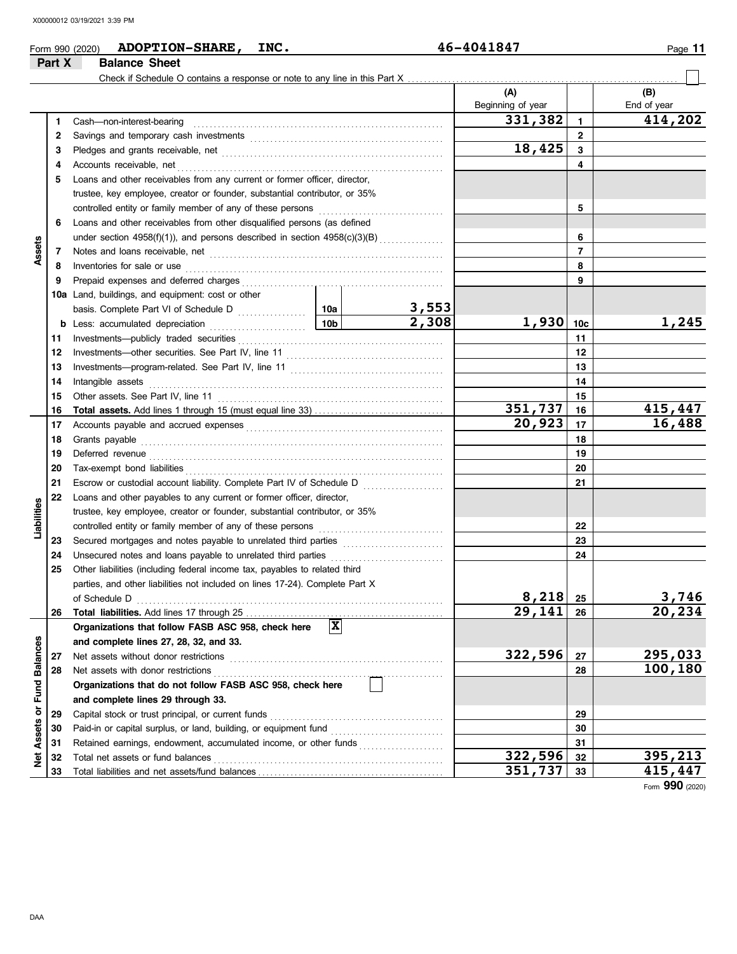|                         | Part X       | ADOPTION-SHARE, INC.<br>Form 990 (2020)<br><b>Balance Sheet</b>                                                                                                                                                                                  |                 |                                                   | 46-4041847        |                | Page 11     |
|-------------------------|--------------|--------------------------------------------------------------------------------------------------------------------------------------------------------------------------------------------------------------------------------------------------|-----------------|---------------------------------------------------|-------------------|----------------|-------------|
|                         |              |                                                                                                                                                                                                                                                  |                 |                                                   |                   |                |             |
|                         |              |                                                                                                                                                                                                                                                  |                 |                                                   | (A)               |                | (B)         |
|                         |              |                                                                                                                                                                                                                                                  |                 |                                                   | Beginning of year |                | End of year |
|                         | 1            | Cash-non-interest-bearing                                                                                                                                                                                                                        |                 |                                                   | 331,382           | $\mathbf{1}$   | 414,202     |
|                         | $\mathbf{2}$ |                                                                                                                                                                                                                                                  |                 |                                                   |                   | $\overline{2}$ |             |
|                         | 3            |                                                                                                                                                                                                                                                  |                 |                                                   | 18,425            | 3              |             |
|                         | 4            | Accounts receivable, net                                                                                                                                                                                                                         |                 |                                                   |                   | 4              |             |
|                         | 5            | Loans and other receivables from any current or former officer, director,                                                                                                                                                                        |                 |                                                   |                   |                |             |
|                         |              | trustee, key employee, creator or founder, substantial contributor, or 35%                                                                                                                                                                       |                 |                                                   |                   |                |             |
|                         |              | controlled entity or family member of any of these persons                                                                                                                                                                                       |                 |                                                   |                   | 5              |             |
|                         | 6            | Loans and other receivables from other disqualified persons (as defined                                                                                                                                                                          |                 |                                                   |                   |                |             |
|                         |              | under section $4958(f)(1)$ ), and persons described in section $4958(c)(3)(B)$                                                                                                                                                                   |                 |                                                   |                   | 6              |             |
| Assets                  | 7            | Notes and loans receivable, net with an architecture of the state of the state of the state of the state of the state of the state of the state of the state of the state of the state of the state of the state of the state                    |                 |                                                   |                   | $\overline{7}$ |             |
|                         | 8            | Inventories for sale or use                                                                                                                                                                                                                      |                 |                                                   |                   | 8              |             |
|                         | 9            | Prepaid expenses and deferred charges                                                                                                                                                                                                            |                 |                                                   |                   | 9              |             |
|                         |              | 10a Land, buildings, and equipment: cost or other                                                                                                                                                                                                |                 |                                                   |                   |                |             |
|                         |              |                                                                                                                                                                                                                                                  |                 | 3,553<br>$\overline{2,308}$                       |                   |                |             |
|                         |              | <b>b</b> Less: accumulated depreciation                                                                                                                                                                                                          | 10 <sub>b</sub> |                                                   | $1,930$ 10c       |                | 1,245       |
|                         | 11           | Investments-publicly traded securities                                                                                                                                                                                                           |                 |                                                   |                   | 11             |             |
|                         | 12           | Investments-other securities. See Part IV, line 11                                                                                                                                                                                               |                 |                                                   |                   | 12             |             |
|                         | 13           |                                                                                                                                                                                                                                                  |                 |                                                   |                   | 13             |             |
|                         | 14           | Intangible assets                                                                                                                                                                                                                                |                 |                                                   |                   | 14<br>15       |             |
|                         | 15           | Other assets. See Part IV, line 11                                                                                                                                                                                                               |                 |                                                   | 351,737           | 16             | 415,447     |
|                         | 16<br>17     |                                                                                                                                                                                                                                                  |                 |                                                   | 20,923            | 17             | 16,488      |
|                         | 18           | Accounts payable and accrued expenses [[11] content content and accrued expenses [[11] content and accrued expenses [[11] content and accrued expenses [[11] content accrued expenses [[11] content accrued expenses [[11] con<br>Grants payable |                 | 18                                                |                   |                |             |
|                         | 19           |                                                                                                                                                                                                                                                  |                 |                                                   |                   | 19             |             |
|                         | 20           | Deferred revenue <b>construction and the construction of the construction of the construction</b><br>Tax-exempt bond liabilities                                                                                                                 |                 |                                                   |                   | 20             |             |
|                         | 21           | Escrow or custodial account liability. Complete Part IV of Schedule D                                                                                                                                                                            |                 |                                                   |                   | 21             |             |
|                         | 22           | Loans and other payables to any current or former officer, director,                                                                                                                                                                             |                 | <u> 1966 - Johann Stoff, Amerikaansk kanton (</u> |                   |                |             |
|                         |              | trustee, key employee, creator or founder, substantial contributor, or 35%                                                                                                                                                                       |                 |                                                   |                   |                |             |
| Liabilities             |              | controlled entity or family member of any of these persons                                                                                                                                                                                       |                 |                                                   |                   | 22             |             |
|                         | 23           | Secured mortgages and notes payable to unrelated third parties [111] [11] Secured mortgages and notes payable to unrelated third parties                                                                                                         |                 |                                                   |                   | 23             |             |
|                         | 24           | Unsecured notes and loans payable to unrelated third parties                                                                                                                                                                                     |                 |                                                   |                   | 24             |             |
|                         | 25           | Other liabilities (including federal income tax, payables to related third                                                                                                                                                                       |                 |                                                   |                   |                |             |
|                         |              | parties, and other liabilities not included on lines 17-24). Complete Part X                                                                                                                                                                     |                 |                                                   |                   |                |             |
|                         |              | of Schedule D                                                                                                                                                                                                                                    |                 |                                                   | 8,218             | 25             | 3,746       |
|                         | 26           |                                                                                                                                                                                                                                                  |                 |                                                   | 29,141            | 26             | 20,234      |
|                         |              | Organizations that follow FASB ASC 958, check here                                                                                                                                                                                               | $\mathbf{x}$    |                                                   |                   |                |             |
|                         |              | and complete lines 27, 28, 32, and 33.                                                                                                                                                                                                           |                 |                                                   |                   |                |             |
|                         | 27           | Net assets without donor restrictions                                                                                                                                                                                                            |                 |                                                   | 322,596           | 27             | 295,033     |
|                         | 28           | Net assets with donor restrictions                                                                                                                                                                                                               |                 |                                                   |                   | 28             | 100,180     |
|                         |              | Organizations that do not follow FASB ASC 958, check here                                                                                                                                                                                        |                 |                                                   |                   |                |             |
|                         |              | and complete lines 29 through 33.                                                                                                                                                                                                                |                 |                                                   |                   |                |             |
|                         | 29           | Capital stock or trust principal, or current funds                                                                                                                                                                                               |                 |                                                   |                   | 29             |             |
| Assets or Fund Balances | 30           |                                                                                                                                                                                                                                                  |                 |                                                   |                   | 30             |             |
|                         | 31           | Retained earnings, endowment, accumulated income, or other funds                                                                                                                                                                                 |                 |                                                   |                   | 31             |             |
| <b>Pet</b>              | 32           | Total net assets or fund balances                                                                                                                                                                                                                |                 |                                                   | 322,596           | 32             | 395,213     |
|                         | 33           |                                                                                                                                                                                                                                                  |                 |                                                   | 351,737           | 33             | 415,447     |

Form **990** (2020)

**33 351,737 415,447**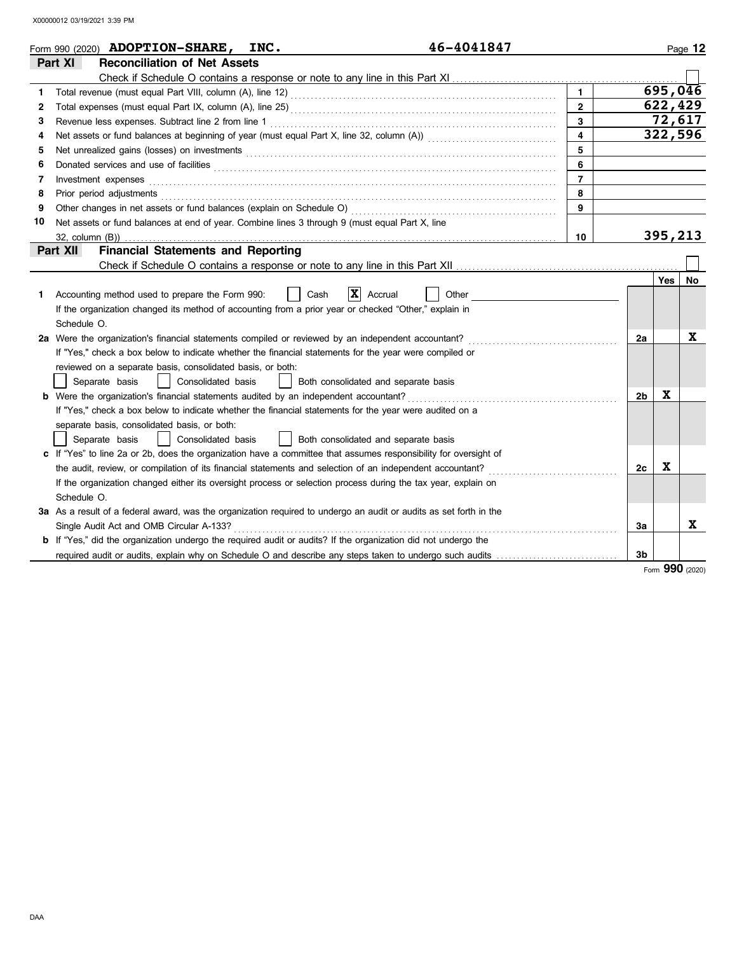|    | 46-4041847<br>Form 990 (2020) <b>ADOPTION-SHARE,</b><br>INC.                                                                                                                                                                         |                         |                |         | Page 12 |
|----|--------------------------------------------------------------------------------------------------------------------------------------------------------------------------------------------------------------------------------------|-------------------------|----------------|---------|---------|
|    | Part XI<br><b>Reconciliation of Net Assets</b>                                                                                                                                                                                       |                         |                |         |         |
|    |                                                                                                                                                                                                                                      |                         |                |         |         |
| 1. |                                                                                                                                                                                                                                      | $\mathbf{1}$            |                |         | 695,046 |
| 2  |                                                                                                                                                                                                                                      | $\mathbf{2}$            |                |         | 622,429 |
| 3  | Revenue less expenses. Subtract line 2 from line 1                                                                                                                                                                                   | 3                       |                |         | 72,617  |
| 4  |                                                                                                                                                                                                                                      | $\overline{\mathbf{4}}$ |                |         | 322,596 |
| 5  |                                                                                                                                                                                                                                      | 5                       |                |         |         |
| 6  | Donated services and use of facilities <b>constant of the constant of the constant of the constant of the constant of the constant of the constant of the constant of the constant of the constant of the constant of the consta</b> | 6                       |                |         |         |
| 7  | Investment expenses                                                                                                                                                                                                                  | $\overline{7}$          |                |         |         |
| 8  | Prior period adjustments                                                                                                                                                                                                             | 8                       |                |         |         |
| 9  |                                                                                                                                                                                                                                      | 9                       |                |         |         |
| 10 | Net assets or fund balances at end of year. Combine lines 3 through 9 (must equal Part X, line                                                                                                                                       |                         |                |         |         |
|    |                                                                                                                                                                                                                                      | 10                      |                | 395,213 |         |
|    | Part XII<br><b>Financial Statements and Reporting</b>                                                                                                                                                                                |                         |                |         |         |
|    |                                                                                                                                                                                                                                      |                         |                |         |         |
|    |                                                                                                                                                                                                                                      |                         |                | Yes     | No      |
| 1. | X <br>Accrual<br>Other<br>Accounting method used to prepare the Form 990:<br>Cash                                                                                                                                                    |                         |                |         |         |
|    | If the organization changed its method of accounting from a prior year or checked "Other," explain in                                                                                                                                |                         |                |         |         |
|    | Schedule O.                                                                                                                                                                                                                          |                         |                |         |         |
|    | 2a Were the organization's financial statements compiled or reviewed by an independent accountant?                                                                                                                                   |                         | 2a             |         | X       |
|    | If "Yes," check a box below to indicate whether the financial statements for the year were compiled or                                                                                                                               |                         |                |         |         |
|    | reviewed on a separate basis, consolidated basis, or both:                                                                                                                                                                           |                         |                |         |         |
|    | Consolidated basis<br>Separate basis<br>Both consolidated and separate basis                                                                                                                                                         |                         |                |         |         |
|    | <b>b</b> Were the organization's financial statements audited by an independent accountant?                                                                                                                                          |                         | 2 <sub>b</sub> | X       |         |
|    | If "Yes," check a box below to indicate whether the financial statements for the year were audited on a                                                                                                                              |                         |                |         |         |
|    | separate basis, consolidated basis, or both:                                                                                                                                                                                         |                         |                |         |         |
|    | Separate basis<br>Consolidated basis<br>Both consolidated and separate basis                                                                                                                                                         |                         |                |         |         |
|    | c If "Yes" to line 2a or 2b, does the organization have a committee that assumes responsibility for oversight of                                                                                                                     |                         |                |         |         |
|    | the audit, review, or compilation of its financial statements and selection of an independent accountant?                                                                                                                            |                         | 2c             | X       |         |
|    | If the organization changed either its oversight process or selection process during the tax year, explain on                                                                                                                        |                         |                |         |         |
|    | Schedule O.                                                                                                                                                                                                                          |                         |                |         |         |
|    | 3a As a result of a federal award, was the organization required to undergo an audit or audits as set forth in the                                                                                                                   |                         |                |         |         |
|    | Single Audit Act and OMB Circular A-133?                                                                                                                                                                                             |                         | За             |         | x       |
|    | <b>b</b> If "Yes," did the organization undergo the required audit or audits? If the organization did not undergo the                                                                                                                |                         |                |         |         |
|    | required audit or audits, explain why on Schedule O and describe any steps taken to undergo such audits                                                                                                                              |                         | 3b             |         |         |

Form **990** (2020)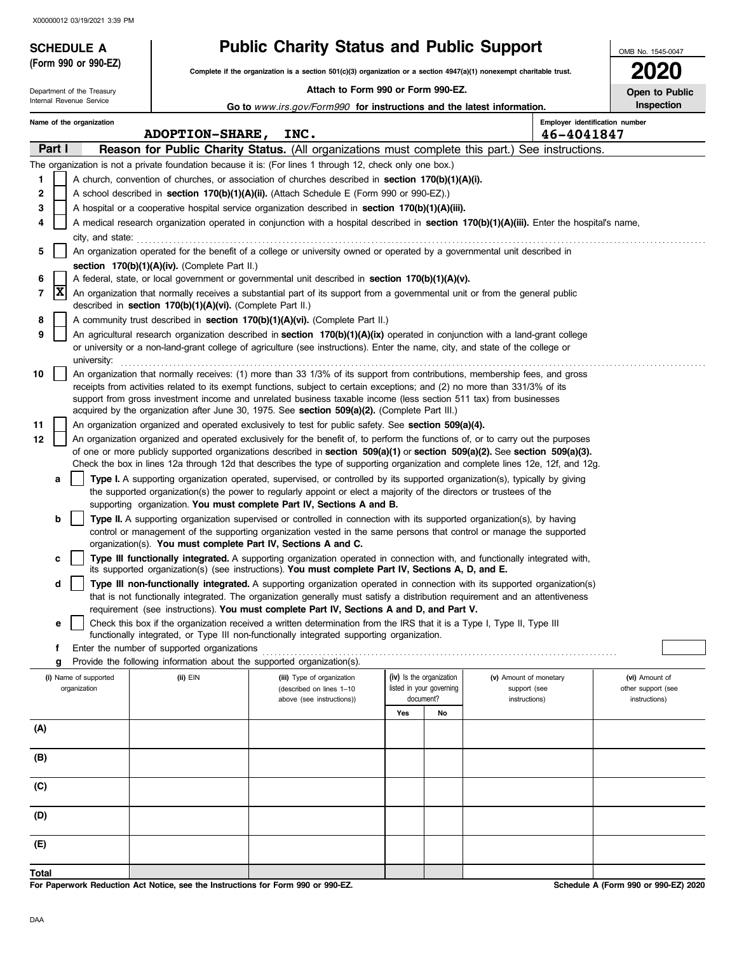Department of the Treasury

**(Form 990 or 990-EZ)**

## **SCHEDULE A Public Charity Status and Public Support**

**Complete if the organization is a section 501(c)(3) organization or a section 4947(a)(1) nonexempt charitable trust.**

 **Attach to Form 990 or Form 990-EZ.**

**2020 Open to Public**

OMB No. 1545-0047

|              |                                                                                                                                            | Internal Revenue Service                                                                                                                                                                                                                                                                                                                                 |  |                                                            | Go to www.irs.gov/Form990 for instructions and the latest information.                                                                                                                                                                                                 |                          |                          |                                        |                                              | Inspection                           |
|--------------|--------------------------------------------------------------------------------------------------------------------------------------------|----------------------------------------------------------------------------------------------------------------------------------------------------------------------------------------------------------------------------------------------------------------------------------------------------------------------------------------------------------|--|------------------------------------------------------------|------------------------------------------------------------------------------------------------------------------------------------------------------------------------------------------------------------------------------------------------------------------------|--------------------------|--------------------------|----------------------------------------|----------------------------------------------|--------------------------------------|
|              |                                                                                                                                            | Name of the organization                                                                                                                                                                                                                                                                                                                                 |  | <b>ADOPTION-SHARE,</b>                                     | INC.                                                                                                                                                                                                                                                                   |                          |                          |                                        | Employer identification number<br>46-4041847 |                                      |
|              | Part I                                                                                                                                     |                                                                                                                                                                                                                                                                                                                                                          |  |                                                            | <b>Reason for Public Charity Status.</b> (All organizations must complete this part.) See instructions.                                                                                                                                                                |                          |                          |                                        |                                              |                                      |
|              |                                                                                                                                            |                                                                                                                                                                                                                                                                                                                                                          |  |                                                            | The organization is not a private foundation because it is: (For lines 1 through 12, check only one box.)                                                                                                                                                              |                          |                          |                                        |                                              |                                      |
| $\mathbf{1}$ |                                                                                                                                            |                                                                                                                                                                                                                                                                                                                                                          |  |                                                            | A church, convention of churches, or association of churches described in section 170(b)(1)(A)(i).                                                                                                                                                                     |                          |                          |                                        |                                              |                                      |
| 2            |                                                                                                                                            |                                                                                                                                                                                                                                                                                                                                                          |  |                                                            | A school described in <b>section 170(b)(1)(A)(ii).</b> (Attach Schedule E (Form 990 or 990-EZ).)                                                                                                                                                                       |                          |                          |                                        |                                              |                                      |
| 3            |                                                                                                                                            |                                                                                                                                                                                                                                                                                                                                                          |  |                                                            | A hospital or a cooperative hospital service organization described in section $170(b)(1)(A)(iii)$ .                                                                                                                                                                   |                          |                          |                                        |                                              |                                      |
|              |                                                                                                                                            | city, and state:                                                                                                                                                                                                                                                                                                                                         |  |                                                            | A medical research organization operated in conjunction with a hospital described in section 170(b)(1)(A)(iii). Enter the hospital's name,                                                                                                                             |                          |                          |                                        |                                              |                                      |
| 5            |                                                                                                                                            |                                                                                                                                                                                                                                                                                                                                                          |  |                                                            | An organization operated for the benefit of a college or university owned or operated by a governmental unit described in                                                                                                                                              |                          |                          |                                        |                                              |                                      |
|              |                                                                                                                                            |                                                                                                                                                                                                                                                                                                                                                          |  | section 170(b)(1)(A)(iv). (Complete Part II.)              |                                                                                                                                                                                                                                                                        |                          |                          |                                        |                                              |                                      |
| 6            |                                                                                                                                            |                                                                                                                                                                                                                                                                                                                                                          |  |                                                            | A federal, state, or local government or governmental unit described in section $170(b)(1)(A)(v)$ .                                                                                                                                                                    |                          |                          |                                        |                                              |                                      |
| 7            | X                                                                                                                                          |                                                                                                                                                                                                                                                                                                                                                          |  | described in section 170(b)(1)(A)(vi). (Complete Part II.) | An organization that normally receives a substantial part of its support from a governmental unit or from the general public                                                                                                                                           |                          |                          |                                        |                                              |                                      |
| 8            |                                                                                                                                            |                                                                                                                                                                                                                                                                                                                                                          |  |                                                            | A community trust described in section 170(b)(1)(A)(vi). (Complete Part II.)                                                                                                                                                                                           |                          |                          |                                        |                                              |                                      |
| 9            |                                                                                                                                            |                                                                                                                                                                                                                                                                                                                                                          |  |                                                            | An agricultural research organization described in section 170(b)(1)(A)(ix) operated in conjunction with a land-grant college<br>or university or a non-land-grant college of agriculture (see instructions). Enter the name, city, and state of the college or        |                          |                          |                                        |                                              |                                      |
| 10           | university:<br>An organization that normally receives: (1) more than 33 1/3% of its support from contributions, membership fees, and gross |                                                                                                                                                                                                                                                                                                                                                          |  |                                                            |                                                                                                                                                                                                                                                                        |                          |                          |                                        |                                              |                                      |
|              |                                                                                                                                            | receipts from activities related to its exempt functions, subject to certain exceptions; and (2) no more than 331/3% of its<br>support from gross investment income and unrelated business taxable income (less section 511 tax) from businesses<br>acquired by the organization after June 30, 1975. See <b>section 509(a)(2).</b> (Complete Part III.) |  |                                                            |                                                                                                                                                                                                                                                                        |                          |                          |                                        |                                              |                                      |
| 11           |                                                                                                                                            |                                                                                                                                                                                                                                                                                                                                                          |  |                                                            | An organization organized and operated exclusively to test for public safety. See section 509(a)(4).                                                                                                                                                                   |                          |                          |                                        |                                              |                                      |
| 12           |                                                                                                                                            |                                                                                                                                                                                                                                                                                                                                                          |  |                                                            | An organization organized and operated exclusively for the benefit of, to perform the functions of, or to carry out the purposes                                                                                                                                       |                          |                          |                                        |                                              |                                      |
|              |                                                                                                                                            |                                                                                                                                                                                                                                                                                                                                                          |  |                                                            | of one or more publicly supported organizations described in section $509(a)(1)$ or section $509(a)(2)$ . See section $509(a)(3)$ .<br>Check the box in lines 12a through 12d that describes the type of supporting organization and complete lines 12e, 12f, and 12g. |                          |                          |                                        |                                              |                                      |
|              | а                                                                                                                                          |                                                                                                                                                                                                                                                                                                                                                          |  |                                                            | Type I. A supporting organization operated, supervised, or controlled by its supported organization(s), typically by giving                                                                                                                                            |                          |                          |                                        |                                              |                                      |
|              |                                                                                                                                            |                                                                                                                                                                                                                                                                                                                                                          |  |                                                            | the supported organization(s) the power to regularly appoint or elect a majority of the directors or trustees of the<br>supporting organization. You must complete Part IV, Sections A and B.                                                                          |                          |                          |                                        |                                              |                                      |
|              | b                                                                                                                                          |                                                                                                                                                                                                                                                                                                                                                          |  |                                                            | Type II. A supporting organization supervised or controlled in connection with its supported organization(s), by having                                                                                                                                                |                          |                          |                                        |                                              |                                      |
|              |                                                                                                                                            |                                                                                                                                                                                                                                                                                                                                                          |  |                                                            | control or management of the supporting organization vested in the same persons that control or manage the supported                                                                                                                                                   |                          |                          |                                        |                                              |                                      |
|              |                                                                                                                                            |                                                                                                                                                                                                                                                                                                                                                          |  |                                                            | organization(s). You must complete Part IV, Sections A and C.                                                                                                                                                                                                          |                          |                          |                                        |                                              |                                      |
|              | с                                                                                                                                          |                                                                                                                                                                                                                                                                                                                                                          |  |                                                            | Type III functionally integrated. A supporting organization operated in connection with, and functionally integrated with,<br>its supported organization(s) (see instructions). You must complete Part IV, Sections A, D, and E.                                       |                          |                          |                                        |                                              |                                      |
|              | d                                                                                                                                          |                                                                                                                                                                                                                                                                                                                                                          |  |                                                            | Type III non-functionally integrated. A supporting organization operated in connection with its supported organization(s)                                                                                                                                              |                          |                          |                                        |                                              |                                      |
|              |                                                                                                                                            |                                                                                                                                                                                                                                                                                                                                                          |  |                                                            | that is not functionally integrated. The organization generally must satisfy a distribution requirement and an attentiveness                                                                                                                                           |                          |                          |                                        |                                              |                                      |
|              |                                                                                                                                            |                                                                                                                                                                                                                                                                                                                                                          |  |                                                            | requirement (see instructions). You must complete Part IV, Sections A and D, and Part V.                                                                                                                                                                               |                          |                          |                                        |                                              |                                      |
|              | е                                                                                                                                          |                                                                                                                                                                                                                                                                                                                                                          |  |                                                            | Check this box if the organization received a written determination from the IRS that it is a Type I, Type II, Type III<br>functionally integrated, or Type III non-functionally integrated supporting organization.                                                   |                          |                          |                                        |                                              |                                      |
|              | f                                                                                                                                          |                                                                                                                                                                                                                                                                                                                                                          |  | Enter the number of supported organizations                |                                                                                                                                                                                                                                                                        |                          |                          |                                        |                                              |                                      |
|              | g                                                                                                                                          |                                                                                                                                                                                                                                                                                                                                                          |  |                                                            | Provide the following information about the supported organization(s).                                                                                                                                                                                                 |                          |                          |                                        |                                              |                                      |
|              |                                                                                                                                            | (i) Name of supported<br>organization                                                                                                                                                                                                                                                                                                                    |  | (ii) EIN                                                   | (iii) Type of organization<br>(described on lines 1-10                                                                                                                                                                                                                 | (iv) Is the organization | listed in your governing | (v) Amount of monetary<br>support (see |                                              | (vi) Amount of<br>other support (see |
|              |                                                                                                                                            |                                                                                                                                                                                                                                                                                                                                                          |  |                                                            | above (see instructions))                                                                                                                                                                                                                                              | document?<br>Yes         | No                       | instructions)                          |                                              | instructions)                        |
| (A)          |                                                                                                                                            |                                                                                                                                                                                                                                                                                                                                                          |  |                                                            |                                                                                                                                                                                                                                                                        |                          |                          |                                        |                                              |                                      |
| (B)          |                                                                                                                                            |                                                                                                                                                                                                                                                                                                                                                          |  |                                                            |                                                                                                                                                                                                                                                                        |                          |                          |                                        |                                              |                                      |
| (C)          |                                                                                                                                            |                                                                                                                                                                                                                                                                                                                                                          |  |                                                            |                                                                                                                                                                                                                                                                        |                          |                          |                                        |                                              |                                      |
| (D)          |                                                                                                                                            |                                                                                                                                                                                                                                                                                                                                                          |  |                                                            |                                                                                                                                                                                                                                                                        |                          |                          |                                        |                                              |                                      |
| (E)          |                                                                                                                                            |                                                                                                                                                                                                                                                                                                                                                          |  |                                                            |                                                                                                                                                                                                                                                                        |                          |                          |                                        |                                              |                                      |
| <b>Total</b> |                                                                                                                                            |                                                                                                                                                                                                                                                                                                                                                          |  |                                                            |                                                                                                                                                                                                                                                                        |                          |                          |                                        |                                              |                                      |

**For Paperwork Reduction Act Notice, see the Instructions for Form 990 or 990-EZ.**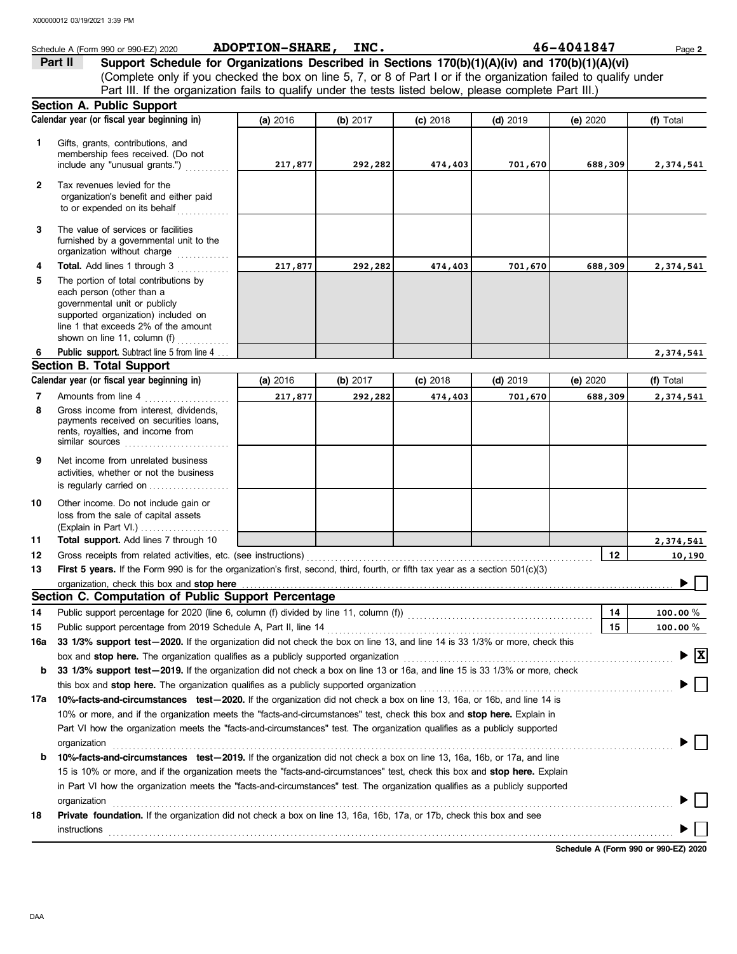|              | Schedule A (Form 990 or 990-EZ) 2020                                                                                                                                                                                                                 | ADOPTION-SHARE, INC. |            |            |            | 46-4041847 | Page 2                             |
|--------------|------------------------------------------------------------------------------------------------------------------------------------------------------------------------------------------------------------------------------------------------------|----------------------|------------|------------|------------|------------|------------------------------------|
|              | Support Schedule for Organizations Described in Sections 170(b)(1)(A)(iv) and 170(b)(1)(A)(vi)<br>Part II                                                                                                                                            |                      |            |            |            |            |                                    |
|              | (Complete only if you checked the box on line 5, 7, or 8 of Part I or if the organization failed to qualify under                                                                                                                                    |                      |            |            |            |            |                                    |
|              | Part III. If the organization fails to qualify under the tests listed below, please complete Part III.)                                                                                                                                              |                      |            |            |            |            |                                    |
|              | Section A. Public Support                                                                                                                                                                                                                            |                      |            |            |            |            |                                    |
|              | Calendar year (or fiscal year beginning in)                                                                                                                                                                                                          | (a) 2016             | (b) 2017   | $(c)$ 2018 | $(d)$ 2019 | (e) 2020   | (f) Total                          |
| $\mathbf{1}$ | Gifts, grants, contributions, and<br>membership fees received. (Do not<br>include any "unusual grants.")                                                                                                                                             | 217,877              | 292,282    | 474,403    | 701,670    | 688,309    | 2,374,541                          |
| $\mathbf{2}$ | Tax revenues levied for the<br>organization's benefit and either paid<br>to or expended on its behalf                                                                                                                                                |                      |            |            |            |            |                                    |
| 3            | The value of services or facilities<br>furnished by a governmental unit to the<br>organization without charge                                                                                                                                        |                      |            |            |            |            |                                    |
| 4            | Total. Add lines 1 through 3                                                                                                                                                                                                                         | 217,877              | 292,282    | 474,403    | 701,670    | 688,309    | 2,374,541                          |
| 5            | The portion of total contributions by<br>each person (other than a<br>governmental unit or publicly<br>supported organization) included on<br>line 1 that exceeds 2% of the amount<br>shown on line 11, column (f)                                   |                      |            |            |            |            |                                    |
| 6            | Public support. Subtract line 5 from line 4                                                                                                                                                                                                          |                      |            |            |            |            | 2,374,541                          |
|              | <b>Section B. Total Support</b>                                                                                                                                                                                                                      |                      |            |            |            |            |                                    |
|              | Calendar year (or fiscal year beginning in)                                                                                                                                                                                                          | (a) 2016             | (b) $2017$ | $(c)$ 2018 | $(d)$ 2019 | (e) 2020   | (f) Total                          |
| 7            | Amounts from line 4                                                                                                                                                                                                                                  | 217,877              | 292,282    | 474,403    | 701,670    | 688,309    | 2,374,541                          |
| 8            | Gross income from interest, dividends,<br>payments received on securities loans,<br>rents, royalties, and income from                                                                                                                                |                      |            |            |            |            |                                    |
| 9            | Net income from unrelated business<br>activities, whether or not the business<br>is regularly carried on                                                                                                                                             |                      |            |            |            |            |                                    |
| 10           | Other income. Do not include gain or<br>loss from the sale of capital assets                                                                                                                                                                         |                      |            |            |            |            |                                    |
| 11           | Total support. Add lines 7 through 10                                                                                                                                                                                                                |                      |            |            |            |            | 2,374,541                          |
| 12           | Gross receipts from related activities, etc. (see instructions)                                                                                                                                                                                      |                      |            |            |            | 12         | 10,190                             |
| 13           | First 5 years. If the Form 990 is for the organization's first, second, third, fourth, or fifth tax year as a section 501(c)(3)                                                                                                                      |                      |            |            |            |            |                                    |
|              | organization, check this box and stop here                                                                                                                                                                                                           |                      |            |            |            |            |                                    |
|              | Section C. Computation of Public Support Percentage                                                                                                                                                                                                  |                      |            |            |            |            |                                    |
| 14           |                                                                                                                                                                                                                                                      |                      |            |            |            | 14         | 100.00 $%$                         |
| 15           | Public support percentage from 2019 Schedule A, Part II, line 14                                                                                                                                                                                     |                      |            |            |            | 15         | $100.00 \%$                        |
| 16a          | 33 1/3% support test-2020. If the organization did not check the box on line 13, and line 14 is 33 1/3% or more, check this                                                                                                                          |                      |            |            |            |            |                                    |
|              | box and stop here. The organization qualifies as a publicly supported organization [11] content content content of the content of the content of the content of the content of the content of the content of the content of th                       |                      |            |            |            |            | $\blacktriangleright$ $\mathbf{X}$ |
| b            | 33 1/3% support test-2019. If the organization did not check a box on line 13 or 16a, and line 15 is 33 1/3% or more, check                                                                                                                          |                      |            |            |            |            |                                    |
|              | this box and <b>stop here.</b> The organization qualifies as a publicly supported organization                                                                                                                                                       |                      |            |            |            |            |                                    |
|              | 17a 10%-facts-and-circumstances test-2020. If the organization did not check a box on line 13, 16a, or 16b, and line 14 is                                                                                                                           |                      |            |            |            |            |                                    |
|              | 10% or more, and if the organization meets the "facts-and-circumstances" test, check this box and stop here. Explain in<br>Part VI how the organization meets the "facts-and-circumstances" test. The organization qualifies as a publicly supported |                      |            |            |            |            |                                    |
|              | organization                                                                                                                                                                                                                                         |                      |            |            |            |            |                                    |
| b            | 10%-facts-and-circumstances test-2019. If the organization did not check a box on line 13, 16a, 16b, or 17a, and line                                                                                                                                |                      |            |            |            |            |                                    |
|              | 15 is 10% or more, and if the organization meets the "facts-and-circumstances" test, check this box and stop here. Explain                                                                                                                           |                      |            |            |            |            |                                    |
|              | in Part VI how the organization meets the "facts-and-circumstances" test. The organization qualifies as a publicly supported                                                                                                                         |                      |            |            |            |            |                                    |
|              | organization                                                                                                                                                                                                                                         |                      |            |            |            |            |                                    |
| 18           | Private foundation. If the organization did not check a box on line 13, 16a, 16b, 17a, or 17b, check this box and see                                                                                                                                |                      |            |            |            |            |                                    |
|              | instructions                                                                                                                                                                                                                                         |                      |            |            |            |            |                                    |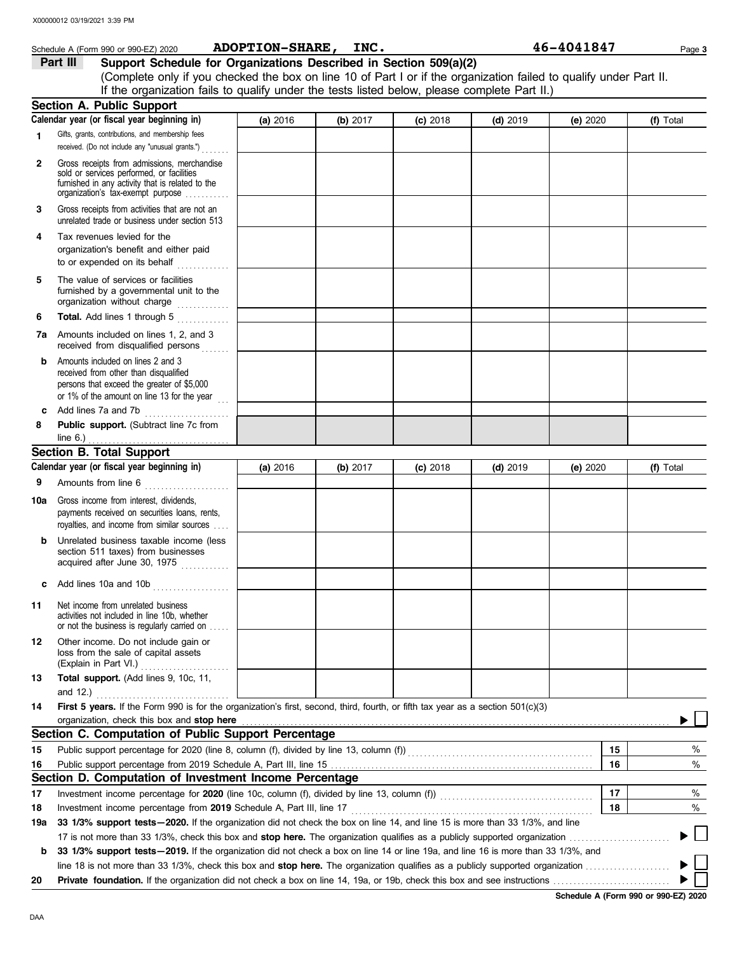|     | Schedule A (Form 990 or 990-EZ) 2020                                                                                                                                              | ADOPTION-SHARE, INC. |          |            |            | 46-4041847 |    | Page 3    |
|-----|-----------------------------------------------------------------------------------------------------------------------------------------------------------------------------------|----------------------|----------|------------|------------|------------|----|-----------|
|     | Support Schedule for Organizations Described in Section 509(a)(2)<br>Part III                                                                                                     |                      |          |            |            |            |    |           |
|     | (Complete only if you checked the box on line 10 of Part I or if the organization failed to qualify under Part II.                                                                |                      |          |            |            |            |    |           |
|     | If the organization fails to qualify under the tests listed below, please complete Part II.)                                                                                      |                      |          |            |            |            |    |           |
|     | Section A. Public Support                                                                                                                                                         |                      |          |            |            |            |    |           |
|     | Calendar year (or fiscal year beginning in)                                                                                                                                       | (a) 2016             | (b) 2017 | $(c)$ 2018 | $(d)$ 2019 | (e) 2020   |    | (f) Total |
| 1.  | Gifts, grants, contributions, and membership fees<br>received. (Do not include any "unusual grants.")                                                                             |                      |          |            |            |            |    |           |
| 2   | Gross receipts from admissions, merchandise<br>sold or services performed, or facilities<br>furnished in any activity that is related to the<br>organization's tax-exempt purpose |                      |          |            |            |            |    |           |
| 3   | Gross receipts from activities that are not an<br>unrelated trade or business under section 513                                                                                   |                      |          |            |            |            |    |           |
| 4   | Tax revenues levied for the<br>organization's benefit and either paid<br>to or expended on its behalf<br>.                                                                        |                      |          |            |            |            |    |           |
| 5   | The value of services or facilities<br>furnished by a governmental unit to the<br>organization without charge                                                                     |                      |          |            |            |            |    |           |
| 6   | Total. Add lines 1 through 5                                                                                                                                                      |                      |          |            |            |            |    |           |
| 7a  | Amounts included on lines 1, 2, and 3<br>received from disqualified persons                                                                                                       |                      |          |            |            |            |    |           |
| b   | Amounts included on lines 2 and 3<br>received from other than disqualified<br>persons that exceed the greater of \$5,000<br>or 1% of the amount on line 13 for the year           |                      |          |            |            |            |    |           |
| c   | Add lines 7a and 7b<br>.                                                                                                                                                          |                      |          |            |            |            |    |           |
| 8   | Public support. (Subtract line 7c from<br>line $6.$ )                                                                                                                             |                      |          |            |            |            |    |           |
|     | <b>Section B. Total Support</b>                                                                                                                                                   |                      |          |            |            |            |    |           |
|     | Calendar year (or fiscal year beginning in)                                                                                                                                       | (a) 2016             | (b) 2017 | $(c)$ 2018 | $(d)$ 2019 | (e) 2020   |    | (f) Total |
| 9   | Amounts from line 6<br>.                                                                                                                                                          |                      |          |            |            |            |    |           |
| 10a | Gross income from interest, dividends,<br>payments received on securities loans, rents,<br>royalties, and income from similar sources                                             |                      |          |            |            |            |    |           |
|     | Unrelated business taxable income (less<br>section 511 taxes) from businesses<br>acquired after June 30, 1975                                                                     |                      |          |            |            |            |    |           |
| с   | Add lines 10a and 10b                                                                                                                                                             |                      |          |            |            |            |    |           |
| 11  | Net income from unrelated business<br>activities not included in line 10b, whether<br>or not the business is regularly carried on                                                 |                      |          |            |            |            |    |           |
| 12  | Other income. Do not include gain or<br>loss from the sale of capital assets                                                                                                      |                      |          |            |            |            |    |           |
| 13  | Total support. (Add lines 9, 10c, 11,<br>and $12.$ )                                                                                                                              |                      |          |            |            |            |    |           |
| 14  | First 5 years. If the Form 990 is for the organization's first, second, third, fourth, or fifth tax year as a section 501(c)(3)                                                   |                      |          |            |            |            |    |           |
|     | organization, check this box and stop here                                                                                                                                        |                      |          |            |            |            |    |           |
|     | Section C. Computation of Public Support Percentage                                                                                                                               |                      |          |            |            |            |    |           |
| 15  | Public support percentage for 2020 (line 8, column (f), divided by line 13, column (f)) [[[[[[[[[[[[[[[[[[[[[                                                                     |                      |          |            |            |            | 15 | %         |
| 16  |                                                                                                                                                                                   |                      |          |            |            |            | 16 | %         |
|     | Section D. Computation of Investment Income Percentage                                                                                                                            |                      |          |            |            |            |    |           |
| 17  |                                                                                                                                                                                   |                      |          |            |            |            | 17 | %         |
| 18  | Investment income percentage from 2019 Schedule A, Part III, line 17                                                                                                              |                      |          |            |            |            | 18 | %         |
| 19a | 33 1/3% support tests - 2020. If the organization did not check the box on line 14, and line 15 is more than 33 1/3%, and line                                                    |                      |          |            |            |            |    |           |
|     | 17 is not more than 33 1/3%, check this box and stop here. The organization qualifies as a publicly supported organization <i>marrouum</i>                                        |                      |          |            |            |            |    |           |
| b   | 33 1/3% support tests - 2019. If the organization did not check a box on line 14 or line 19a, and line 16 is more than 33 1/3%, and                                               |                      |          |            |            |            |    |           |
|     |                                                                                                                                                                                   |                      |          |            |            |            |    |           |
| 20  |                                                                                                                                                                                   |                      |          |            |            |            |    |           |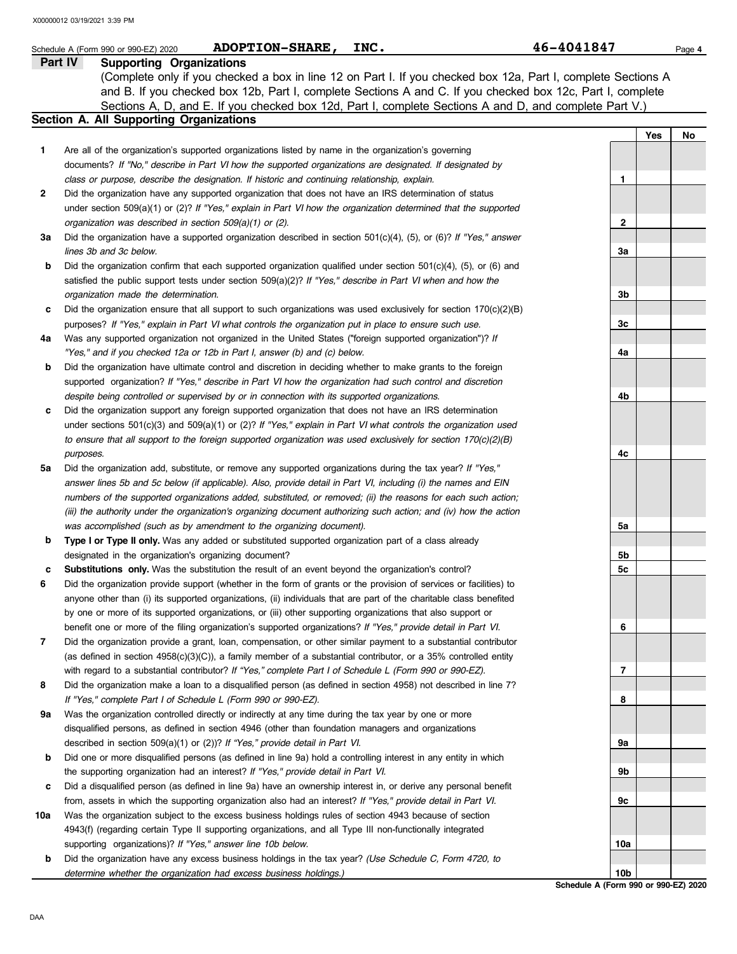|     | <b>ADOPTION-SHARE,</b><br>INC.<br>Schedule A (Form 990 or 990-EZ) 2020                                                                                                                                                                                                                                                                                                              | 46-4041847      |     | Page 4 |
|-----|-------------------------------------------------------------------------------------------------------------------------------------------------------------------------------------------------------------------------------------------------------------------------------------------------------------------------------------------------------------------------------------|-----------------|-----|--------|
|     | <b>Supporting Organizations</b><br>Part IV<br>(Complete only if you checked a box in line 12 on Part I. If you checked box 12a, Part I, complete Sections A<br>and B. If you checked box 12b, Part I, complete Sections A and C. If you checked box 12c, Part I, complete<br>Sections A, D, and E. If you checked box 12d, Part I, complete Sections A and D, and complete Part V.) |                 |     |        |
|     | Section A. All Supporting Organizations                                                                                                                                                                                                                                                                                                                                             |                 |     |        |
| 1   | Are all of the organization's supported organizations listed by name in the organization's governing                                                                                                                                                                                                                                                                                |                 | Yes | No     |
|     | documents? If "No," describe in Part VI how the supported organizations are designated. If designated by<br>class or purpose, describe the designation. If historic and continuing relationship, explain.                                                                                                                                                                           | 1               |     |        |
| 2   | Did the organization have any supported organization that does not have an IRS determination of status                                                                                                                                                                                                                                                                              |                 |     |        |
|     | under section 509(a)(1) or (2)? If "Yes," explain in Part VI how the organization determined that the supported                                                                                                                                                                                                                                                                     |                 |     |        |
|     | organization was described in section 509(a)(1) or (2).                                                                                                                                                                                                                                                                                                                             | 2               |     |        |
| За  | Did the organization have a supported organization described in section 501(c)(4), (5), or (6)? If "Yes," answer<br>lines 3b and 3c below.                                                                                                                                                                                                                                          | За              |     |        |
| b   | Did the organization confirm that each supported organization qualified under section 501(c)(4), (5), or (6) and                                                                                                                                                                                                                                                                    |                 |     |        |
|     | satisfied the public support tests under section 509(a)(2)? If "Yes," describe in Part VI when and how the                                                                                                                                                                                                                                                                          |                 |     |        |
|     | organization made the determination.                                                                                                                                                                                                                                                                                                                                                | 3b              |     |        |
| c   | Did the organization ensure that all support to such organizations was used exclusively for section $170(c)(2)(B)$                                                                                                                                                                                                                                                                  |                 |     |        |
|     | purposes? If "Yes," explain in Part VI what controls the organization put in place to ensure such use.                                                                                                                                                                                                                                                                              | 3c              |     |        |
| 4a  | Was any supported organization not organized in the United States ("foreign supported organization")? If                                                                                                                                                                                                                                                                            |                 |     |        |
| b   | "Yes," and if you checked 12a or 12b in Part I, answer (b) and (c) below.<br>Did the organization have ultimate control and discretion in deciding whether to make grants to the foreign                                                                                                                                                                                            | 4a              |     |        |
|     | supported organization? If "Yes," describe in Part VI how the organization had such control and discretion                                                                                                                                                                                                                                                                          |                 |     |        |
|     | despite being controlled or supervised by or in connection with its supported organizations.                                                                                                                                                                                                                                                                                        | 4b              |     |        |
| c   | Did the organization support any foreign supported organization that does not have an IRS determination                                                                                                                                                                                                                                                                             |                 |     |        |
|     | under sections $501(c)(3)$ and $509(a)(1)$ or (2)? If "Yes," explain in Part VI what controls the organization used                                                                                                                                                                                                                                                                 |                 |     |        |
|     | to ensure that all support to the foreign supported organization was used exclusively for section $170(c)(2)(B)$                                                                                                                                                                                                                                                                    |                 |     |        |
|     | purposes.                                                                                                                                                                                                                                                                                                                                                                           | 4c              |     |        |
| 5a  | Did the organization add, substitute, or remove any supported organizations during the tax year? If "Yes,"                                                                                                                                                                                                                                                                          |                 |     |        |
|     | answer lines 5b and 5c below (if applicable). Also, provide detail in Part VI, including (i) the names and EIN                                                                                                                                                                                                                                                                      |                 |     |        |
|     | numbers of the supported organizations added, substituted, or removed; (ii) the reasons for each such action;<br>(iii) the authority under the organization's organizing document authorizing such action; and (iv) how the action                                                                                                                                                  |                 |     |        |
|     | was accomplished (such as by amendment to the organizing document).                                                                                                                                                                                                                                                                                                                 | 5a              |     |        |
| b   | Type I or Type II only. Was any added or substituted supported organization part of a class already                                                                                                                                                                                                                                                                                 |                 |     |        |
|     | designated in the organization's organizing document?                                                                                                                                                                                                                                                                                                                               | 5b              |     |        |
| c   | Substitutions only. Was the substitution the result of an event beyond the organization's control?                                                                                                                                                                                                                                                                                  | 5c              |     |        |
| 6   | Did the organization provide support (whether in the form of grants or the provision of services or facilities) to                                                                                                                                                                                                                                                                  |                 |     |        |
|     | anyone other than (i) its supported organizations, (ii) individuals that are part of the charitable class benefited                                                                                                                                                                                                                                                                 |                 |     |        |
|     | by one or more of its supported organizations, or (iii) other supporting organizations that also support or                                                                                                                                                                                                                                                                         |                 |     |        |
|     | benefit one or more of the filing organization's supported organizations? If "Yes," provide detail in Part VI.                                                                                                                                                                                                                                                                      | 6               |     |        |
| 7   | Did the organization provide a grant, loan, compensation, or other similar payment to a substantial contributor<br>(as defined in section $4958(c)(3)(C)$ ), a family member of a substantial contributor, or a 35% controlled entity                                                                                                                                               |                 |     |        |
|     | with regard to a substantial contributor? If "Yes," complete Part I of Schedule L (Form 990 or 990-EZ).                                                                                                                                                                                                                                                                             | 7               |     |        |
| 8   | Did the organization make a loan to a disqualified person (as defined in section 4958) not described in line 7?                                                                                                                                                                                                                                                                     |                 |     |        |
|     | If "Yes," complete Part I of Schedule L (Form 990 or 990-EZ).                                                                                                                                                                                                                                                                                                                       | 8               |     |        |
| 9a  | Was the organization controlled directly or indirectly at any time during the tax year by one or more                                                                                                                                                                                                                                                                               |                 |     |        |
|     | disqualified persons, as defined in section 4946 (other than foundation managers and organizations                                                                                                                                                                                                                                                                                  |                 |     |        |
|     | described in section 509(a)(1) or (2))? If "Yes," provide detail in Part VI.                                                                                                                                                                                                                                                                                                        | 9a              |     |        |
| b   | Did one or more disqualified persons (as defined in line 9a) hold a controlling interest in any entity in which                                                                                                                                                                                                                                                                     |                 |     |        |
|     | the supporting organization had an interest? If "Yes," provide detail in Part VI.                                                                                                                                                                                                                                                                                                   | 9b              |     |        |
| c   | Did a disqualified person (as defined in line 9a) have an ownership interest in, or derive any personal benefit                                                                                                                                                                                                                                                                     |                 |     |        |
| 10a | from, assets in which the supporting organization also had an interest? If "Yes," provide detail in Part VI.<br>Was the organization subject to the excess business holdings rules of section 4943 because of section                                                                                                                                                               | 9с              |     |        |
|     | 4943(f) (regarding certain Type II supporting organizations, and all Type III non-functionally integrated                                                                                                                                                                                                                                                                           |                 |     |        |
|     | supporting organizations)? If "Yes," answer line 10b below.                                                                                                                                                                                                                                                                                                                         | 10a             |     |        |
| b   | Did the organization have any excess business holdings in the tax year? (Use Schedule C, Form 4720, to                                                                                                                                                                                                                                                                              |                 |     |        |
|     | determine whether the organization had excess business holdings.)                                                                                                                                                                                                                                                                                                                   | 10 <sub>b</sub> |     |        |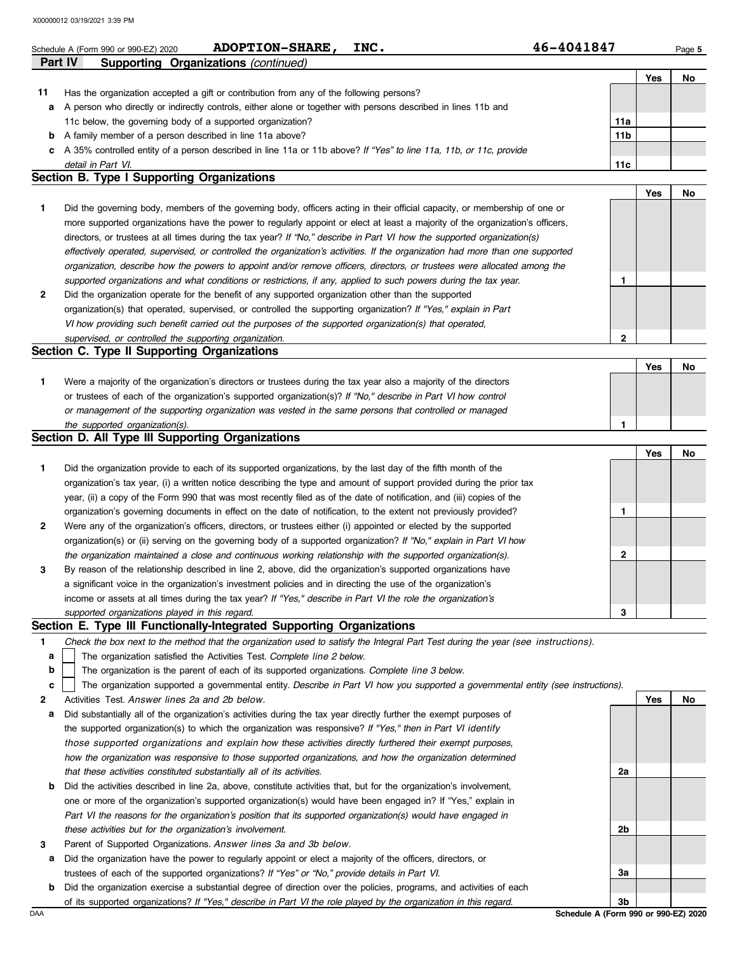|         | X00000012 03/19/2021 3:39 PM                                                                                                      |              |            |        |
|---------|-----------------------------------------------------------------------------------------------------------------------------------|--------------|------------|--------|
|         | <b>ADOPTION-SHARE,</b><br>INC.<br>Schedule A (Form 990 or 990-EZ) 2020                                                            | 46-4041847   |            | Page 5 |
| Part IV | <b>Supporting Organizations (continued)</b>                                                                                       |              |            |        |
|         |                                                                                                                                   |              | <b>Yes</b> | No     |
| 11      | Has the organization accepted a gift or contribution from any of the following persons?                                           |              |            |        |
| а       | A person who directly or indirectly controls, either alone or together with persons described in lines 11b and                    |              |            |        |
|         | 11c below, the governing body of a supported organization?                                                                        | 11a          |            |        |
| b       | A family member of a person described in line 11a above?                                                                          | 11b          |            |        |
| c       | A 35% controlled entity of a person described in line 11a or 11b above? If "Yes" to line 11a, 11b, or 11c, provide                |              |            |        |
|         | detail in Part VI.                                                                                                                | 11c          |            |        |
|         | <b>Section B. Type I Supporting Organizations</b>                                                                                 |              |            |        |
|         |                                                                                                                                   |              | Yes        | No     |
| 1       | Did the governing body, members of the governing body, officers acting in their official capacity, or membership of one or        |              |            |        |
|         | more supported organizations have the power to regularly appoint or elect at least a majority of the organization's officers,     |              |            |        |
|         | directors, or trustees at all times during the tax year? If "No," describe in Part VI how the supported organization(s)           |              |            |        |
|         | effectively operated, supervised, or controlled the organization's activities. If the organization had more than one supported    |              |            |        |
|         | organization, describe how the powers to appoint and/or remove officers, directors, or trustees were allocated among the          |              |            |        |
|         | supported organizations and what conditions or restrictions, if any, applied to such powers during the tax year.                  | 1            |            |        |
| 2       | Did the organization operate for the benefit of any supported organization other than the supported                               |              |            |        |
|         | organization(s) that operated, supervised, or controlled the supporting organization? If "Yes," explain in Part                   |              |            |        |
|         | VI how providing such benefit carried out the purposes of the supported organization(s) that operated,                            |              |            |        |
|         | supervised, or controlled the supporting organization.                                                                            | $\mathbf{2}$ |            |        |
|         | Section C. Type II Supporting Organizations                                                                                       |              |            |        |
|         |                                                                                                                                   |              | Yes        | No     |
| 1       | Were a majority of the organization's directors or trustees during the tax year also a majority of the directors                  |              |            |        |
|         | or trustees of each of the organization's supported organization(s)? If "No," describe in Part VI how control                     |              |            |        |
|         | or management of the supporting organization was vested in the same persons that controlled or managed                            |              |            |        |
|         | the supported organization(s).                                                                                                    | 1            |            |        |
|         | Section D. All Type III Supporting Organizations                                                                                  |              |            |        |
|         |                                                                                                                                   |              | <b>Yes</b> | No     |
| 1       | Did the organization provide to each of its supported organizations, by the last day of the fifth month of the                    |              |            |        |
|         | organization's tax year, (i) a written notice describing the type and amount of support provided during the prior tax             |              |            |        |
|         | year, (ii) a copy of the Form 990 that was most recently filed as of the date of notification, and (iii) copies of the            |              |            |        |
|         | organization's governing documents in effect on the date of notification, to the extent not previously provided?                  | 1            |            |        |
|         | Were any of the organization's officers, directors, or trustees either (i) appointed or elected by the supported                  |              |            |        |
|         | organization(s) or (ii) serving on the governing body of a supported organization? If "No," explain in Part VI how                |              |            |        |
|         | the organization maintained a close and continuous working relationship with the supported organization(s).                       |              |            |        |
|         |                                                                                                                                   | 2            |            |        |
| 3       | By reason of the relationship described in line 2, above, did the organization's supported organizations have                     |              |            |        |
|         | a significant voice in the organization's investment policies and in directing the use of the organization's                      |              |            |        |
|         | income or assets at all times during the tax year? If "Yes," describe in Part VI the role the organization's                      |              |            |        |
|         | supported organizations played in this regard.                                                                                    | 3            |            |        |
|         | Section E. Type III Functionally-Integrated Supporting Organizations                                                              |              |            |        |
| 1       | Check the box next to the method that the organization used to satisfy the Integral Part Test during the year (see instructions). |              |            |        |
| а       | The organization satisfied the Activities Test. Complete line 2 below.                                                            |              |            |        |
| b       | The organization is the parent of each of its supported organizations. Complete line 3 below.                                     |              |            |        |
| c       | The organization supported a governmental entity. Describe in Part VI how you supported a governmental entity (see instructions). |              |            |        |
| 2       | Activities Test. Answer lines 2a and 2b below.                                                                                    |              | <b>Yes</b> | No     |
| а       | Did substantially all of the organization's activities during the tax year directly further the exempt purposes of                |              |            |        |
|         | the supported organization(s) to which the organization was responsive? If "Yes," then in Part VI identify                        |              |            |        |
|         | those supported organizations and explain how these activities directly furthered their exempt purposes,                          |              |            |        |
|         | how the organization was responsive to those supported organizations, and how the organization determined                         |              |            |        |
|         | that these activities constituted substantially all of its activities.                                                            | 2a           |            |        |
| b       | Did the activities described in line 2a, above, constitute activities that, but for the organization's involvement,               |              |            |        |
|         | one or more of the organization's supported organization(s) would have been engaged in? If "Yes," explain in                      |              |            |        |
|         |                                                                                                                                   |              |            |        |
|         | Part VI the reasons for the organization's position that its supported organization(s) would have engaged in                      | 2b           |            |        |
| 3       | these activities but for the organization's involvement.<br>Parent of Supported Organizations. Answer lines 3a and 3b below.      |              |            |        |

**a** Did the organization have the power to regularly appoint or elect a majority of the officers, directors, or trustees of each of the supported organizations? *If "Yes" or "No," provide details in Part VI.*

**b** Did the organization exercise a substantial degree of direction over the policies, programs, and activities of each of its supported organizations? *If "Yes," describe in Part VI the role played by the organization in this regard.*

DAA **Schedule A (Form 990 or 990-EZ) 2020 3b**

**3a**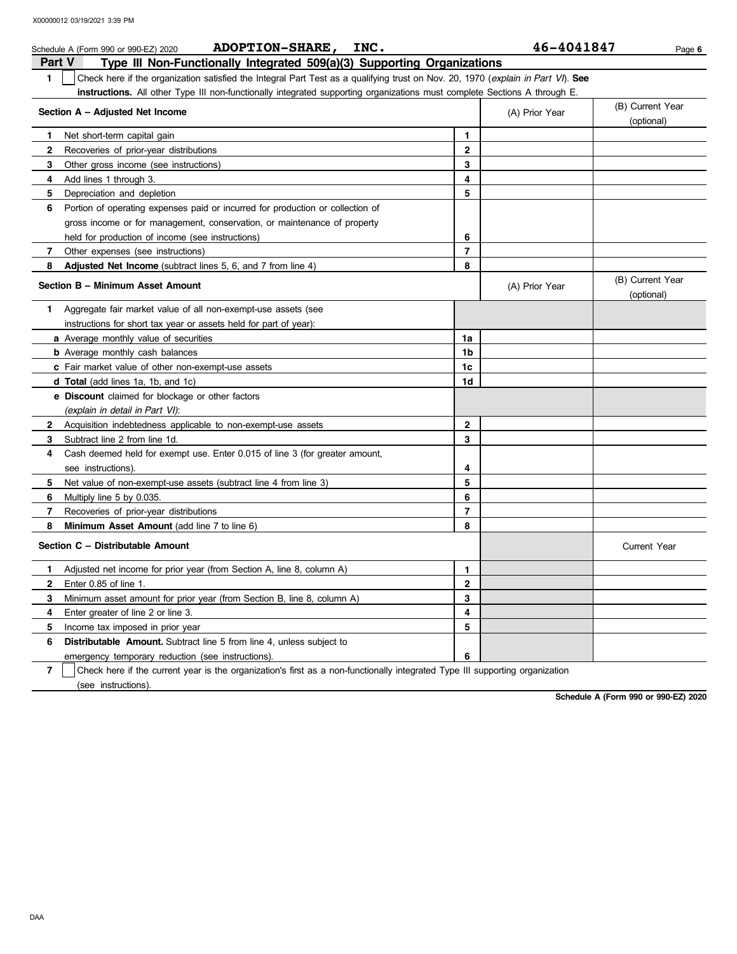|                | <b>ADOPTION-SHARE,</b><br>INC.<br>Schedule A (Form 990 or 990-EZ) 2020                                                           |                | 46-4041847     | Page 6                         |
|----------------|----------------------------------------------------------------------------------------------------------------------------------|----------------|----------------|--------------------------------|
| <b>Part V</b>  | Type III Non-Functionally Integrated 509(a)(3) Supporting Organizations                                                          |                |                |                                |
| $\blacksquare$ | Check here if the organization satisfied the Integral Part Test as a qualifying trust on Nov. 20, 1970 (explain in Part VI). See |                |                |                                |
|                | instructions. All other Type III non-functionally integrated supporting organizations must complete Sections A through E.        |                |                |                                |
|                | Section A - Adjusted Net Income                                                                                                  |                | (A) Prior Year | (B) Current Year<br>(optional) |
| 1.             | Net short-term capital gain                                                                                                      | 1              |                |                                |
| $\mathbf{2}$   | Recoveries of prior-year distributions                                                                                           | $\mathbf{2}$   |                |                                |
| 3              | Other gross income (see instructions)                                                                                            | 3              |                |                                |
| 4              | Add lines 1 through 3.                                                                                                           | 4              |                |                                |
| 5              | Depreciation and depletion                                                                                                       | 5              |                |                                |
| 6              | Portion of operating expenses paid or incurred for production or collection of                                                   |                |                |                                |
|                | gross income or for management, conservation, or maintenance of property                                                         |                |                |                                |
|                | held for production of income (see instructions)                                                                                 | 6              |                |                                |
| 7              | Other expenses (see instructions)                                                                                                | $\overline{7}$ |                |                                |
| 8              | <b>Adjusted Net Income</b> (subtract lines 5, 6, and 7 from line 4)                                                              | 8              |                |                                |
|                | Section B - Minimum Asset Amount                                                                                                 |                | (A) Prior Year | (B) Current Year<br>(optional) |
| 1.             | Aggregate fair market value of all non-exempt-use assets (see                                                                    |                |                |                                |
|                | instructions for short tax year or assets held for part of year):                                                                |                |                |                                |
|                | <b>a</b> Average monthly value of securities                                                                                     | 1a             |                |                                |
|                | <b>b</b> Average monthly cash balances                                                                                           | 1 <sub>b</sub> |                |                                |
|                | c Fair market value of other non-exempt-use assets                                                                               | 1 <sub>c</sub> |                |                                |
|                | d Total (add lines 1a, 1b, and 1c)                                                                                               | 1d             |                |                                |
|                | <b>e</b> Discount claimed for blockage or other factors                                                                          |                |                |                                |
|                | (explain in detail in Part VI):                                                                                                  |                |                |                                |
| 2              | Acquisition indebtedness applicable to non-exempt-use assets                                                                     | $\mathbf{2}$   |                |                                |
| 3              | Subtract line 2 from line 1d.                                                                                                    | 3              |                |                                |
| 4              | Cash deemed held for exempt use. Enter 0.015 of line 3 (for greater amount,                                                      |                |                |                                |
|                | see instructions).                                                                                                               | 4              |                |                                |
| 5.             | Net value of non-exempt-use assets (subtract line 4 from line 3)                                                                 | 5              |                |                                |
| 6              | Multiply line 5 by 0.035.                                                                                                        | 6              |                |                                |
| 7              | Recoveries of prior-year distributions                                                                                           | $\overline{7}$ |                |                                |
| 8              | Minimum Asset Amount (add line 7 to line 6)                                                                                      | 8              |                |                                |
|                | Section C - Distributable Amount                                                                                                 |                |                | <b>Current Year</b>            |
| 1.             | Adjusted net income for prior year (from Section A, line 8, column A)                                                            | $\mathbf{1}$   |                |                                |
| $\mathbf{2}$   | Enter 0.85 of line 1.                                                                                                            | $\mathbf{2}$   |                |                                |
| 3              | Minimum asset amount for prior year (from Section B, line 8, column A)                                                           | 3              |                |                                |
| 4              | Enter greater of line 2 or line 3.                                                                                               | 4              |                |                                |
| 5.             | Income tax imposed in prior year                                                                                                 | 5              |                |                                |
| 6              | <b>Distributable Amount.</b> Subtract line 5 from line 4, unless subject to                                                      |                |                |                                |
|                | emergency temporary reduction (see instructions).                                                                                | 6              |                |                                |
|                | ۱.۰                                                                                                                              |                |                |                                |

**7** | Check here if the current year is the organization's first as a non-functionally integrated Type III supporting organization (see instructions).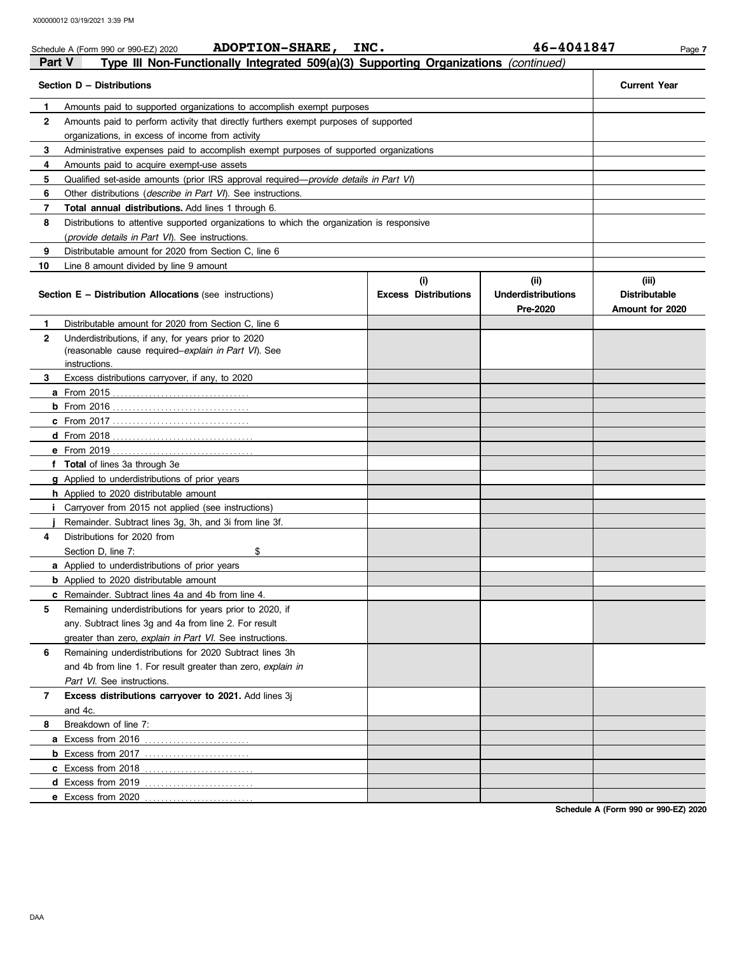|               | <b>ADOPTION-SHARE,</b><br>Schedule A (Form 990 or 990-EZ) 2020                                | INC.                        | 46-4041847                | Page 7               |
|---------------|-----------------------------------------------------------------------------------------------|-----------------------------|---------------------------|----------------------|
| <b>Part V</b> | Type III Non-Functionally Integrated 509(a)(3) Supporting Organizations (continued)           |                             |                           |                      |
|               | Section D - Distributions                                                                     |                             |                           | <b>Current Year</b>  |
| $\mathbf{1}$  | Amounts paid to supported organizations to accomplish exempt purposes                         |                             |                           |                      |
| 2             | Amounts paid to perform activity that directly furthers exempt purposes of supported          |                             |                           |                      |
|               | organizations, in excess of income from activity                                              |                             |                           |                      |
| 3             | Administrative expenses paid to accomplish exempt purposes of supported organizations         |                             |                           |                      |
| 4             | Amounts paid to acquire exempt-use assets                                                     |                             |                           |                      |
| 5             | Qualified set-aside amounts (prior IRS approval required— <i>provide details in Part VI</i> ) |                             |                           |                      |
| 6             | Other distributions ( <i>describe in Part VI</i> ). See instructions.                         |                             |                           |                      |
| 7             | <b>Total annual distributions.</b> Add lines 1 through 6.                                     |                             |                           |                      |
| 8             | Distributions to attentive supported organizations to which the organization is responsive    |                             |                           |                      |
|               | ( <i>provide details in Part VI</i> ). See instructions.                                      |                             |                           |                      |
| 9             | Distributable amount for 2020 from Section C, line 6                                          |                             |                           |                      |
| 10            | Line 8 amount divided by line 9 amount                                                        |                             |                           |                      |
|               |                                                                                               | (i)                         | (ii)                      | (iii)                |
|               | <b>Section E – Distribution Allocations</b> (see instructions)                                | <b>Excess Distributions</b> | <b>Underdistributions</b> | <b>Distributable</b> |
|               |                                                                                               |                             | Pre-2020                  | Amount for 2020      |
| 1             | Distributable amount for 2020 from Section C, line 6                                          |                             |                           |                      |
| 2             | Underdistributions, if any, for years prior to 2020                                           |                             |                           |                      |
|               | (reasonable cause required-explain in Part VI). See                                           |                             |                           |                      |
|               | instructions.                                                                                 |                             |                           |                      |
| 3             | Excess distributions carryover, if any, to 2020                                               |                             |                           |                      |
|               | <b>a</b> From 2015                                                                            |                             |                           |                      |
|               |                                                                                               |                             |                           |                      |
|               |                                                                                               |                             |                           |                      |
|               |                                                                                               |                             |                           |                      |
|               |                                                                                               |                             |                           |                      |
|               | f Total of lines 3a through 3e                                                                |                             |                           |                      |
|               | g Applied to underdistributions of prior years                                                |                             |                           |                      |
|               | <b>h</b> Applied to 2020 distributable amount                                                 |                             |                           |                      |
| L.            | Carryover from 2015 not applied (see instructions)                                            |                             |                           |                      |
|               | Remainder. Subtract lines 3g, 3h, and 3i from line 3f.                                        |                             |                           |                      |
| 4             | Distributions for 2020 from                                                                   |                             |                           |                      |
|               | Section D. line 7:<br>\$                                                                      |                             |                           |                      |
|               | a Applied to underdistributions of prior years                                                |                             |                           |                      |
|               | <b>b</b> Applied to 2020 distributable amount                                                 |                             |                           |                      |
|               | c Remainder. Subtract lines 4a and 4b from line 4.                                            |                             |                           |                      |
| 5             | Remaining underdistributions for years prior to 2020, if                                      |                             |                           |                      |
|               | any. Subtract lines 3g and 4a from line 2. For result                                         |                             |                           |                      |
|               | greater than zero, explain in Part VI. See instructions.                                      |                             |                           |                      |
| 6             | Remaining underdistributions for 2020 Subtract lines 3h                                       |                             |                           |                      |
|               | and 4b from line 1. For result greater than zero, explain in                                  |                             |                           |                      |
|               | Part VI. See instructions.                                                                    |                             |                           |                      |
| 7             | Excess distributions carryover to 2021. Add lines 3j                                          |                             |                           |                      |
|               | and 4c.                                                                                       |                             |                           |                      |
| 8             | Breakdown of line 7:                                                                          |                             |                           |                      |
|               | a Excess from 2016                                                                            |                             |                           |                      |
|               | .                                                                                             |                             |                           |                      |
|               | c Excess from 2018                                                                            |                             |                           |                      |
|               | d Excess from 2019                                                                            |                             |                           |                      |
|               | e Excess from 2020                                                                            |                             |                           |                      |
|               |                                                                                               |                             |                           |                      |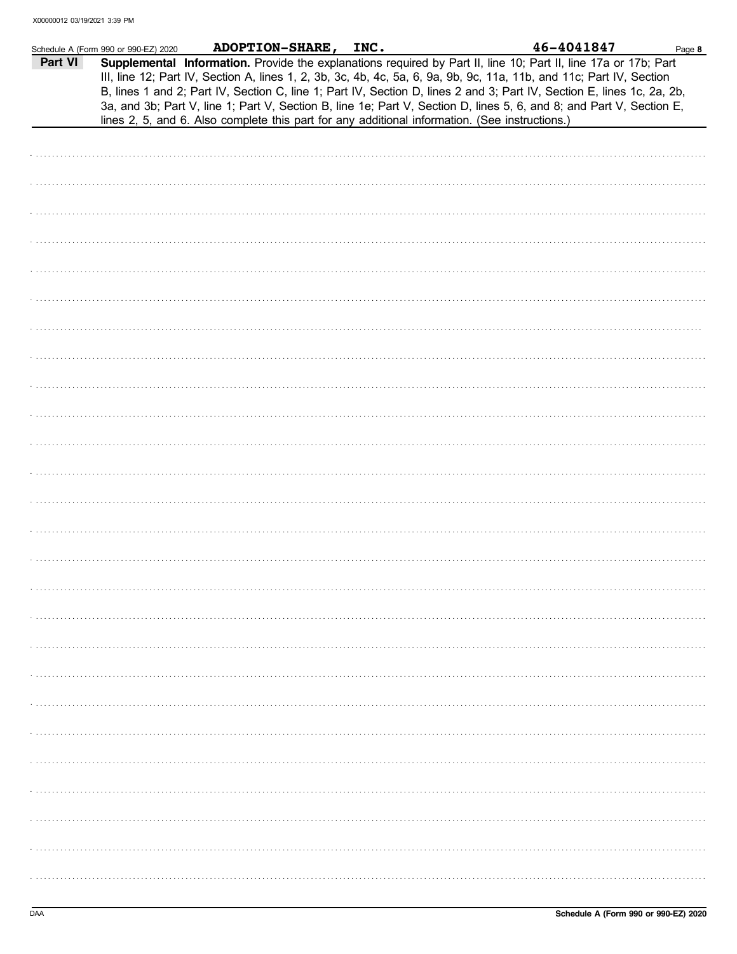|         | Schedule A (Form 990 or 990-EZ) 2020 | ADOPTION-SHARE, INC. |                                                                                                | 46-4041847                                                                                                                                                                                                                                                                                                                                                                                                                                                                                | Page 8 |
|---------|--------------------------------------|----------------------|------------------------------------------------------------------------------------------------|-------------------------------------------------------------------------------------------------------------------------------------------------------------------------------------------------------------------------------------------------------------------------------------------------------------------------------------------------------------------------------------------------------------------------------------------------------------------------------------------|--------|
| Part VI |                                      |                      |                                                                                                | Supplemental Information. Provide the explanations required by Part II, line 10; Part II, line 17a or 17b; Part<br>III, line 12; Part IV, Section A, lines 1, 2, 3b, 3c, 4b, 4c, 5a, 6, 9a, 9b, 9c, 11a, 11b, and 11c; Part IV, Section<br>B, lines 1 and 2; Part IV, Section C, line 1; Part IV, Section D, lines 2 and 3; Part IV, Section E, lines 1c, 2a, 2b,<br>3a, and 3b; Part V, line 1; Part V, Section B, line 1e; Part V, Section D, lines 5, 6, and 8; and Part V, Section E, |        |
|         |                                      |                      | lines 2, 5, and 6. Also complete this part for any additional information. (See instructions.) |                                                                                                                                                                                                                                                                                                                                                                                                                                                                                           |        |
|         |                                      |                      |                                                                                                |                                                                                                                                                                                                                                                                                                                                                                                                                                                                                           |        |
|         |                                      |                      |                                                                                                |                                                                                                                                                                                                                                                                                                                                                                                                                                                                                           |        |
|         |                                      |                      |                                                                                                |                                                                                                                                                                                                                                                                                                                                                                                                                                                                                           |        |
|         |                                      |                      |                                                                                                |                                                                                                                                                                                                                                                                                                                                                                                                                                                                                           |        |
|         |                                      |                      |                                                                                                |                                                                                                                                                                                                                                                                                                                                                                                                                                                                                           |        |
|         |                                      |                      |                                                                                                |                                                                                                                                                                                                                                                                                                                                                                                                                                                                                           |        |
|         |                                      |                      |                                                                                                |                                                                                                                                                                                                                                                                                                                                                                                                                                                                                           |        |
|         |                                      |                      |                                                                                                |                                                                                                                                                                                                                                                                                                                                                                                                                                                                                           |        |
|         |                                      |                      |                                                                                                |                                                                                                                                                                                                                                                                                                                                                                                                                                                                                           |        |
|         |                                      |                      |                                                                                                |                                                                                                                                                                                                                                                                                                                                                                                                                                                                                           |        |
|         |                                      |                      |                                                                                                |                                                                                                                                                                                                                                                                                                                                                                                                                                                                                           |        |
|         |                                      |                      |                                                                                                |                                                                                                                                                                                                                                                                                                                                                                                                                                                                                           |        |
|         |                                      |                      |                                                                                                |                                                                                                                                                                                                                                                                                                                                                                                                                                                                                           |        |
|         |                                      |                      |                                                                                                |                                                                                                                                                                                                                                                                                                                                                                                                                                                                                           |        |
|         |                                      |                      |                                                                                                |                                                                                                                                                                                                                                                                                                                                                                                                                                                                                           |        |
|         |                                      |                      |                                                                                                |                                                                                                                                                                                                                                                                                                                                                                                                                                                                                           |        |
|         |                                      |                      |                                                                                                |                                                                                                                                                                                                                                                                                                                                                                                                                                                                                           |        |
|         |                                      |                      |                                                                                                |                                                                                                                                                                                                                                                                                                                                                                                                                                                                                           |        |
|         |                                      |                      |                                                                                                |                                                                                                                                                                                                                                                                                                                                                                                                                                                                                           |        |
|         |                                      |                      |                                                                                                |                                                                                                                                                                                                                                                                                                                                                                                                                                                                                           |        |
|         |                                      |                      |                                                                                                |                                                                                                                                                                                                                                                                                                                                                                                                                                                                                           |        |
|         |                                      |                      |                                                                                                |                                                                                                                                                                                                                                                                                                                                                                                                                                                                                           |        |
|         |                                      |                      |                                                                                                |                                                                                                                                                                                                                                                                                                                                                                                                                                                                                           |        |
|         |                                      |                      |                                                                                                |                                                                                                                                                                                                                                                                                                                                                                                                                                                                                           |        |
|         |                                      |                      |                                                                                                |                                                                                                                                                                                                                                                                                                                                                                                                                                                                                           |        |
|         |                                      |                      |                                                                                                |                                                                                                                                                                                                                                                                                                                                                                                                                                                                                           |        |
|         |                                      |                      |                                                                                                |                                                                                                                                                                                                                                                                                                                                                                                                                                                                                           |        |
|         |                                      |                      |                                                                                                |                                                                                                                                                                                                                                                                                                                                                                                                                                                                                           |        |
|         |                                      |                      |                                                                                                |                                                                                                                                                                                                                                                                                                                                                                                                                                                                                           |        |
|         |                                      |                      |                                                                                                |                                                                                                                                                                                                                                                                                                                                                                                                                                                                                           |        |
|         |                                      |                      |                                                                                                |                                                                                                                                                                                                                                                                                                                                                                                                                                                                                           |        |
|         |                                      |                      |                                                                                                |                                                                                                                                                                                                                                                                                                                                                                                                                                                                                           |        |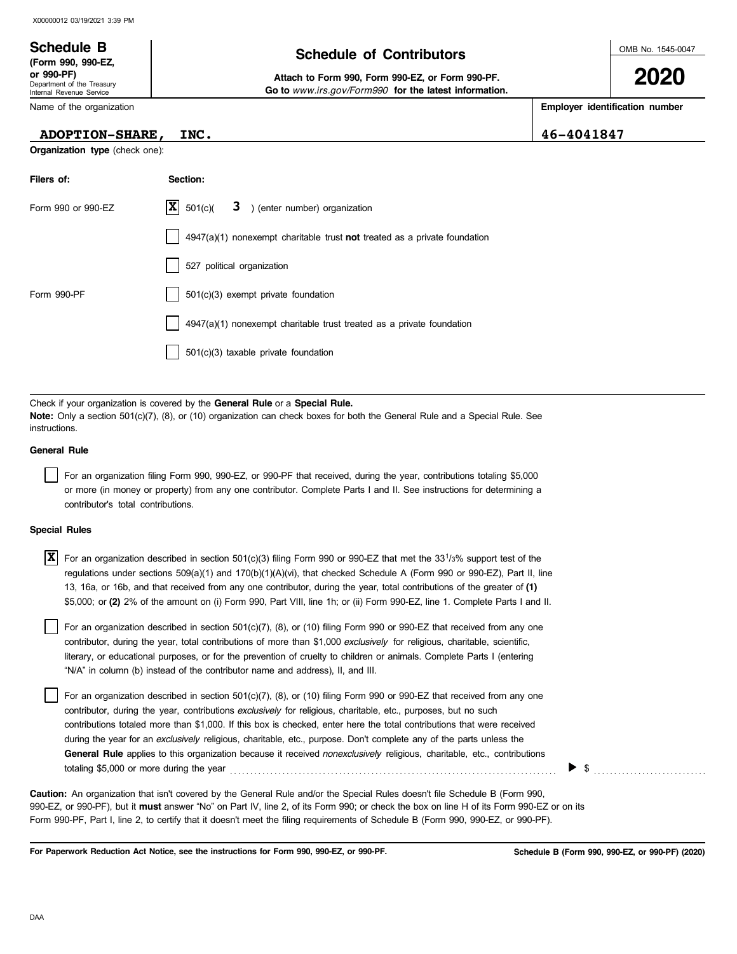### OMB No. 1545-0047 Department of the Treasury Internal Revenue Service Name of the organization **2020 Schedule of Contributors Schedule B (Form 990, 990-EZ, or 990-PF) Attach to Form 990, Form 990-EZ, or Form 990-PF. Employer identification number Organization type** (check one): **Filers of: Section:** Form 990 or 990-EZ  $|\mathbf{X}|$  501(c)( **3** ) (enter number) organization  **Go to** *www.irs.gov/Form990* **for the latest information. ADOPTION-SHARE, INC. 46-4041847**  $\overline{\mathbf{X}}$  501(c)(

|             | $4947(a)(1)$ nonexempt charitable trust <b>not</b> treated as a private foundation |
|-------------|------------------------------------------------------------------------------------|
|             | 527 political organization                                                         |
| Form 990-PF | 501(c)(3) exempt private foundation                                                |
|             | 4947(a)(1) nonexempt charitable trust treated as a private foundation              |
|             | 501(c)(3) taxable private foundation                                               |
|             |                                                                                    |

Check if your organization is covered by the **General Rule** or a **Special Rule. Note:** Only a section 501(c)(7), (8), or (10) organization can check boxes for both the General Rule and a Special Rule. See instructions.

### **General Rule**

For an organization filing Form 990, 990-EZ, or 990-PF that received, during the year, contributions totaling \$5,000 or more (in money or property) from any one contributor. Complete Parts I and II. See instructions for determining a contributor's total contributions.

### **Special Rules**

 $\overline{X}$  For an organization described in section 501(c)(3) filing Form 990 or 990-EZ that met the 33<sup>1</sup>/3% support test of the regulations under sections 509(a)(1) and 170(b)(1)(A)(vi), that checked Schedule A (Form 990 or 990-EZ), Part II, line 13, 16a, or 16b, and that received from any one contributor, during the year, total contributions of the greater of **(1)** \$5,000; or **(2)** 2% of the amount on (i) Form 990, Part VIII, line 1h; or (ii) Form 990-EZ, line 1. Complete Parts I and II.

literary, or educational purposes, or for the prevention of cruelty to children or animals. Complete Parts I (entering For an organization described in section 501(c)(7), (8), or (10) filing Form 990 or 990-EZ that received from any one contributor, during the year, total contributions of more than \$1,000 *exclusively* for religious, charitable, scientific, "N/A" in column (b) instead of the contributor name and address), II, and III.

For an organization described in section 501(c)(7), (8), or (10) filing Form 990 or 990-EZ that received from any one contributor, during the year, contributions *exclusively* for religious, charitable, etc., purposes, but no such contributions totaled more than \$1,000. If this box is checked, enter here the total contributions that were received during the year for an *exclusively* religious, charitable, etc., purpose. Don't complete any of the parts unless the **General Rule** applies to this organization because it received *nonexclusively* religious, charitable, etc., contributions totaling \$5,000 or more during the year . . . . . . . . . . . . . . . . . . . . . . . . . . . . . . . . . . . . . . . . . . . . . . . . . . . . . . . . . . . . . . . . . . . . . . . . . . . . . . . . . \$ . . . . . . . . . . . . . . . . . . . . . . . . . . . .

990-EZ, or 990-PF), but it **must** answer "No" on Part IV, line 2, of its Form 990; or check the box on line H of its Form 990-EZ or on its Form 990-PF, Part I, line 2, to certify that it doesn't meet the filing requirements of Schedule B (Form 990, 990-EZ, or 990-PF). **Caution:** An organization that isn't covered by the General Rule and/or the Special Rules doesn't file Schedule B (Form 990,

**For Paperwork Reduction Act Notice, see the instructions for Form 990, 990-EZ, or 990-PF.**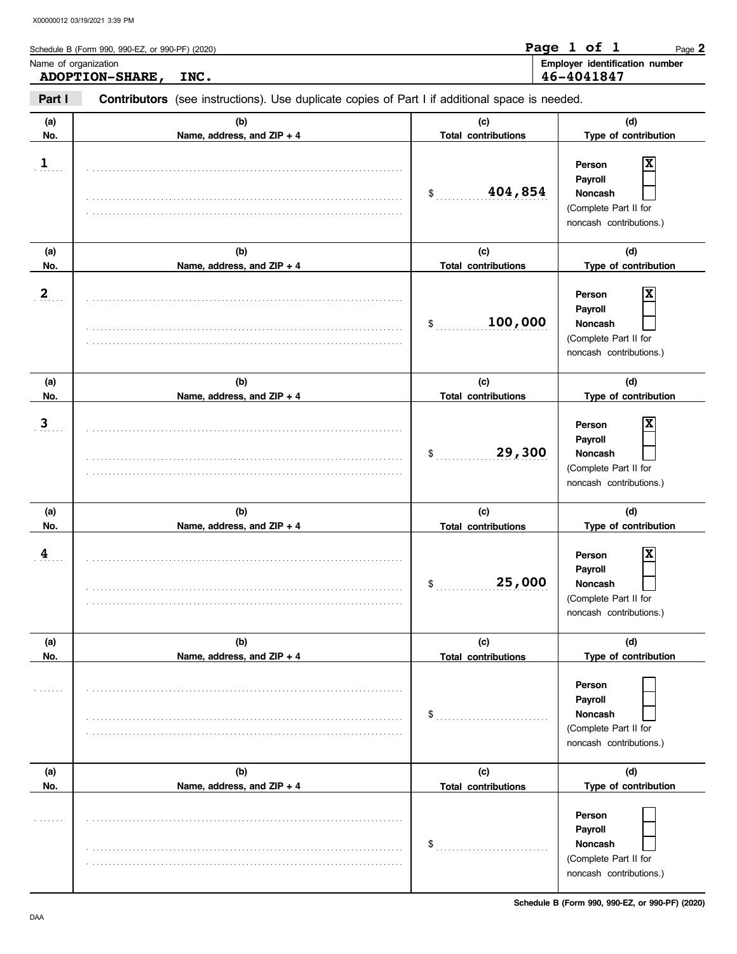| Name of organization | <b>ADOPTION-SHARE,</b><br>INC.                                                                 |                                   | Employer identification number<br>46-4041847                                                 |
|----------------------|------------------------------------------------------------------------------------------------|-----------------------------------|----------------------------------------------------------------------------------------------|
| Part I               | Contributors (see instructions). Use duplicate copies of Part I if additional space is needed. |                                   |                                                                                              |
| (a)<br>No.           | (b)<br>Name, address, and ZIP + 4                                                              | (c)<br><b>Total contributions</b> | (d)<br>Type of contribution                                                                  |
| $\overline{1}$       |                                                                                                | 404,854<br>\$                     | X<br>Person<br>Payroll<br><b>Noncash</b><br>(Complete Part II for<br>noncash contributions.) |
| (a)<br>No.           | (b)<br>Name, address, and ZIP + 4                                                              | (c)<br><b>Total contributions</b> | (d)<br>Type of contribution                                                                  |
| $\mathbf{2}$         |                                                                                                | 100,000<br>\$                     |                                                                                              |
| (a)<br>No.           | (b)<br>Name, address, and ZIP + 4                                                              | (c)<br><b>Total contributions</b> | (d)<br>Type of contribution                                                                  |
| 3                    |                                                                                                | 29,300<br>\$                      | X<br>Person<br>Payroll<br>Noncash<br>(Complete Part II for<br>noncash contributions.)        |
| (a)<br>No.           | (b)<br>Name, address, and ZIP + 4                                                              | (c)<br><b>Total contributions</b> | (d)<br>Type of contribution                                                                  |
| 4                    |                                                                                                | 25,000<br>\$                      | X<br>Person<br>Payroll<br>Noncash<br>(Complete Part II for<br>noncash contributions.)        |
| (a)<br>No.           | (b)<br>Name, address, and ZIP + 4                                                              | (c)<br><b>Total contributions</b> | (d)<br>Type of contribution                                                                  |
|                      |                                                                                                | \$                                | Person<br>Payroll<br><b>Noncash</b><br>(Complete Part II for<br>noncash contributions.)      |
| (a)<br>No.           | (b)<br>Name, address, and ZIP + 4                                                              | (c)                               | (d)<br>Type of contribution                                                                  |
|                      |                                                                                                | <b>Total contributions</b><br>\$  | Person<br>Payroll<br>Noncash                                                                 |

. . . . . . . . . . . . . . . . . . . . . . . . . . . . . . . . . . . . . . . . . . . . . . . . . . . . . . . . . . . . . . . . . . . . . . . . . . . . . .

(Complete Part II for noncash contributions.)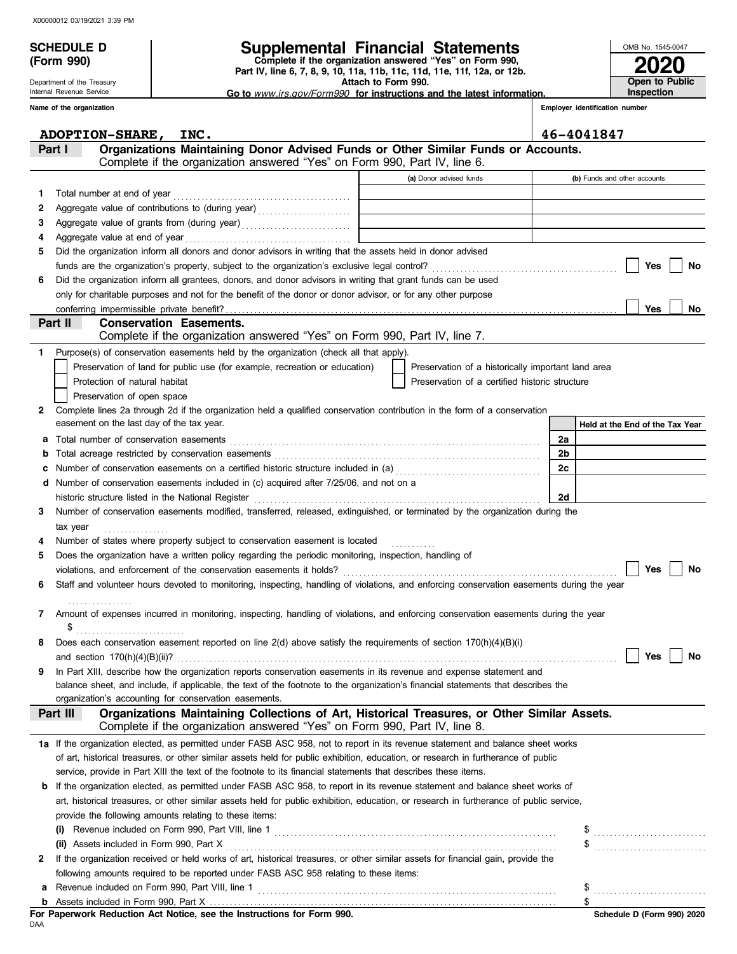**(Form 990)**

Department of the Treasury Internal Revenue Service

## **SCHEDULE D Supplemental Financial Statements**

 **Attach to Form 990. Part IV, line 6, 7, 8, 9, 10, 11a, 11b, 11c, 11d, 11e, 11f, 12a, or 12b. Complete if the organization answered "Yes" on Form 990,**

 **Go to** *www.irs.gov/Form990* **for instructions and the latest information.**

**2020**

**Open to Public Inspection**

OMB No. 1545-0047

|    | Name of the organization                                                                                                                                                                                                                   |                                                    |                | Employer identification number  |
|----|--------------------------------------------------------------------------------------------------------------------------------------------------------------------------------------------------------------------------------------------|----------------------------------------------------|----------------|---------------------------------|
|    | <b>ADOPTION-SHARE,</b><br>INC.                                                                                                                                                                                                             |                                                    |                | 46-4041847                      |
|    | Organizations Maintaining Donor Advised Funds or Other Similar Funds or Accounts.<br>Part I<br>Complete if the organization answered "Yes" on Form 990, Part IV, line 6.                                                                   |                                                    |                |                                 |
|    |                                                                                                                                                                                                                                            | (a) Donor advised funds                            |                | (b) Funds and other accounts    |
| 1. |                                                                                                                                                                                                                                            |                                                    |                |                                 |
| 2  | Total number at end of year<br>[[11] Total number at end of year<br>[11] Total number at end of year<br>[11] Total number at end of year<br>[11] Total number at end of year<br>[11] Total number at end of year<br>[11] Total number at e |                                                    |                |                                 |
| З  |                                                                                                                                                                                                                                            |                                                    |                |                                 |
| 4  | Aggregate value at end of year                                                                                                                                                                                                             |                                                    |                |                                 |
| 5  | Did the organization inform all donors and donor advisors in writing that the assets held in donor advised                                                                                                                                 |                                                    |                |                                 |
|    |                                                                                                                                                                                                                                            |                                                    |                | Yes<br>No                       |
| 6  | Did the organization inform all grantees, donors, and donor advisors in writing that grant funds can be used                                                                                                                               |                                                    |                |                                 |
|    | only for charitable purposes and not for the benefit of the donor or donor advisor, or for any other purpose                                                                                                                               |                                                    |                |                                 |
|    | conferring impermissible private benefit?                                                                                                                                                                                                  |                                                    |                | <b>Yes</b><br>No                |
|    | Part II<br><b>Conservation Easements.</b>                                                                                                                                                                                                  |                                                    |                |                                 |
|    | Complete if the organization answered "Yes" on Form 990, Part IV, line 7.                                                                                                                                                                  |                                                    |                |                                 |
|    | Purpose(s) of conservation easements held by the organization (check all that apply).                                                                                                                                                      |                                                    |                |                                 |
|    | Preservation of land for public use (for example, recreation or education)                                                                                                                                                                 | Preservation of a historically important land area |                |                                 |
|    | Protection of natural habitat                                                                                                                                                                                                              | Preservation of a certified historic structure     |                |                                 |
|    | Preservation of open space                                                                                                                                                                                                                 |                                                    |                |                                 |
| 2  | Complete lines 2a through 2d if the organization held a qualified conservation contribution in the form of a conservation                                                                                                                  |                                                    |                |                                 |
|    | easement on the last day of the tax year.                                                                                                                                                                                                  |                                                    |                | Held at the End of the Tax Year |
| а  | Total number of conservation easements                                                                                                                                                                                                     |                                                    | 2a             |                                 |
| b  |                                                                                                                                                                                                                                            |                                                    | 2 <sub>b</sub> |                                 |
|    | Number of conservation easements on a certified historic structure included in (a) [[[[[[[[[[[[[[[[[[[[[[[[[[]]]]]]]                                                                                                                       |                                                    | 2c             |                                 |
|    | Number of conservation easements included in (c) acquired after 7/25/06, and not on a<br>historic structure listed in the National Register                                                                                                |                                                    | 2d             |                                 |
| 3  | Number of conservation easements modified, transferred, released, extinguished, or terminated by the organization during the                                                                                                               |                                                    |                |                                 |
|    | tax year                                                                                                                                                                                                                                   |                                                    |                |                                 |
|    | Number of states where property subject to conservation easement is located                                                                                                                                                                |                                                    |                |                                 |
| 5  | Does the organization have a written policy regarding the periodic monitoring, inspection, handling of                                                                                                                                     |                                                    |                |                                 |
|    |                                                                                                                                                                                                                                            |                                                    |                | <b>Yes</b><br>No                |
|    | Staff and volunteer hours devoted to monitoring, inspecting, handling of violations, and enforcing conservation easements during the year                                                                                                  |                                                    |                |                                 |
|    |                                                                                                                                                                                                                                            |                                                    |                |                                 |
| 7  | Amount of expenses incurred in monitoring, inspecting, handling of violations, and enforcing conservation easements during the year                                                                                                        |                                                    |                |                                 |
|    | \$                                                                                                                                                                                                                                         |                                                    |                |                                 |
|    | Does each conservation easement reported on line 2(d) above satisfy the requirements of section 170(h)(4)(B)(i)                                                                                                                            |                                                    |                |                                 |
|    | and section $170(h)(4)(B)(ii)$ ?                                                                                                                                                                                                           |                                                    |                | Yes<br>No                       |
| 9  | In Part XIII, describe how the organization reports conservation easements in its revenue and expense statement and                                                                                                                        |                                                    |                |                                 |
|    | balance sheet, and include, if applicable, the text of the footnote to the organization's financial statements that describes the                                                                                                          |                                                    |                |                                 |
|    | organization's accounting for conservation easements.<br>Organizations Maintaining Collections of Art, Historical Treasures, or Other Similar Assets.<br>Part III                                                                          |                                                    |                |                                 |
|    | Complete if the organization answered "Yes" on Form 990, Part IV, line 8.                                                                                                                                                                  |                                                    |                |                                 |
|    | 1a If the organization elected, as permitted under FASB ASC 958, not to report in its revenue statement and balance sheet works                                                                                                            |                                                    |                |                                 |
|    | of art, historical treasures, or other similar assets held for public exhibition, education, or research in furtherance of public                                                                                                          |                                                    |                |                                 |
|    | service, provide in Part XIII the text of the footnote to its financial statements that describes these items.                                                                                                                             |                                                    |                |                                 |
| b  | If the organization elected, as permitted under FASB ASC 958, to report in its revenue statement and balance sheet works of                                                                                                                |                                                    |                |                                 |
|    | art, historical treasures, or other similar assets held for public exhibition, education, or research in furtherance of public service,                                                                                                    |                                                    |                |                                 |
|    | provide the following amounts relating to these items:                                                                                                                                                                                     |                                                    |                |                                 |
|    | (i)                                                                                                                                                                                                                                        |                                                    |                |                                 |
|    | (ii) Assets included in Form 990, Part X                                                                                                                                                                                                   |                                                    |                | \$                              |
| 2  | If the organization received or held works of art, historical treasures, or other similar assets for financial gain, provide the                                                                                                           |                                                    |                |                                 |
|    | following amounts required to be reported under FASB ASC 958 relating to these items:                                                                                                                                                      |                                                    |                |                                 |
| а  | Revenue included on Form 990, Part VIII, line 1                                                                                                                                                                                            |                                                    |                |                                 |
|    |                                                                                                                                                                                                                                            |                                                    |                |                                 |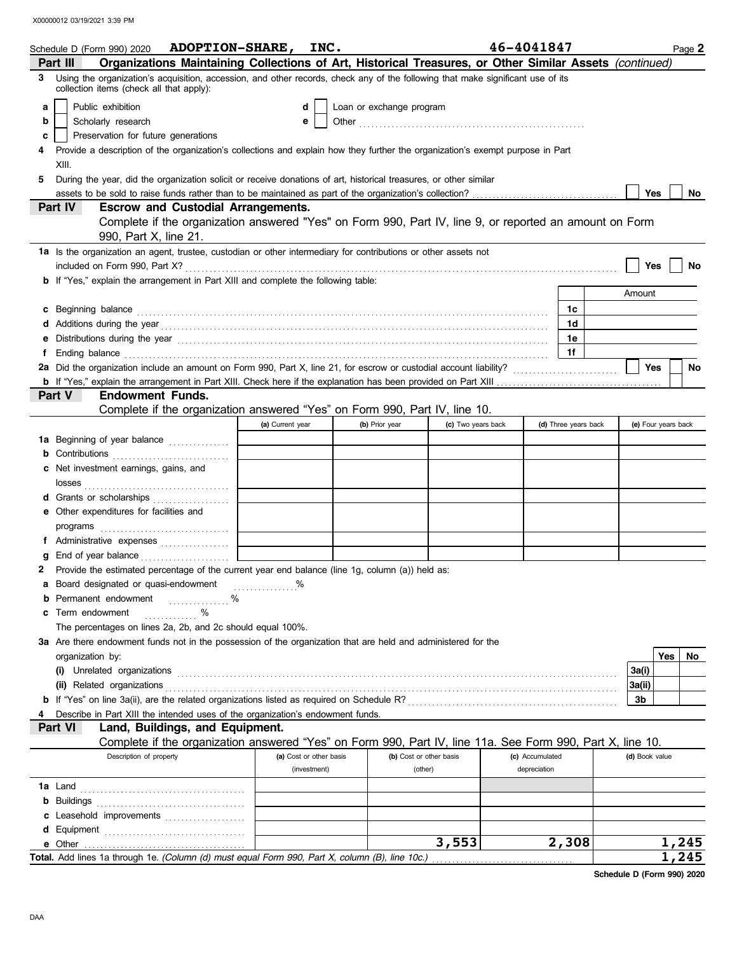|    | Schedule D (Form 990) 2020 ADOPTION-SHARE, INC.                                                                                                                                                                                                                                                                                                                                                                                                                        |                  |                         |                          |                         | 46-4041847      |                      |                | Page 2              |
|----|------------------------------------------------------------------------------------------------------------------------------------------------------------------------------------------------------------------------------------------------------------------------------------------------------------------------------------------------------------------------------------------------------------------------------------------------------------------------|------------------|-------------------------|--------------------------|-------------------------|-----------------|----------------------|----------------|---------------------|
|    | Organizations Maintaining Collections of Art, Historical Treasures, or Other Similar Assets (continued)<br>Part III                                                                                                                                                                                                                                                                                                                                                    |                  |                         |                          |                         |                 |                      |                |                     |
| 3  | Using the organization's acquisition, accession, and other records, check any of the following that make significant use of its<br>collection items (check all that apply):                                                                                                                                                                                                                                                                                            |                  |                         |                          |                         |                 |                      |                |                     |
| a  | Public exhibition                                                                                                                                                                                                                                                                                                                                                                                                                                                      |                  | d                       | Loan or exchange program |                         |                 |                      |                |                     |
| b  | Scholarly research                                                                                                                                                                                                                                                                                                                                                                                                                                                     |                  | е                       |                          |                         |                 |                      |                |                     |
| c  | Preservation for future generations                                                                                                                                                                                                                                                                                                                                                                                                                                    |                  |                         |                          |                         |                 |                      |                |                     |
|    | Provide a description of the organization's collections and explain how they further the organization's exempt purpose in Part                                                                                                                                                                                                                                                                                                                                         |                  |                         |                          |                         |                 |                      |                |                     |
|    | XIII.                                                                                                                                                                                                                                                                                                                                                                                                                                                                  |                  |                         |                          |                         |                 |                      |                |                     |
| 5. | During the year, did the organization solicit or receive donations of art, historical treasures, or other similar                                                                                                                                                                                                                                                                                                                                                      |                  |                         |                          |                         |                 |                      |                |                     |
|    |                                                                                                                                                                                                                                                                                                                                                                                                                                                                        |                  |                         |                          |                         |                 |                      | Yes            | No                  |
|    | <b>Escrow and Custodial Arrangements.</b><br><b>Part IV</b><br>Complete if the organization answered "Yes" on Form 990, Part IV, line 9, or reported an amount on Form                                                                                                                                                                                                                                                                                                 |                  |                         |                          |                         |                 |                      |                |                     |
|    | 990, Part X, line 21.                                                                                                                                                                                                                                                                                                                                                                                                                                                  |                  |                         |                          |                         |                 |                      |                |                     |
|    | 1a Is the organization an agent, trustee, custodian or other intermediary for contributions or other assets not                                                                                                                                                                                                                                                                                                                                                        |                  |                         |                          |                         |                 |                      | Yes            | No                  |
|    | <b>b</b> If "Yes," explain the arrangement in Part XIII and complete the following table:                                                                                                                                                                                                                                                                                                                                                                              |                  |                         |                          |                         |                 |                      |                |                     |
|    |                                                                                                                                                                                                                                                                                                                                                                                                                                                                        |                  |                         |                          |                         |                 |                      | Amount         |                     |
|    |                                                                                                                                                                                                                                                                                                                                                                                                                                                                        |                  |                         |                          |                         |                 | 1c                   |                |                     |
|    | c Beginning balance <b>contract the contract of the contract of the contract of the contract of the contract of the contract of the contract of the contract of the contract of the contract of the contract of the contract of </b>                                                                                                                                                                                                                                   |                  |                         |                          |                         |                 | 1d                   |                |                     |
| e  | d Additions during the year electron contains and a statement of a statement of the statement of a statement of the statement of a statement of a statement of a statement of a statement of a statement of a statement of a s<br>Distributions during the year <i>manufacture contained and a contained a contained a contained a contained a contained and a contained a contained and contained a contained a contained a contained a contained a contained a c</i> |                  |                         |                          |                         |                 | 1e                   |                |                     |
|    | Ending balance encourance and a series of the contract of the contract of the contract of the contract of the contract of the contract of the contract of the contract of the contract of the contract of the contract of the                                                                                                                                                                                                                                          |                  |                         |                          |                         |                 | 1f                   |                |                     |
|    | 2a Did the organization include an amount on Form 990, Part X, line 21, for escrow or custodial account liability?                                                                                                                                                                                                                                                                                                                                                     |                  |                         |                          |                         |                 |                      | Yes            | No                  |
|    |                                                                                                                                                                                                                                                                                                                                                                                                                                                                        |                  |                         |                          |                         |                 |                      |                |                     |
|    | <b>Endowment Funds.</b><br><b>Part V</b>                                                                                                                                                                                                                                                                                                                                                                                                                               |                  |                         |                          |                         |                 |                      |                |                     |
|    | Complete if the organization answered "Yes" on Form 990, Part IV, line 10.                                                                                                                                                                                                                                                                                                                                                                                             |                  |                         |                          |                         |                 |                      |                |                     |
|    |                                                                                                                                                                                                                                                                                                                                                                                                                                                                        | (a) Current year |                         | (b) Prior year           | (c) Two years back      |                 | (d) Three years back |                | (e) Four years back |
|    | 1a Beginning of year balance <i>[[[[[[[[[[[[[[[[[[[[[[[[[[[[[]]]]</i> ]]]                                                                                                                                                                                                                                                                                                                                                                                              |                  |                         |                          |                         |                 |                      |                |                     |
|    | <b>b</b> Contributions <b>contributions</b>                                                                                                                                                                                                                                                                                                                                                                                                                            |                  |                         |                          |                         |                 |                      |                |                     |
|    | c Net investment earnings, gains, and                                                                                                                                                                                                                                                                                                                                                                                                                                  |                  |                         |                          |                         |                 |                      |                |                     |
|    |                                                                                                                                                                                                                                                                                                                                                                                                                                                                        |                  |                         |                          |                         |                 |                      |                |                     |
|    | d Grants or scholarships                                                                                                                                                                                                                                                                                                                                                                                                                                               |                  |                         |                          |                         |                 |                      |                |                     |
|    | e Other expenditures for facilities and                                                                                                                                                                                                                                                                                                                                                                                                                                |                  |                         |                          |                         |                 |                      |                |                     |
|    |                                                                                                                                                                                                                                                                                                                                                                                                                                                                        |                  |                         |                          |                         |                 |                      |                |                     |
|    | f Administrative expenses                                                                                                                                                                                                                                                                                                                                                                                                                                              |                  |                         |                          |                         |                 |                      |                |                     |
|    | End of year balance <b>constructs</b>                                                                                                                                                                                                                                                                                                                                                                                                                                  |                  |                         |                          |                         |                 |                      |                |                     |
|    | 2 Provide the estimated percentage of the current year end balance (line 1g, column (a)) held as:                                                                                                                                                                                                                                                                                                                                                                      |                  |                         |                          |                         |                 |                      |                |                     |
|    | a Board designated or quasi-endowment                                                                                                                                                                                                                                                                                                                                                                                                                                  |                  |                         |                          |                         |                 |                      |                |                     |
| b  | Permanent endowment<br>. %                                                                                                                                                                                                                                                                                                                                                                                                                                             |                  |                         |                          |                         |                 |                      |                |                     |
| c  | $\frac{0}{0}$<br>Term endowment                                                                                                                                                                                                                                                                                                                                                                                                                                        |                  |                         |                          |                         |                 |                      |                |                     |
|    | The percentages on lines 2a, 2b, and 2c should equal 100%.                                                                                                                                                                                                                                                                                                                                                                                                             |                  |                         |                          |                         |                 |                      |                |                     |
|    | 3a Are there endowment funds not in the possession of the organization that are held and administered for the                                                                                                                                                                                                                                                                                                                                                          |                  |                         |                          |                         |                 |                      |                |                     |
|    | organization by:                                                                                                                                                                                                                                                                                                                                                                                                                                                       |                  |                         |                          |                         |                 |                      |                | Yes<br>No           |
|    |                                                                                                                                                                                                                                                                                                                                                                                                                                                                        |                  |                         |                          |                         |                 |                      | 3a(i)          |                     |
|    | (ii) Related organizations <b>constants</b> and a set of the constant of the constant of the constant of the constant of the constant of the constant of the constant of the constant of the constant of the constant of the consta                                                                                                                                                                                                                                    |                  |                         |                          |                         |                 |                      | 3a(ii)         |                     |
|    |                                                                                                                                                                                                                                                                                                                                                                                                                                                                        |                  |                         |                          |                         |                 |                      | 3b             |                     |
|    | Describe in Part XIII the intended uses of the organization's endowment funds.                                                                                                                                                                                                                                                                                                                                                                                         |                  |                         |                          |                         |                 |                      |                |                     |
|    | Land, Buildings, and Equipment.<br><b>Part VI</b>                                                                                                                                                                                                                                                                                                                                                                                                                      |                  |                         |                          |                         |                 |                      |                |                     |
|    | Complete if the organization answered "Yes" on Form 990, Part IV, line 11a. See Form 990, Part X, line 10.                                                                                                                                                                                                                                                                                                                                                             |                  |                         |                          |                         |                 |                      |                |                     |
|    | Description of property                                                                                                                                                                                                                                                                                                                                                                                                                                                |                  | (a) Cost or other basis |                          | (b) Cost or other basis | (c) Accumulated |                      | (d) Book value |                     |
|    |                                                                                                                                                                                                                                                                                                                                                                                                                                                                        |                  | (investment)            |                          | (other)                 | depreciation    |                      |                |                     |
|    |                                                                                                                                                                                                                                                                                                                                                                                                                                                                        |                  |                         |                          |                         |                 |                      |                |                     |
|    |                                                                                                                                                                                                                                                                                                                                                                                                                                                                        |                  |                         |                          |                         |                 |                      |                |                     |
|    | c Leasehold improvements                                                                                                                                                                                                                                                                                                                                                                                                                                               |                  |                         |                          |                         |                 |                      |                |                     |
|    |                                                                                                                                                                                                                                                                                                                                                                                                                                                                        |                  |                         |                          |                         |                 |                      |                |                     |
|    |                                                                                                                                                                                                                                                                                                                                                                                                                                                                        |                  |                         |                          | 3,553                   |                 | 2,308                |                | 1,245               |
|    | Total. Add lines 1a through 1e. (Column (d) must equal Form 990, Part X, column (B), line 10c.)                                                                                                                                                                                                                                                                                                                                                                        |                  |                         |                          |                         |                 |                      |                | 1,245               |

**Schedule D (Form 990) 2020**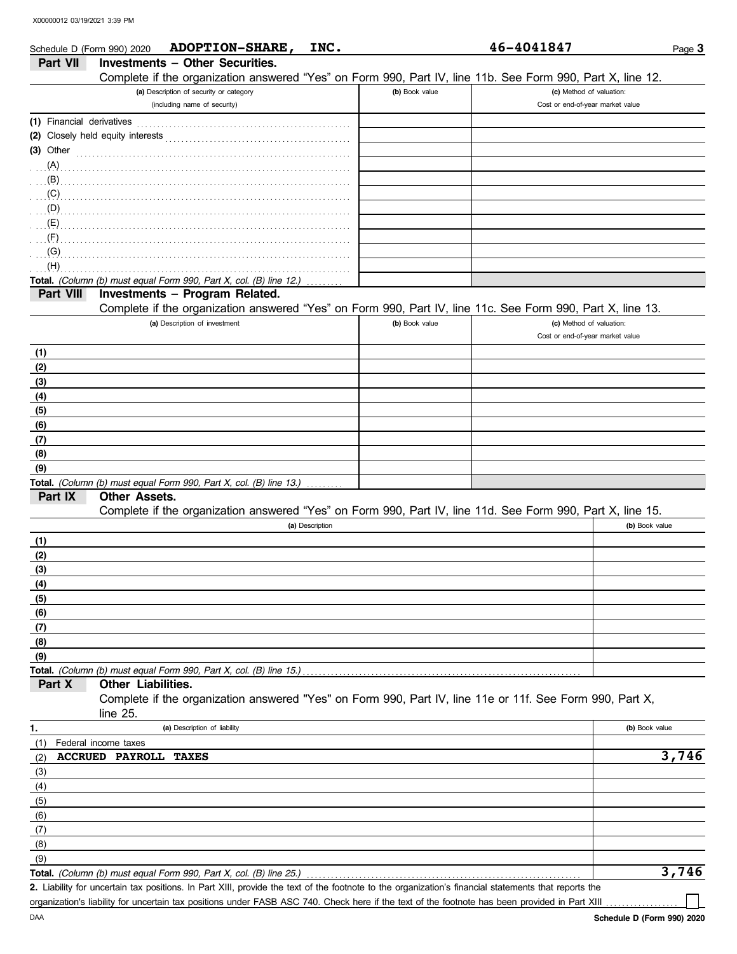| Schedule D (Form 990) 2020 |                        | <b>ADOPTION-SHARE,</b>                                                                                     | INC.            |                | 46-4041847                       | Page 3         |
|----------------------------|------------------------|------------------------------------------------------------------------------------------------------------|-----------------|----------------|----------------------------------|----------------|
| <b>Part VII</b>            |                        | <b>Investments - Other Securities.</b>                                                                     |                 |                |                                  |                |
|                            |                        | Complete if the organization answered "Yes" on Form 990, Part IV, line 11b. See Form 990, Part X, line 12. |                 |                |                                  |                |
|                            |                        | (a) Description of security or category                                                                    |                 | (b) Book value | (c) Method of valuation:         |                |
|                            |                        | (including name of security)                                                                               |                 |                | Cost or end-of-year market value |                |
| (1) Financial derivatives  |                        |                                                                                                            |                 |                |                                  |                |
|                            |                        |                                                                                                            |                 |                |                                  |                |
| $(3)$ Other                |                        |                                                                                                            |                 |                |                                  |                |
| (A)                        |                        |                                                                                                            |                 |                |                                  |                |
| (B)                        |                        |                                                                                                            |                 |                |                                  |                |
| (C)                        |                        |                                                                                                            |                 |                |                                  |                |
| (D)                        |                        |                                                                                                            |                 |                |                                  |                |
| (F)                        |                        |                                                                                                            |                 |                |                                  |                |
| (G)                        |                        |                                                                                                            |                 |                |                                  |                |
| (H)                        |                        |                                                                                                            |                 |                |                                  |                |
|                            |                        | Total. (Column (b) must equal Form 990, Part X, col. (B) line 12.)                                         |                 |                |                                  |                |
| Part VIII                  |                        | Investments - Program Related.                                                                             |                 |                |                                  |                |
|                            |                        | Complete if the organization answered "Yes" on Form 990, Part IV, line 11c. See Form 990, Part X, line 13. |                 |                |                                  |                |
|                            |                        | (a) Description of investment                                                                              |                 | (b) Book value | (c) Method of valuation:         |                |
|                            |                        |                                                                                                            |                 |                | Cost or end-of-year market value |                |
| (1)                        |                        |                                                                                                            |                 |                |                                  |                |
| (2)                        |                        |                                                                                                            |                 |                |                                  |                |
| (3)                        |                        |                                                                                                            |                 |                |                                  |                |
| (4)                        |                        |                                                                                                            |                 |                |                                  |                |
| (5)                        |                        |                                                                                                            |                 |                |                                  |                |
| (6)                        |                        |                                                                                                            |                 |                |                                  |                |
| (7)                        |                        |                                                                                                            |                 |                |                                  |                |
| (8)                        |                        |                                                                                                            |                 |                |                                  |                |
| (9)                        |                        |                                                                                                            |                 |                |                                  |                |
|                            |                        | Total. (Column (b) must equal Form 990, Part X, col. (B) line 13.)                                         |                 |                |                                  |                |
| Part IX                    | <b>Other Assets.</b>   |                                                                                                            |                 |                |                                  |                |
|                            |                        | Complete if the organization answered "Yes" on Form 990, Part IV, line 11d. See Form 990, Part X, line 15. | (a) Description |                |                                  | (b) Book value |
| (1)                        |                        |                                                                                                            |                 |                |                                  |                |
| (2)                        |                        |                                                                                                            |                 |                |                                  |                |
| (3)                        |                        |                                                                                                            |                 |                |                                  |                |
| (4)                        |                        |                                                                                                            |                 |                |                                  |                |
| (5)                        |                        |                                                                                                            |                 |                |                                  |                |
| (6)                        |                        |                                                                                                            |                 |                |                                  |                |
| (7)                        |                        |                                                                                                            |                 |                |                                  |                |
| (8)                        |                        |                                                                                                            |                 |                |                                  |                |
| (9)                        |                        |                                                                                                            |                 |                |                                  |                |
|                            |                        | Total. (Column (b) must equal Form 990, Part X, col. (B) line 15.)                                         |                 |                |                                  |                |
| Part X                     | Other Liabilities.     |                                                                                                            |                 |                |                                  |                |
|                            |                        | Complete if the organization answered "Yes" on Form 990, Part IV, line 11e or 11f. See Form 990, Part X,   |                 |                |                                  |                |
|                            | line $25$ .            |                                                                                                            |                 |                |                                  |                |
| 1.                         |                        | (a) Description of liability                                                                               |                 |                |                                  | (b) Book value |
| (1)                        | Federal income taxes   |                                                                                                            |                 |                |                                  |                |
| (2)                        | <b>ACCRUED PAYROLL</b> | <b>TAXES</b>                                                                                               |                 |                |                                  | 3,746          |
| (3)                        |                        |                                                                                                            |                 |                |                                  |                |
| (4)                        |                        |                                                                                                            |                 |                |                                  |                |
| (5)                        |                        |                                                                                                            |                 |                |                                  |                |
| (6)                        |                        |                                                                                                            |                 |                |                                  |                |
| (7)                        |                        |                                                                                                            |                 |                |                                  |                |
| (8)<br>(9)                 |                        |                                                                                                            |                 |                |                                  |                |
|                            |                        | Total. (Column (b) must equal Form 990, Part X, col. (B) line 25.)                                         |                 |                |                                  | 3,746          |
|                            |                        |                                                                                                            |                 |                |                                  |                |

Liability for uncertain tax positions. In Part XIII, provide the text of the footnote to the organization's financial statements that reports the **2.** organization's liability for uncertain tax positions under FASB ASC 740. Check here if the text of the footnote has been provided in Part XIII

| (a) Description of security or category                            | (b) Book value | (c) Method of valuation:         |
|--------------------------------------------------------------------|----------------|----------------------------------|
| (including name of security)                                       |                | Cost or end-of-year market value |
| (1) Financial derivatives                                          |                |                                  |
|                                                                    |                |                                  |
| $(3)$ Other                                                        |                |                                  |
| (A)                                                                |                |                                  |
| (B)                                                                |                |                                  |
| (C)                                                                |                |                                  |
| $\ldots$ (D)                                                       |                |                                  |
| (E)                                                                |                |                                  |
| $\mathcal{L}(\mathsf{F})$                                          |                |                                  |
| (G)                                                                |                |                                  |
| (H)                                                                |                |                                  |
| Total. (Column (b) must equal Form 990, Part X, col. (B) line 12.) |                |                                  |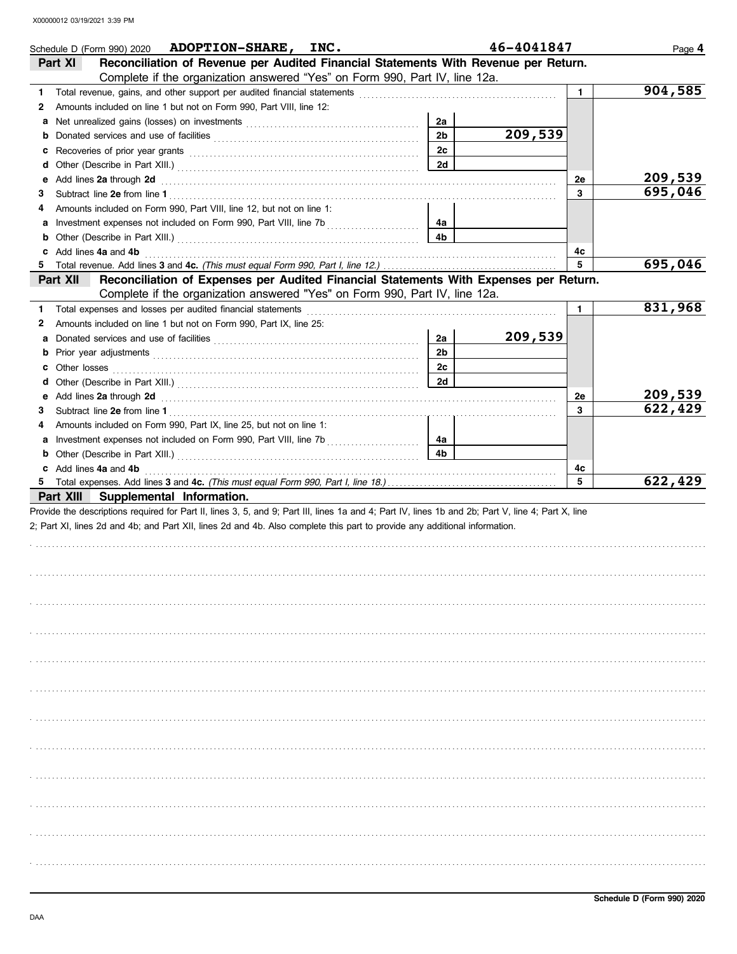|        | Schedule D (Form 990) 2020 ADOPTION-SHARE, INC.<br>Reconciliation of Revenue per Audited Financial Statements With Revenue per Return.<br>Part XI                                                                                                                                |                | 46-4041847 |              | Page 4  |
|--------|----------------------------------------------------------------------------------------------------------------------------------------------------------------------------------------------------------------------------------------------------------------------------------|----------------|------------|--------------|---------|
|        | Complete if the organization answered "Yes" on Form 990, Part IV, line 12a.                                                                                                                                                                                                      |                |            |              |         |
|        |                                                                                                                                                                                                                                                                                  |                |            |              | 904,585 |
| 1.     | Total revenue, gains, and other support per audited financial statements<br>Amounts included on line 1 but not on Form 990, Part VIII, line 12:                                                                                                                                  |                |            | $\mathbf{1}$ |         |
| 2      |                                                                                                                                                                                                                                                                                  | 2a             |            |              |         |
| a<br>b |                                                                                                                                                                                                                                                                                  | 2 <sub>b</sub> | 209,539    |              |         |
| c      |                                                                                                                                                                                                                                                                                  | 2c             |            |              |         |
| d      |                                                                                                                                                                                                                                                                                  | 2d             |            |              |         |
| е      | Add lines 2a through 2d                                                                                                                                                                                                                                                          |                |            | 2е           | 209,539 |
| 3      |                                                                                                                                                                                                                                                                                  |                |            | 3            | 695,046 |
| 4      | Amounts included on Form 990, Part VIII, line 12, but not on line 1:                                                                                                                                                                                                             |                |            |              |         |
| а      |                                                                                                                                                                                                                                                                                  | 4a             |            |              |         |
| b      |                                                                                                                                                                                                                                                                                  | 4 <sub>b</sub> |            |              |         |
| c      | Add lines 4a and 4b                                                                                                                                                                                                                                                              |                |            | 4с           |         |
|        |                                                                                                                                                                                                                                                                                  |                |            | 5            | 695,046 |
|        | Reconciliation of Expenses per Audited Financial Statements With Expenses per Return.<br><b>Part XII</b>                                                                                                                                                                         |                |            |              |         |
|        | Complete if the organization answered "Yes" on Form 990, Part IV, line 12a.                                                                                                                                                                                                      |                |            |              |         |
| 1.     | Total expenses and losses per audited financial statements                                                                                                                                                                                                                       |                |            | $\mathbf{1}$ | 831,968 |
| 2      | Amounts included on line 1 but not on Form 990, Part IX, line 25:                                                                                                                                                                                                                |                |            |              |         |
| a      |                                                                                                                                                                                                                                                                                  | 2a             | 209,539    |              |         |
| b      |                                                                                                                                                                                                                                                                                  | 2 <sub>b</sub> |            |              |         |
| с      | Other losses                                                                                                                                                                                                                                                                     | 2c             |            |              |         |
| d      |                                                                                                                                                                                                                                                                                  | 2d             |            |              |         |
| е      |                                                                                                                                                                                                                                                                                  |                |            | <b>2e</b>    | 209,539 |
| 3      |                                                                                                                                                                                                                                                                                  |                |            | 3            | 622,429 |
| 4      | Amounts included on Form 990, Part IX, line 25, but not on line 1:                                                                                                                                                                                                               |                |            |              |         |
| а      |                                                                                                                                                                                                                                                                                  | 4a             |            |              |         |
| b      |                                                                                                                                                                                                                                                                                  | 4 <sub>b</sub> |            |              |         |
| c      | Add lines 4a and 4b                                                                                                                                                                                                                                                              |                |            | 4c           |         |
|        | Part XIII Supplemental Information.                                                                                                                                                                                                                                              |                |            | 5            | 622,429 |
|        | Provide the descriptions required for Part II, lines 3, 5, and 9; Part III, lines 1a and 4; Part IV, lines 1b and 2b; Part V, line 4; Part X, line<br>2; Part XI, lines 2d and 4b; and Part XII, lines 2d and 4b. Also complete this part to provide any additional information. |                |            |              |         |
|        |                                                                                                                                                                                                                                                                                  |                |            |              |         |
|        |                                                                                                                                                                                                                                                                                  |                |            |              |         |
|        |                                                                                                                                                                                                                                                                                  |                |            |              |         |
|        |                                                                                                                                                                                                                                                                                  |                |            |              |         |
|        |                                                                                                                                                                                                                                                                                  |                |            |              |         |
|        |                                                                                                                                                                                                                                                                                  |                |            |              |         |
|        |                                                                                                                                                                                                                                                                                  |                |            |              |         |
|        |                                                                                                                                                                                                                                                                                  |                |            |              |         |
|        |                                                                                                                                                                                                                                                                                  |                |            |              |         |
|        |                                                                                                                                                                                                                                                                                  |                |            |              |         |
|        |                                                                                                                                                                                                                                                                                  |                |            |              |         |
|        |                                                                                                                                                                                                                                                                                  |                |            |              |         |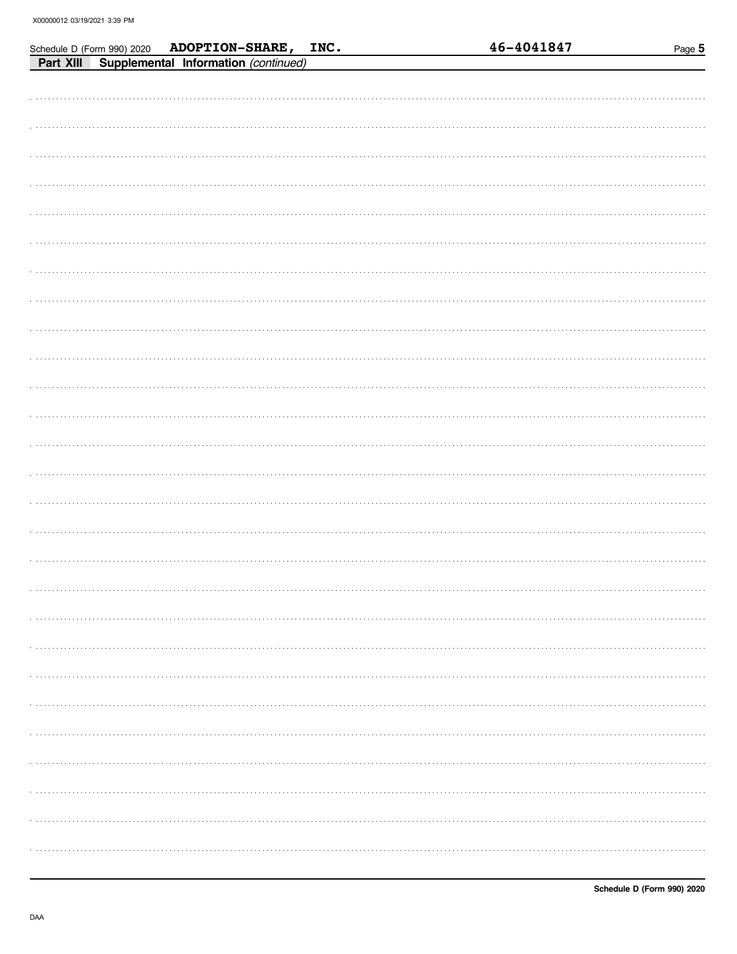|           | Schedule D (Form 990) 2020 | ADOPTION-SHARE, INC.                 |  | 46-4041847 | Page 5 |
|-----------|----------------------------|--------------------------------------|--|------------|--------|
| Part XIII |                            | Supplemental Information (continued) |  |            |        |
|           |                            |                                      |  |            |        |
|           |                            |                                      |  |            |        |
|           |                            |                                      |  |            |        |
|           |                            |                                      |  |            |        |
|           |                            |                                      |  |            |        |
|           |                            |                                      |  |            |        |
|           |                            |                                      |  |            |        |
|           |                            |                                      |  |            |        |
|           |                            |                                      |  |            |        |
|           |                            |                                      |  |            |        |
|           |                            |                                      |  |            |        |
|           |                            |                                      |  |            |        |
|           |                            |                                      |  |            |        |
|           |                            |                                      |  |            |        |
|           |                            |                                      |  |            |        |
|           |                            |                                      |  |            |        |
|           |                            |                                      |  |            |        |
|           |                            |                                      |  |            |        |
|           |                            |                                      |  |            |        |
|           |                            |                                      |  |            |        |
|           |                            |                                      |  |            |        |
|           |                            |                                      |  |            |        |
|           |                            |                                      |  |            |        |
|           |                            |                                      |  |            |        |
|           |                            |                                      |  |            |        |
|           |                            |                                      |  |            |        |
|           |                            |                                      |  |            |        |
|           |                            |                                      |  |            |        |
|           |                            |                                      |  |            |        |
|           |                            |                                      |  |            |        |
|           |                            |                                      |  |            |        |
|           |                            |                                      |  |            |        |
|           |                            |                                      |  |            |        |
|           |                            |                                      |  |            |        |
|           |                            |                                      |  |            |        |
|           |                            |                                      |  |            |        |
|           |                            |                                      |  |            |        |
|           |                            |                                      |  |            |        |
|           |                            |                                      |  |            |        |
|           |                            |                                      |  |            |        |
|           |                            |                                      |  |            |        |
|           |                            |                                      |  |            |        |
|           |                            |                                      |  |            |        |
|           |                            |                                      |  |            |        |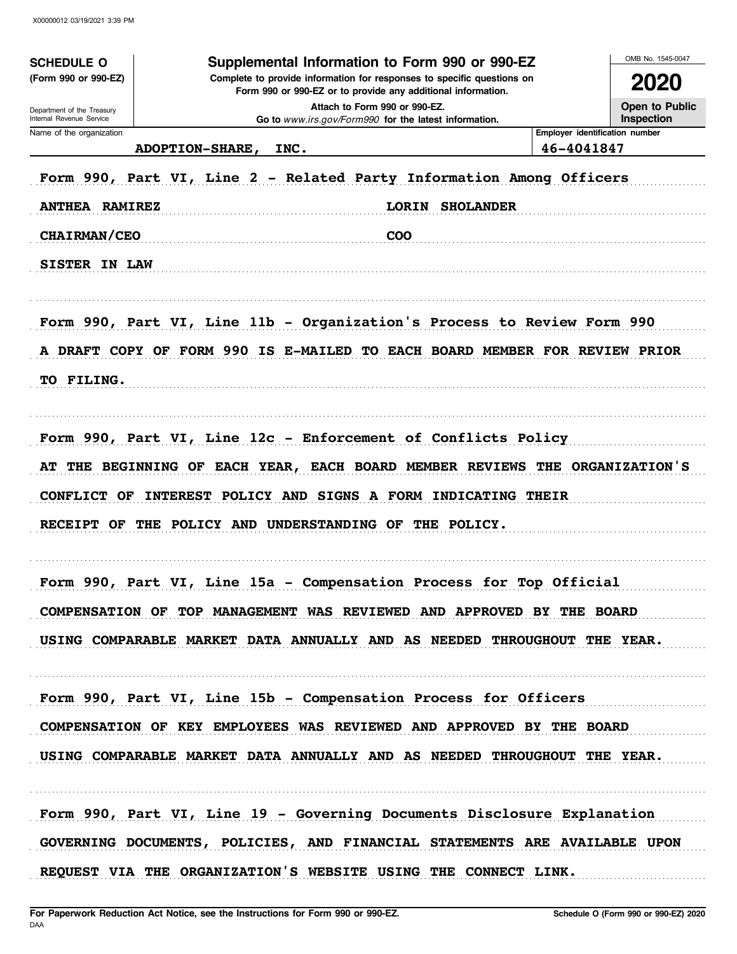| <b>SCHEDULE O</b><br>(Form 990 or 990-EZ)              | Supplemental Information to Form 990 or 990-EZ<br>Complete to provide information for responses to specific questions on<br>Form 990 or 990-EZ or to provide any additional information. |                                                                                        |            |                                |  |  |
|--------------------------------------------------------|------------------------------------------------------------------------------------------------------------------------------------------------------------------------------------------|----------------------------------------------------------------------------------------|------------|--------------------------------|--|--|
| Department of the Treasury<br>Internal Revenue Service |                                                                                                                                                                                          | Attach to Form 990 or 990-EZ.<br>Go to www.irs.gov/Form990 for the latest information. |            | Open to Public<br>Inspection   |  |  |
| Name of the organization                               | <b>ADOPTION-SHARE,</b><br>INC.                                                                                                                                                           |                                                                                        | 46-4041847 | Employer identification number |  |  |
|                                                        |                                                                                                                                                                                          | Form 990, Part VI, Line 2 - Related Party Information Among Officers                   |            |                                |  |  |
|                                                        |                                                                                                                                                                                          |                                                                                        |            |                                |  |  |
| <b>ANTHEA RAMIREZ</b>                                  |                                                                                                                                                                                          | <b>LORIN SHOLANDER</b>                                                                 |            |                                |  |  |
| <b>CHAIRMAN/CEO</b>                                    |                                                                                                                                                                                          | <b>COO</b>                                                                             |            |                                |  |  |
| <b>SISTER IN LAW</b>                                   |                                                                                                                                                                                          |                                                                                        |            |                                |  |  |
|                                                        |                                                                                                                                                                                          | Form 990, Part VI, Line 11b - Organization's Process to Review Form 990                |            |                                |  |  |
|                                                        |                                                                                                                                                                                          | A DRAFT COPY OF FORM 990 IS E-MAILED TO EACH BOARD MEMBER FOR REVIEW PRIOR             |            |                                |  |  |
| TO FILING.                                             |                                                                                                                                                                                          |                                                                                        |            |                                |  |  |
|                                                        |                                                                                                                                                                                          |                                                                                        |            |                                |  |  |
|                                                        |                                                                                                                                                                                          | Form 990, Part VI, Line 12c - Enforcement of Conflicts Policy                          |            |                                |  |  |
|                                                        |                                                                                                                                                                                          | AT THE BEGINNING OF EACH YEAR, EACH BOARD MEMBER REVIEWS THE ORGANIZATION'S            |            |                                |  |  |
| <b>CONFLICT OF</b>                                     |                                                                                                                                                                                          | INTEREST POLICY AND SIGNS A FORM INDICATING THEIR                                      |            |                                |  |  |
|                                                        |                                                                                                                                                                                          | RECEIPT OF THE POLICY AND UNDERSTANDING OF THE POLICY.                                 |            |                                |  |  |
|                                                        |                                                                                                                                                                                          |                                                                                        |            |                                |  |  |
|                                                        |                                                                                                                                                                                          | Form 990, Part VI, Line 15a - Compensation Process for Top Official                    |            |                                |  |  |
|                                                        |                                                                                                                                                                                          | COMPENSATION OF TOP MANAGEMENT WAS REVIEWED AND APPROVED BY THE BOARD                  |            |                                |  |  |
|                                                        |                                                                                                                                                                                          | USING COMPARABLE MARKET DATA ANNUALLY AND AS NEEDED THROUGHOUT THE YEAR.               |            |                                |  |  |
|                                                        |                                                                                                                                                                                          |                                                                                        |            |                                |  |  |
|                                                        |                                                                                                                                                                                          | Form 990, Part VI, Line 15b - Compensation Process for Officers                        |            |                                |  |  |
|                                                        |                                                                                                                                                                                          | COMPENSATION OF KEY EMPLOYEES WAS REVIEWED AND APPROVED BY THE BOARD                   |            |                                |  |  |
|                                                        |                                                                                                                                                                                          | USING COMPARABLE MARKET DATA ANNUALLY AND AS NEEDED THROUGHOUT THE YEAR.               |            |                                |  |  |
|                                                        |                                                                                                                                                                                          |                                                                                        |            |                                |  |  |
|                                                        |                                                                                                                                                                                          | Form 990, Part VI, Line 19 - Governing Documents Disclosure Explanation                |            |                                |  |  |
|                                                        |                                                                                                                                                                                          | GOVERNING DOCUMENTS, POLICIES, AND FINANCIAL STATEMENTS ARE AVAILABLE UPON             |            |                                |  |  |
|                                                        |                                                                                                                                                                                          | REQUEST VIA THE ORGANIZATION'S WEBSITE USING THE CONNECT LINK.                         |            |                                |  |  |
|                                                        |                                                                                                                                                                                          |                                                                                        |            |                                |  |  |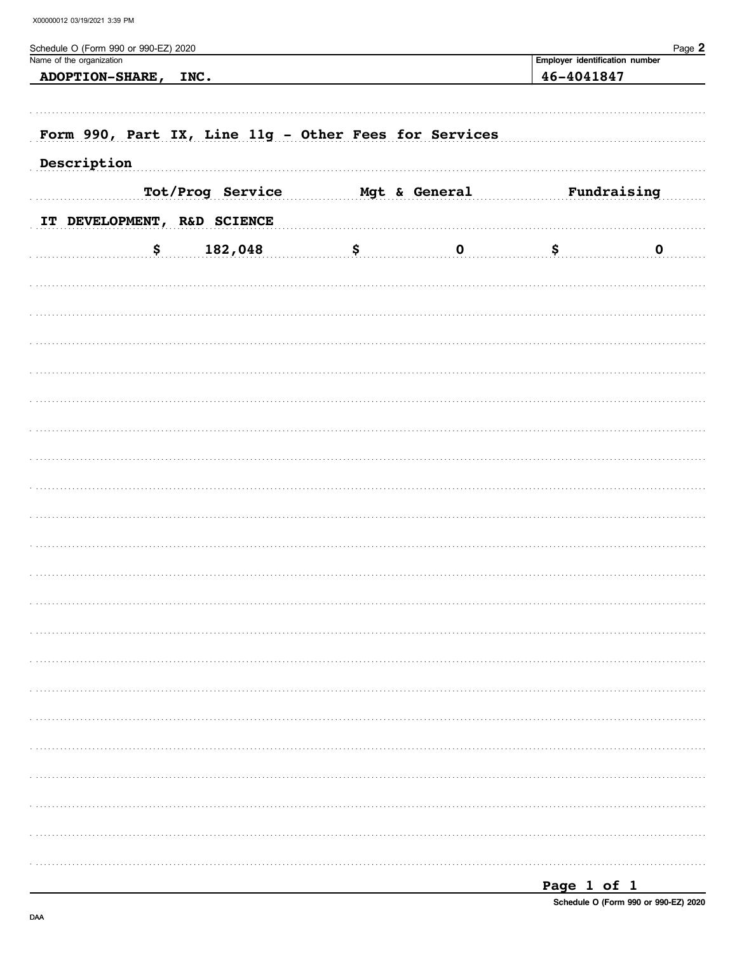| Schedule O (Form 990 or 990-EZ) 2020<br>Name of the organization |                  |    |               | Employer identification number | Page 2      |  |  |
|------------------------------------------------------------------|------------------|----|---------------|--------------------------------|-------------|--|--|
| <b>ADOPTION-SHARE,</b>                                           | INC.             |    |               | 46-4041847                     |             |  |  |
|                                                                  |                  |    |               |                                |             |  |  |
|                                                                  |                  |    |               |                                |             |  |  |
| Form 990, Part IX, Line 11g - Other Fees for Services            |                  |    |               |                                |             |  |  |
| Description                                                      |                  |    |               |                                |             |  |  |
|                                                                  |                  |    |               |                                |             |  |  |
|                                                                  | Tot/Prog Service |    | Mgt & General |                                | Fundraising |  |  |
| IT DEVELOPMENT, R&D SCIENCE                                      |                  |    |               |                                |             |  |  |
| \$                                                               | 182,048          | \$ | $\mathbf 0$   | \$                             | $\mathbf 0$ |  |  |
|                                                                  |                  |    |               |                                |             |  |  |
|                                                                  |                  |    |               |                                |             |  |  |
|                                                                  |                  |    |               |                                |             |  |  |
|                                                                  |                  |    |               |                                |             |  |  |
|                                                                  |                  |    |               |                                |             |  |  |
|                                                                  |                  |    |               |                                |             |  |  |
|                                                                  |                  |    |               |                                |             |  |  |
|                                                                  |                  |    |               |                                |             |  |  |
|                                                                  |                  |    |               |                                |             |  |  |
|                                                                  |                  |    |               |                                |             |  |  |
|                                                                  |                  |    |               |                                |             |  |  |
|                                                                  |                  |    |               |                                |             |  |  |
|                                                                  |                  |    |               |                                |             |  |  |
|                                                                  |                  |    |               |                                |             |  |  |
|                                                                  |                  |    |               |                                |             |  |  |
|                                                                  |                  |    |               |                                |             |  |  |
|                                                                  |                  |    |               |                                |             |  |  |
|                                                                  |                  |    |               |                                |             |  |  |
|                                                                  |                  |    |               |                                |             |  |  |
|                                                                  |                  |    |               |                                |             |  |  |
|                                                                  |                  |    |               |                                |             |  |  |
|                                                                  |                  |    |               |                                |             |  |  |
|                                                                  |                  |    |               |                                |             |  |  |
|                                                                  |                  |    |               |                                |             |  |  |
|                                                                  |                  |    |               |                                |             |  |  |
|                                                                  |                  |    |               |                                |             |  |  |
|                                                                  |                  |    |               |                                |             |  |  |
|                                                                  |                  |    |               |                                |             |  |  |
|                                                                  |                  |    |               |                                |             |  |  |

| Page |  |  |  |  |
|------|--|--|--|--|
|------|--|--|--|--|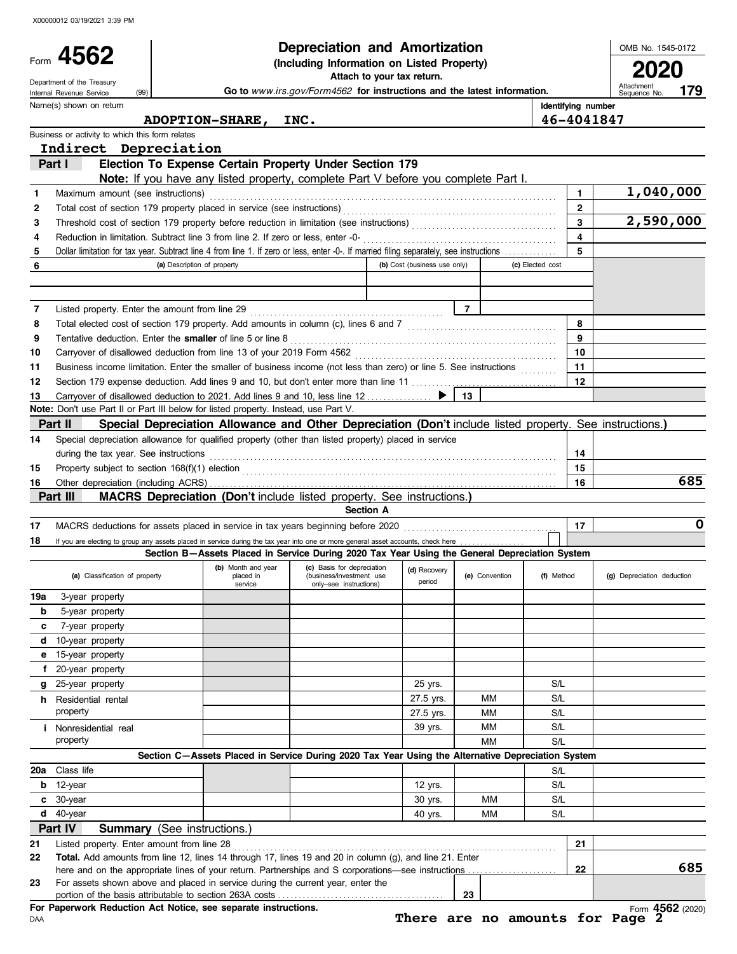| Form 4562<br>(Including Information on Listed Property)<br>2020<br>Attach to your tax return.<br>Department of the Treasury<br>Attachment<br>Go to www.irs.gov/Form4562 for instructions and the latest information.<br>179<br>(99)<br>Internal Revenue Service<br>Sequence No.<br>Identifying number<br>Name(s) shown on return<br>46-4041847<br>ADOPTION-SHARE, INC.<br>Business or activity to which this form relates<br>Indirect Depreciation<br>Election To Expense Certain Property Under Section 179<br>Part I<br>Note: If you have any listed property, complete Part V before you complete Part I.<br>1,040,000<br>$\mathbf{1}$<br>Maximum amount (see instructions)<br>1<br>$\mathbf{2}$<br>2<br>2,590,000<br>3<br>3<br>$\overline{\mathbf{4}}$<br>4<br>5<br>Dollar limitation for tax year. Subtract line 4 from line 1. If zero or less, enter -0-. If married filing separately, see instructions<br>5<br>6<br>(a) Description of property<br>(b) Cost (business use only)<br>(c) Elected cost<br>$\overline{7}$<br>7<br>8<br>8<br>9<br>9<br>10<br>10<br>11<br>Business income limitation. Enter the smaller of business income (not less than zero) or line 5. See instructions<br>11<br>12<br>Section 179 expense deduction. Add lines 9 and 10, but don't enter more than line 11<br>12<br>Carryover of disallowed deduction to 2021. Add lines 9 and 10, less line 12<br>13<br>13<br>Note: Don't use Part II or Part III below for listed property. Instead, use Part V.<br>Special Depreciation Allowance and Other Depreciation (Don't include listed property. See instructions.)<br>Part II<br>Special depreciation allowance for qualified property (other than listed property) placed in service<br>14<br>during the tax year. See instructions entitled and contain an according to the tax year. See instructions<br>14<br>15<br>15<br>685<br>16<br>16<br>MACRS Depreciation (Don't include listed property. See instructions.)<br>Part III<br><b>Section A</b><br>$\mathbf 0$<br>17<br>MACRS deductions for assets placed in service in tax years beginning before 2020 [11] MACRS deductions for assets placed in service in tax years beginning before 2020<br>17<br>18<br>If you are electing to group any assets placed in service during the tax year into one or more general asset accounts, check here<br>Section B-Assets Placed in Service During 2020 Tax Year Using the General Depreciation System<br>(b) Month and year (c) Basis for depreciation $\left  \begin{array}{c} \text{(d)} \text{ Recovery} \end{array} \right $<br>(d) Recovery<br>(a) Classification of property<br>(e) Convention<br>(f) Method<br>placed in<br>(business/investment use<br>(g) Depreciation deduction<br>period<br>service<br>only-see instructions)<br>19a<br>3-year property<br>b<br>5-year property<br>7-year property<br>c<br>10-year property<br>d<br>15-year property<br>е<br>20-year property<br>f<br>g 25-year property<br>S/L<br>25 yrs.<br>S/L<br>27.5 yrs.<br>МM<br><b>h</b> Residential rental<br>property<br>S/L<br>27.5 yrs.<br>МM<br>S/L<br>МM<br><i>i</i> Nonresidential real<br>39 yrs.<br>property<br>MM<br>S/L<br>Section C-Assets Placed in Service During 2020 Tax Year Using the Alternative Depreciation System<br>Class life<br>S/L<br>20a<br>S/L<br>12-year<br>b<br>12 yrs.<br>$c30-year$<br>S/L<br>MМ<br>30 yrs.<br>$d$ 40-year<br>S/L<br>MМ<br>40 yrs.<br>Part IV<br><b>Summary</b> (See instructions.)<br>21<br>21<br>Listed property. Enter amount from line 28<br>Total. Add amounts from line 12, lines 14 through 17, lines 19 and 20 in column (g), and line 21. Enter<br>22<br>685<br>22<br>For assets shown above and placed in service during the current year, enter the<br>23<br>23<br>For Paperwork Reduction Act Notice, see separate instructions.<br>There are no amounts for Page 2<br>DAA |  | <b>Depreciation and Amortization</b> |  | OMB No. 1545-0172 |
|-----------------------------------------------------------------------------------------------------------------------------------------------------------------------------------------------------------------------------------------------------------------------------------------------------------------------------------------------------------------------------------------------------------------------------------------------------------------------------------------------------------------------------------------------------------------------------------------------------------------------------------------------------------------------------------------------------------------------------------------------------------------------------------------------------------------------------------------------------------------------------------------------------------------------------------------------------------------------------------------------------------------------------------------------------------------------------------------------------------------------------------------------------------------------------------------------------------------------------------------------------------------------------------------------------------------------------------------------------------------------------------------------------------------------------------------------------------------------------------------------------------------------------------------------------------------------------------------------------------------------------------------------------------------------------------------------------------------------------------------------------------------------------------------------------------------------------------------------------------------------------------------------------------------------------------------------------------------------------------------------------------------------------------------------------------------------------------------------------------------------------------------------------------------------------------------------------------------------------------------------------------------------------------------------------------------------------------------------------------------------------------------------------------------------------------------------------------------------------------------------------------------------------------------------------------------------------------------------------------------------------------------------------------------------------------------------------------------------------------------------------------------------------------------------------------------------------------------------------------------------------------------------------------------------------------------------------------------------------------------------------------------------------------------------------------------------------------------------------------------------------------------------------------------------------------------------------------------------------------------------------------------------------------------------------------------------------------------------------------------------------------------------------------------------------------------------------------------------------------------------------------------------------------------------------------------------------------------------------------------------------------------------------------------------------------------------------------------------------------------------------------------------------------------------------------------------------------------------------------------|--|--------------------------------------|--|-------------------|
|                                                                                                                                                                                                                                                                                                                                                                                                                                                                                                                                                                                                                                                                                                                                                                                                                                                                                                                                                                                                                                                                                                                                                                                                                                                                                                                                                                                                                                                                                                                                                                                                                                                                                                                                                                                                                                                                                                                                                                                                                                                                                                                                                                                                                                                                                                                                                                                                                                                                                                                                                                                                                                                                                                                                                                                                                                                                                                                                                                                                                                                                                                                                                                                                                                                                                                                                                                                                                                                                                                                                                                                                                                                                                                                                                                                                                                                                 |  |                                      |  |                   |
|                                                                                                                                                                                                                                                                                                                                                                                                                                                                                                                                                                                                                                                                                                                                                                                                                                                                                                                                                                                                                                                                                                                                                                                                                                                                                                                                                                                                                                                                                                                                                                                                                                                                                                                                                                                                                                                                                                                                                                                                                                                                                                                                                                                                                                                                                                                                                                                                                                                                                                                                                                                                                                                                                                                                                                                                                                                                                                                                                                                                                                                                                                                                                                                                                                                                                                                                                                                                                                                                                                                                                                                                                                                                                                                                                                                                                                                                 |  |                                      |  |                   |
|                                                                                                                                                                                                                                                                                                                                                                                                                                                                                                                                                                                                                                                                                                                                                                                                                                                                                                                                                                                                                                                                                                                                                                                                                                                                                                                                                                                                                                                                                                                                                                                                                                                                                                                                                                                                                                                                                                                                                                                                                                                                                                                                                                                                                                                                                                                                                                                                                                                                                                                                                                                                                                                                                                                                                                                                                                                                                                                                                                                                                                                                                                                                                                                                                                                                                                                                                                                                                                                                                                                                                                                                                                                                                                                                                                                                                                                                 |  |                                      |  |                   |
|                                                                                                                                                                                                                                                                                                                                                                                                                                                                                                                                                                                                                                                                                                                                                                                                                                                                                                                                                                                                                                                                                                                                                                                                                                                                                                                                                                                                                                                                                                                                                                                                                                                                                                                                                                                                                                                                                                                                                                                                                                                                                                                                                                                                                                                                                                                                                                                                                                                                                                                                                                                                                                                                                                                                                                                                                                                                                                                                                                                                                                                                                                                                                                                                                                                                                                                                                                                                                                                                                                                                                                                                                                                                                                                                                                                                                                                                 |  |                                      |  |                   |
|                                                                                                                                                                                                                                                                                                                                                                                                                                                                                                                                                                                                                                                                                                                                                                                                                                                                                                                                                                                                                                                                                                                                                                                                                                                                                                                                                                                                                                                                                                                                                                                                                                                                                                                                                                                                                                                                                                                                                                                                                                                                                                                                                                                                                                                                                                                                                                                                                                                                                                                                                                                                                                                                                                                                                                                                                                                                                                                                                                                                                                                                                                                                                                                                                                                                                                                                                                                                                                                                                                                                                                                                                                                                                                                                                                                                                                                                 |  |                                      |  |                   |
|                                                                                                                                                                                                                                                                                                                                                                                                                                                                                                                                                                                                                                                                                                                                                                                                                                                                                                                                                                                                                                                                                                                                                                                                                                                                                                                                                                                                                                                                                                                                                                                                                                                                                                                                                                                                                                                                                                                                                                                                                                                                                                                                                                                                                                                                                                                                                                                                                                                                                                                                                                                                                                                                                                                                                                                                                                                                                                                                                                                                                                                                                                                                                                                                                                                                                                                                                                                                                                                                                                                                                                                                                                                                                                                                                                                                                                                                 |  |                                      |  |                   |
|                                                                                                                                                                                                                                                                                                                                                                                                                                                                                                                                                                                                                                                                                                                                                                                                                                                                                                                                                                                                                                                                                                                                                                                                                                                                                                                                                                                                                                                                                                                                                                                                                                                                                                                                                                                                                                                                                                                                                                                                                                                                                                                                                                                                                                                                                                                                                                                                                                                                                                                                                                                                                                                                                                                                                                                                                                                                                                                                                                                                                                                                                                                                                                                                                                                                                                                                                                                                                                                                                                                                                                                                                                                                                                                                                                                                                                                                 |  |                                      |  |                   |
|                                                                                                                                                                                                                                                                                                                                                                                                                                                                                                                                                                                                                                                                                                                                                                                                                                                                                                                                                                                                                                                                                                                                                                                                                                                                                                                                                                                                                                                                                                                                                                                                                                                                                                                                                                                                                                                                                                                                                                                                                                                                                                                                                                                                                                                                                                                                                                                                                                                                                                                                                                                                                                                                                                                                                                                                                                                                                                                                                                                                                                                                                                                                                                                                                                                                                                                                                                                                                                                                                                                                                                                                                                                                                                                                                                                                                                                                 |  |                                      |  |                   |
| Form 4562 (2020)                                                                                                                                                                                                                                                                                                                                                                                                                                                                                                                                                                                                                                                                                                                                                                                                                                                                                                                                                                                                                                                                                                                                                                                                                                                                                                                                                                                                                                                                                                                                                                                                                                                                                                                                                                                                                                                                                                                                                                                                                                                                                                                                                                                                                                                                                                                                                                                                                                                                                                                                                                                                                                                                                                                                                                                                                                                                                                                                                                                                                                                                                                                                                                                                                                                                                                                                                                                                                                                                                                                                                                                                                                                                                                                                                                                                                                                |  |                                      |  |                   |
|                                                                                                                                                                                                                                                                                                                                                                                                                                                                                                                                                                                                                                                                                                                                                                                                                                                                                                                                                                                                                                                                                                                                                                                                                                                                                                                                                                                                                                                                                                                                                                                                                                                                                                                                                                                                                                                                                                                                                                                                                                                                                                                                                                                                                                                                                                                                                                                                                                                                                                                                                                                                                                                                                                                                                                                                                                                                                                                                                                                                                                                                                                                                                                                                                                                                                                                                                                                                                                                                                                                                                                                                                                                                                                                                                                                                                                                                 |  |                                      |  |                   |
|                                                                                                                                                                                                                                                                                                                                                                                                                                                                                                                                                                                                                                                                                                                                                                                                                                                                                                                                                                                                                                                                                                                                                                                                                                                                                                                                                                                                                                                                                                                                                                                                                                                                                                                                                                                                                                                                                                                                                                                                                                                                                                                                                                                                                                                                                                                                                                                                                                                                                                                                                                                                                                                                                                                                                                                                                                                                                                                                                                                                                                                                                                                                                                                                                                                                                                                                                                                                                                                                                                                                                                                                                                                                                                                                                                                                                                                                 |  |                                      |  |                   |
|                                                                                                                                                                                                                                                                                                                                                                                                                                                                                                                                                                                                                                                                                                                                                                                                                                                                                                                                                                                                                                                                                                                                                                                                                                                                                                                                                                                                                                                                                                                                                                                                                                                                                                                                                                                                                                                                                                                                                                                                                                                                                                                                                                                                                                                                                                                                                                                                                                                                                                                                                                                                                                                                                                                                                                                                                                                                                                                                                                                                                                                                                                                                                                                                                                                                                                                                                                                                                                                                                                                                                                                                                                                                                                                                                                                                                                                                 |  |                                      |  |                   |
|                                                                                                                                                                                                                                                                                                                                                                                                                                                                                                                                                                                                                                                                                                                                                                                                                                                                                                                                                                                                                                                                                                                                                                                                                                                                                                                                                                                                                                                                                                                                                                                                                                                                                                                                                                                                                                                                                                                                                                                                                                                                                                                                                                                                                                                                                                                                                                                                                                                                                                                                                                                                                                                                                                                                                                                                                                                                                                                                                                                                                                                                                                                                                                                                                                                                                                                                                                                                                                                                                                                                                                                                                                                                                                                                                                                                                                                                 |  |                                      |  |                   |
|                                                                                                                                                                                                                                                                                                                                                                                                                                                                                                                                                                                                                                                                                                                                                                                                                                                                                                                                                                                                                                                                                                                                                                                                                                                                                                                                                                                                                                                                                                                                                                                                                                                                                                                                                                                                                                                                                                                                                                                                                                                                                                                                                                                                                                                                                                                                                                                                                                                                                                                                                                                                                                                                                                                                                                                                                                                                                                                                                                                                                                                                                                                                                                                                                                                                                                                                                                                                                                                                                                                                                                                                                                                                                                                                                                                                                                                                 |  |                                      |  |                   |
|                                                                                                                                                                                                                                                                                                                                                                                                                                                                                                                                                                                                                                                                                                                                                                                                                                                                                                                                                                                                                                                                                                                                                                                                                                                                                                                                                                                                                                                                                                                                                                                                                                                                                                                                                                                                                                                                                                                                                                                                                                                                                                                                                                                                                                                                                                                                                                                                                                                                                                                                                                                                                                                                                                                                                                                                                                                                                                                                                                                                                                                                                                                                                                                                                                                                                                                                                                                                                                                                                                                                                                                                                                                                                                                                                                                                                                                                 |  |                                      |  |                   |
|                                                                                                                                                                                                                                                                                                                                                                                                                                                                                                                                                                                                                                                                                                                                                                                                                                                                                                                                                                                                                                                                                                                                                                                                                                                                                                                                                                                                                                                                                                                                                                                                                                                                                                                                                                                                                                                                                                                                                                                                                                                                                                                                                                                                                                                                                                                                                                                                                                                                                                                                                                                                                                                                                                                                                                                                                                                                                                                                                                                                                                                                                                                                                                                                                                                                                                                                                                                                                                                                                                                                                                                                                                                                                                                                                                                                                                                                 |  |                                      |  |                   |
|                                                                                                                                                                                                                                                                                                                                                                                                                                                                                                                                                                                                                                                                                                                                                                                                                                                                                                                                                                                                                                                                                                                                                                                                                                                                                                                                                                                                                                                                                                                                                                                                                                                                                                                                                                                                                                                                                                                                                                                                                                                                                                                                                                                                                                                                                                                                                                                                                                                                                                                                                                                                                                                                                                                                                                                                                                                                                                                                                                                                                                                                                                                                                                                                                                                                                                                                                                                                                                                                                                                                                                                                                                                                                                                                                                                                                                                                 |  |                                      |  |                   |
|                                                                                                                                                                                                                                                                                                                                                                                                                                                                                                                                                                                                                                                                                                                                                                                                                                                                                                                                                                                                                                                                                                                                                                                                                                                                                                                                                                                                                                                                                                                                                                                                                                                                                                                                                                                                                                                                                                                                                                                                                                                                                                                                                                                                                                                                                                                                                                                                                                                                                                                                                                                                                                                                                                                                                                                                                                                                                                                                                                                                                                                                                                                                                                                                                                                                                                                                                                                                                                                                                                                                                                                                                                                                                                                                                                                                                                                                 |  |                                      |  |                   |
|                                                                                                                                                                                                                                                                                                                                                                                                                                                                                                                                                                                                                                                                                                                                                                                                                                                                                                                                                                                                                                                                                                                                                                                                                                                                                                                                                                                                                                                                                                                                                                                                                                                                                                                                                                                                                                                                                                                                                                                                                                                                                                                                                                                                                                                                                                                                                                                                                                                                                                                                                                                                                                                                                                                                                                                                                                                                                                                                                                                                                                                                                                                                                                                                                                                                                                                                                                                                                                                                                                                                                                                                                                                                                                                                                                                                                                                                 |  |                                      |  |                   |
|                                                                                                                                                                                                                                                                                                                                                                                                                                                                                                                                                                                                                                                                                                                                                                                                                                                                                                                                                                                                                                                                                                                                                                                                                                                                                                                                                                                                                                                                                                                                                                                                                                                                                                                                                                                                                                                                                                                                                                                                                                                                                                                                                                                                                                                                                                                                                                                                                                                                                                                                                                                                                                                                                                                                                                                                                                                                                                                                                                                                                                                                                                                                                                                                                                                                                                                                                                                                                                                                                                                                                                                                                                                                                                                                                                                                                                                                 |  |                                      |  |                   |
|                                                                                                                                                                                                                                                                                                                                                                                                                                                                                                                                                                                                                                                                                                                                                                                                                                                                                                                                                                                                                                                                                                                                                                                                                                                                                                                                                                                                                                                                                                                                                                                                                                                                                                                                                                                                                                                                                                                                                                                                                                                                                                                                                                                                                                                                                                                                                                                                                                                                                                                                                                                                                                                                                                                                                                                                                                                                                                                                                                                                                                                                                                                                                                                                                                                                                                                                                                                                                                                                                                                                                                                                                                                                                                                                                                                                                                                                 |  |                                      |  |                   |
|                                                                                                                                                                                                                                                                                                                                                                                                                                                                                                                                                                                                                                                                                                                                                                                                                                                                                                                                                                                                                                                                                                                                                                                                                                                                                                                                                                                                                                                                                                                                                                                                                                                                                                                                                                                                                                                                                                                                                                                                                                                                                                                                                                                                                                                                                                                                                                                                                                                                                                                                                                                                                                                                                                                                                                                                                                                                                                                                                                                                                                                                                                                                                                                                                                                                                                                                                                                                                                                                                                                                                                                                                                                                                                                                                                                                                                                                 |  |                                      |  |                   |
|                                                                                                                                                                                                                                                                                                                                                                                                                                                                                                                                                                                                                                                                                                                                                                                                                                                                                                                                                                                                                                                                                                                                                                                                                                                                                                                                                                                                                                                                                                                                                                                                                                                                                                                                                                                                                                                                                                                                                                                                                                                                                                                                                                                                                                                                                                                                                                                                                                                                                                                                                                                                                                                                                                                                                                                                                                                                                                                                                                                                                                                                                                                                                                                                                                                                                                                                                                                                                                                                                                                                                                                                                                                                                                                                                                                                                                                                 |  |                                      |  |                   |
|                                                                                                                                                                                                                                                                                                                                                                                                                                                                                                                                                                                                                                                                                                                                                                                                                                                                                                                                                                                                                                                                                                                                                                                                                                                                                                                                                                                                                                                                                                                                                                                                                                                                                                                                                                                                                                                                                                                                                                                                                                                                                                                                                                                                                                                                                                                                                                                                                                                                                                                                                                                                                                                                                                                                                                                                                                                                                                                                                                                                                                                                                                                                                                                                                                                                                                                                                                                                                                                                                                                                                                                                                                                                                                                                                                                                                                                                 |  |                                      |  |                   |
|                                                                                                                                                                                                                                                                                                                                                                                                                                                                                                                                                                                                                                                                                                                                                                                                                                                                                                                                                                                                                                                                                                                                                                                                                                                                                                                                                                                                                                                                                                                                                                                                                                                                                                                                                                                                                                                                                                                                                                                                                                                                                                                                                                                                                                                                                                                                                                                                                                                                                                                                                                                                                                                                                                                                                                                                                                                                                                                                                                                                                                                                                                                                                                                                                                                                                                                                                                                                                                                                                                                                                                                                                                                                                                                                                                                                                                                                 |  |                                      |  |                   |
|                                                                                                                                                                                                                                                                                                                                                                                                                                                                                                                                                                                                                                                                                                                                                                                                                                                                                                                                                                                                                                                                                                                                                                                                                                                                                                                                                                                                                                                                                                                                                                                                                                                                                                                                                                                                                                                                                                                                                                                                                                                                                                                                                                                                                                                                                                                                                                                                                                                                                                                                                                                                                                                                                                                                                                                                                                                                                                                                                                                                                                                                                                                                                                                                                                                                                                                                                                                                                                                                                                                                                                                                                                                                                                                                                                                                                                                                 |  |                                      |  |                   |
|                                                                                                                                                                                                                                                                                                                                                                                                                                                                                                                                                                                                                                                                                                                                                                                                                                                                                                                                                                                                                                                                                                                                                                                                                                                                                                                                                                                                                                                                                                                                                                                                                                                                                                                                                                                                                                                                                                                                                                                                                                                                                                                                                                                                                                                                                                                                                                                                                                                                                                                                                                                                                                                                                                                                                                                                                                                                                                                                                                                                                                                                                                                                                                                                                                                                                                                                                                                                                                                                                                                                                                                                                                                                                                                                                                                                                                                                 |  |                                      |  |                   |
|                                                                                                                                                                                                                                                                                                                                                                                                                                                                                                                                                                                                                                                                                                                                                                                                                                                                                                                                                                                                                                                                                                                                                                                                                                                                                                                                                                                                                                                                                                                                                                                                                                                                                                                                                                                                                                                                                                                                                                                                                                                                                                                                                                                                                                                                                                                                                                                                                                                                                                                                                                                                                                                                                                                                                                                                                                                                                                                                                                                                                                                                                                                                                                                                                                                                                                                                                                                                                                                                                                                                                                                                                                                                                                                                                                                                                                                                 |  |                                      |  |                   |
|                                                                                                                                                                                                                                                                                                                                                                                                                                                                                                                                                                                                                                                                                                                                                                                                                                                                                                                                                                                                                                                                                                                                                                                                                                                                                                                                                                                                                                                                                                                                                                                                                                                                                                                                                                                                                                                                                                                                                                                                                                                                                                                                                                                                                                                                                                                                                                                                                                                                                                                                                                                                                                                                                                                                                                                                                                                                                                                                                                                                                                                                                                                                                                                                                                                                                                                                                                                                                                                                                                                                                                                                                                                                                                                                                                                                                                                                 |  |                                      |  |                   |
|                                                                                                                                                                                                                                                                                                                                                                                                                                                                                                                                                                                                                                                                                                                                                                                                                                                                                                                                                                                                                                                                                                                                                                                                                                                                                                                                                                                                                                                                                                                                                                                                                                                                                                                                                                                                                                                                                                                                                                                                                                                                                                                                                                                                                                                                                                                                                                                                                                                                                                                                                                                                                                                                                                                                                                                                                                                                                                                                                                                                                                                                                                                                                                                                                                                                                                                                                                                                                                                                                                                                                                                                                                                                                                                                                                                                                                                                 |  |                                      |  |                   |
|                                                                                                                                                                                                                                                                                                                                                                                                                                                                                                                                                                                                                                                                                                                                                                                                                                                                                                                                                                                                                                                                                                                                                                                                                                                                                                                                                                                                                                                                                                                                                                                                                                                                                                                                                                                                                                                                                                                                                                                                                                                                                                                                                                                                                                                                                                                                                                                                                                                                                                                                                                                                                                                                                                                                                                                                                                                                                                                                                                                                                                                                                                                                                                                                                                                                                                                                                                                                                                                                                                                                                                                                                                                                                                                                                                                                                                                                 |  |                                      |  |                   |
|                                                                                                                                                                                                                                                                                                                                                                                                                                                                                                                                                                                                                                                                                                                                                                                                                                                                                                                                                                                                                                                                                                                                                                                                                                                                                                                                                                                                                                                                                                                                                                                                                                                                                                                                                                                                                                                                                                                                                                                                                                                                                                                                                                                                                                                                                                                                                                                                                                                                                                                                                                                                                                                                                                                                                                                                                                                                                                                                                                                                                                                                                                                                                                                                                                                                                                                                                                                                                                                                                                                                                                                                                                                                                                                                                                                                                                                                 |  |                                      |  |                   |
|                                                                                                                                                                                                                                                                                                                                                                                                                                                                                                                                                                                                                                                                                                                                                                                                                                                                                                                                                                                                                                                                                                                                                                                                                                                                                                                                                                                                                                                                                                                                                                                                                                                                                                                                                                                                                                                                                                                                                                                                                                                                                                                                                                                                                                                                                                                                                                                                                                                                                                                                                                                                                                                                                                                                                                                                                                                                                                                                                                                                                                                                                                                                                                                                                                                                                                                                                                                                                                                                                                                                                                                                                                                                                                                                                                                                                                                                 |  |                                      |  |                   |
|                                                                                                                                                                                                                                                                                                                                                                                                                                                                                                                                                                                                                                                                                                                                                                                                                                                                                                                                                                                                                                                                                                                                                                                                                                                                                                                                                                                                                                                                                                                                                                                                                                                                                                                                                                                                                                                                                                                                                                                                                                                                                                                                                                                                                                                                                                                                                                                                                                                                                                                                                                                                                                                                                                                                                                                                                                                                                                                                                                                                                                                                                                                                                                                                                                                                                                                                                                                                                                                                                                                                                                                                                                                                                                                                                                                                                                                                 |  |                                      |  |                   |
|                                                                                                                                                                                                                                                                                                                                                                                                                                                                                                                                                                                                                                                                                                                                                                                                                                                                                                                                                                                                                                                                                                                                                                                                                                                                                                                                                                                                                                                                                                                                                                                                                                                                                                                                                                                                                                                                                                                                                                                                                                                                                                                                                                                                                                                                                                                                                                                                                                                                                                                                                                                                                                                                                                                                                                                                                                                                                                                                                                                                                                                                                                                                                                                                                                                                                                                                                                                                                                                                                                                                                                                                                                                                                                                                                                                                                                                                 |  |                                      |  |                   |
|                                                                                                                                                                                                                                                                                                                                                                                                                                                                                                                                                                                                                                                                                                                                                                                                                                                                                                                                                                                                                                                                                                                                                                                                                                                                                                                                                                                                                                                                                                                                                                                                                                                                                                                                                                                                                                                                                                                                                                                                                                                                                                                                                                                                                                                                                                                                                                                                                                                                                                                                                                                                                                                                                                                                                                                                                                                                                                                                                                                                                                                                                                                                                                                                                                                                                                                                                                                                                                                                                                                                                                                                                                                                                                                                                                                                                                                                 |  |                                      |  |                   |
|                                                                                                                                                                                                                                                                                                                                                                                                                                                                                                                                                                                                                                                                                                                                                                                                                                                                                                                                                                                                                                                                                                                                                                                                                                                                                                                                                                                                                                                                                                                                                                                                                                                                                                                                                                                                                                                                                                                                                                                                                                                                                                                                                                                                                                                                                                                                                                                                                                                                                                                                                                                                                                                                                                                                                                                                                                                                                                                                                                                                                                                                                                                                                                                                                                                                                                                                                                                                                                                                                                                                                                                                                                                                                                                                                                                                                                                                 |  |                                      |  |                   |
|                                                                                                                                                                                                                                                                                                                                                                                                                                                                                                                                                                                                                                                                                                                                                                                                                                                                                                                                                                                                                                                                                                                                                                                                                                                                                                                                                                                                                                                                                                                                                                                                                                                                                                                                                                                                                                                                                                                                                                                                                                                                                                                                                                                                                                                                                                                                                                                                                                                                                                                                                                                                                                                                                                                                                                                                                                                                                                                                                                                                                                                                                                                                                                                                                                                                                                                                                                                                                                                                                                                                                                                                                                                                                                                                                                                                                                                                 |  |                                      |  |                   |
|                                                                                                                                                                                                                                                                                                                                                                                                                                                                                                                                                                                                                                                                                                                                                                                                                                                                                                                                                                                                                                                                                                                                                                                                                                                                                                                                                                                                                                                                                                                                                                                                                                                                                                                                                                                                                                                                                                                                                                                                                                                                                                                                                                                                                                                                                                                                                                                                                                                                                                                                                                                                                                                                                                                                                                                                                                                                                                                                                                                                                                                                                                                                                                                                                                                                                                                                                                                                                                                                                                                                                                                                                                                                                                                                                                                                                                                                 |  |                                      |  |                   |
|                                                                                                                                                                                                                                                                                                                                                                                                                                                                                                                                                                                                                                                                                                                                                                                                                                                                                                                                                                                                                                                                                                                                                                                                                                                                                                                                                                                                                                                                                                                                                                                                                                                                                                                                                                                                                                                                                                                                                                                                                                                                                                                                                                                                                                                                                                                                                                                                                                                                                                                                                                                                                                                                                                                                                                                                                                                                                                                                                                                                                                                                                                                                                                                                                                                                                                                                                                                                                                                                                                                                                                                                                                                                                                                                                                                                                                                                 |  |                                      |  |                   |
|                                                                                                                                                                                                                                                                                                                                                                                                                                                                                                                                                                                                                                                                                                                                                                                                                                                                                                                                                                                                                                                                                                                                                                                                                                                                                                                                                                                                                                                                                                                                                                                                                                                                                                                                                                                                                                                                                                                                                                                                                                                                                                                                                                                                                                                                                                                                                                                                                                                                                                                                                                                                                                                                                                                                                                                                                                                                                                                                                                                                                                                                                                                                                                                                                                                                                                                                                                                                                                                                                                                                                                                                                                                                                                                                                                                                                                                                 |  |                                      |  |                   |
|                                                                                                                                                                                                                                                                                                                                                                                                                                                                                                                                                                                                                                                                                                                                                                                                                                                                                                                                                                                                                                                                                                                                                                                                                                                                                                                                                                                                                                                                                                                                                                                                                                                                                                                                                                                                                                                                                                                                                                                                                                                                                                                                                                                                                                                                                                                                                                                                                                                                                                                                                                                                                                                                                                                                                                                                                                                                                                                                                                                                                                                                                                                                                                                                                                                                                                                                                                                                                                                                                                                                                                                                                                                                                                                                                                                                                                                                 |  |                                      |  |                   |
|                                                                                                                                                                                                                                                                                                                                                                                                                                                                                                                                                                                                                                                                                                                                                                                                                                                                                                                                                                                                                                                                                                                                                                                                                                                                                                                                                                                                                                                                                                                                                                                                                                                                                                                                                                                                                                                                                                                                                                                                                                                                                                                                                                                                                                                                                                                                                                                                                                                                                                                                                                                                                                                                                                                                                                                                                                                                                                                                                                                                                                                                                                                                                                                                                                                                                                                                                                                                                                                                                                                                                                                                                                                                                                                                                                                                                                                                 |  |                                      |  |                   |
|                                                                                                                                                                                                                                                                                                                                                                                                                                                                                                                                                                                                                                                                                                                                                                                                                                                                                                                                                                                                                                                                                                                                                                                                                                                                                                                                                                                                                                                                                                                                                                                                                                                                                                                                                                                                                                                                                                                                                                                                                                                                                                                                                                                                                                                                                                                                                                                                                                                                                                                                                                                                                                                                                                                                                                                                                                                                                                                                                                                                                                                                                                                                                                                                                                                                                                                                                                                                                                                                                                                                                                                                                                                                                                                                                                                                                                                                 |  |                                      |  |                   |
|                                                                                                                                                                                                                                                                                                                                                                                                                                                                                                                                                                                                                                                                                                                                                                                                                                                                                                                                                                                                                                                                                                                                                                                                                                                                                                                                                                                                                                                                                                                                                                                                                                                                                                                                                                                                                                                                                                                                                                                                                                                                                                                                                                                                                                                                                                                                                                                                                                                                                                                                                                                                                                                                                                                                                                                                                                                                                                                                                                                                                                                                                                                                                                                                                                                                                                                                                                                                                                                                                                                                                                                                                                                                                                                                                                                                                                                                 |  |                                      |  |                   |
|                                                                                                                                                                                                                                                                                                                                                                                                                                                                                                                                                                                                                                                                                                                                                                                                                                                                                                                                                                                                                                                                                                                                                                                                                                                                                                                                                                                                                                                                                                                                                                                                                                                                                                                                                                                                                                                                                                                                                                                                                                                                                                                                                                                                                                                                                                                                                                                                                                                                                                                                                                                                                                                                                                                                                                                                                                                                                                                                                                                                                                                                                                                                                                                                                                                                                                                                                                                                                                                                                                                                                                                                                                                                                                                                                                                                                                                                 |  |                                      |  |                   |
|                                                                                                                                                                                                                                                                                                                                                                                                                                                                                                                                                                                                                                                                                                                                                                                                                                                                                                                                                                                                                                                                                                                                                                                                                                                                                                                                                                                                                                                                                                                                                                                                                                                                                                                                                                                                                                                                                                                                                                                                                                                                                                                                                                                                                                                                                                                                                                                                                                                                                                                                                                                                                                                                                                                                                                                                                                                                                                                                                                                                                                                                                                                                                                                                                                                                                                                                                                                                                                                                                                                                                                                                                                                                                                                                                                                                                                                                 |  |                                      |  |                   |
|                                                                                                                                                                                                                                                                                                                                                                                                                                                                                                                                                                                                                                                                                                                                                                                                                                                                                                                                                                                                                                                                                                                                                                                                                                                                                                                                                                                                                                                                                                                                                                                                                                                                                                                                                                                                                                                                                                                                                                                                                                                                                                                                                                                                                                                                                                                                                                                                                                                                                                                                                                                                                                                                                                                                                                                                                                                                                                                                                                                                                                                                                                                                                                                                                                                                                                                                                                                                                                                                                                                                                                                                                                                                                                                                                                                                                                                                 |  |                                      |  |                   |
|                                                                                                                                                                                                                                                                                                                                                                                                                                                                                                                                                                                                                                                                                                                                                                                                                                                                                                                                                                                                                                                                                                                                                                                                                                                                                                                                                                                                                                                                                                                                                                                                                                                                                                                                                                                                                                                                                                                                                                                                                                                                                                                                                                                                                                                                                                                                                                                                                                                                                                                                                                                                                                                                                                                                                                                                                                                                                                                                                                                                                                                                                                                                                                                                                                                                                                                                                                                                                                                                                                                                                                                                                                                                                                                                                                                                                                                                 |  |                                      |  |                   |
|                                                                                                                                                                                                                                                                                                                                                                                                                                                                                                                                                                                                                                                                                                                                                                                                                                                                                                                                                                                                                                                                                                                                                                                                                                                                                                                                                                                                                                                                                                                                                                                                                                                                                                                                                                                                                                                                                                                                                                                                                                                                                                                                                                                                                                                                                                                                                                                                                                                                                                                                                                                                                                                                                                                                                                                                                                                                                                                                                                                                                                                                                                                                                                                                                                                                                                                                                                                                                                                                                                                                                                                                                                                                                                                                                                                                                                                                 |  |                                      |  |                   |
|                                                                                                                                                                                                                                                                                                                                                                                                                                                                                                                                                                                                                                                                                                                                                                                                                                                                                                                                                                                                                                                                                                                                                                                                                                                                                                                                                                                                                                                                                                                                                                                                                                                                                                                                                                                                                                                                                                                                                                                                                                                                                                                                                                                                                                                                                                                                                                                                                                                                                                                                                                                                                                                                                                                                                                                                                                                                                                                                                                                                                                                                                                                                                                                                                                                                                                                                                                                                                                                                                                                                                                                                                                                                                                                                                                                                                                                                 |  |                                      |  |                   |
|                                                                                                                                                                                                                                                                                                                                                                                                                                                                                                                                                                                                                                                                                                                                                                                                                                                                                                                                                                                                                                                                                                                                                                                                                                                                                                                                                                                                                                                                                                                                                                                                                                                                                                                                                                                                                                                                                                                                                                                                                                                                                                                                                                                                                                                                                                                                                                                                                                                                                                                                                                                                                                                                                                                                                                                                                                                                                                                                                                                                                                                                                                                                                                                                                                                                                                                                                                                                                                                                                                                                                                                                                                                                                                                                                                                                                                                                 |  |                                      |  |                   |
|                                                                                                                                                                                                                                                                                                                                                                                                                                                                                                                                                                                                                                                                                                                                                                                                                                                                                                                                                                                                                                                                                                                                                                                                                                                                                                                                                                                                                                                                                                                                                                                                                                                                                                                                                                                                                                                                                                                                                                                                                                                                                                                                                                                                                                                                                                                                                                                                                                                                                                                                                                                                                                                                                                                                                                                                                                                                                                                                                                                                                                                                                                                                                                                                                                                                                                                                                                                                                                                                                                                                                                                                                                                                                                                                                                                                                                                                 |  |                                      |  |                   |
|                                                                                                                                                                                                                                                                                                                                                                                                                                                                                                                                                                                                                                                                                                                                                                                                                                                                                                                                                                                                                                                                                                                                                                                                                                                                                                                                                                                                                                                                                                                                                                                                                                                                                                                                                                                                                                                                                                                                                                                                                                                                                                                                                                                                                                                                                                                                                                                                                                                                                                                                                                                                                                                                                                                                                                                                                                                                                                                                                                                                                                                                                                                                                                                                                                                                                                                                                                                                                                                                                                                                                                                                                                                                                                                                                                                                                                                                 |  |                                      |  |                   |
|                                                                                                                                                                                                                                                                                                                                                                                                                                                                                                                                                                                                                                                                                                                                                                                                                                                                                                                                                                                                                                                                                                                                                                                                                                                                                                                                                                                                                                                                                                                                                                                                                                                                                                                                                                                                                                                                                                                                                                                                                                                                                                                                                                                                                                                                                                                                                                                                                                                                                                                                                                                                                                                                                                                                                                                                                                                                                                                                                                                                                                                                                                                                                                                                                                                                                                                                                                                                                                                                                                                                                                                                                                                                                                                                                                                                                                                                 |  |                                      |  |                   |
|                                                                                                                                                                                                                                                                                                                                                                                                                                                                                                                                                                                                                                                                                                                                                                                                                                                                                                                                                                                                                                                                                                                                                                                                                                                                                                                                                                                                                                                                                                                                                                                                                                                                                                                                                                                                                                                                                                                                                                                                                                                                                                                                                                                                                                                                                                                                                                                                                                                                                                                                                                                                                                                                                                                                                                                                                                                                                                                                                                                                                                                                                                                                                                                                                                                                                                                                                                                                                                                                                                                                                                                                                                                                                                                                                                                                                                                                 |  |                                      |  |                   |
|                                                                                                                                                                                                                                                                                                                                                                                                                                                                                                                                                                                                                                                                                                                                                                                                                                                                                                                                                                                                                                                                                                                                                                                                                                                                                                                                                                                                                                                                                                                                                                                                                                                                                                                                                                                                                                                                                                                                                                                                                                                                                                                                                                                                                                                                                                                                                                                                                                                                                                                                                                                                                                                                                                                                                                                                                                                                                                                                                                                                                                                                                                                                                                                                                                                                                                                                                                                                                                                                                                                                                                                                                                                                                                                                                                                                                                                                 |  |                                      |  |                   |
|                                                                                                                                                                                                                                                                                                                                                                                                                                                                                                                                                                                                                                                                                                                                                                                                                                                                                                                                                                                                                                                                                                                                                                                                                                                                                                                                                                                                                                                                                                                                                                                                                                                                                                                                                                                                                                                                                                                                                                                                                                                                                                                                                                                                                                                                                                                                                                                                                                                                                                                                                                                                                                                                                                                                                                                                                                                                                                                                                                                                                                                                                                                                                                                                                                                                                                                                                                                                                                                                                                                                                                                                                                                                                                                                                                                                                                                                 |  |                                      |  |                   |
|                                                                                                                                                                                                                                                                                                                                                                                                                                                                                                                                                                                                                                                                                                                                                                                                                                                                                                                                                                                                                                                                                                                                                                                                                                                                                                                                                                                                                                                                                                                                                                                                                                                                                                                                                                                                                                                                                                                                                                                                                                                                                                                                                                                                                                                                                                                                                                                                                                                                                                                                                                                                                                                                                                                                                                                                                                                                                                                                                                                                                                                                                                                                                                                                                                                                                                                                                                                                                                                                                                                                                                                                                                                                                                                                                                                                                                                                 |  |                                      |  |                   |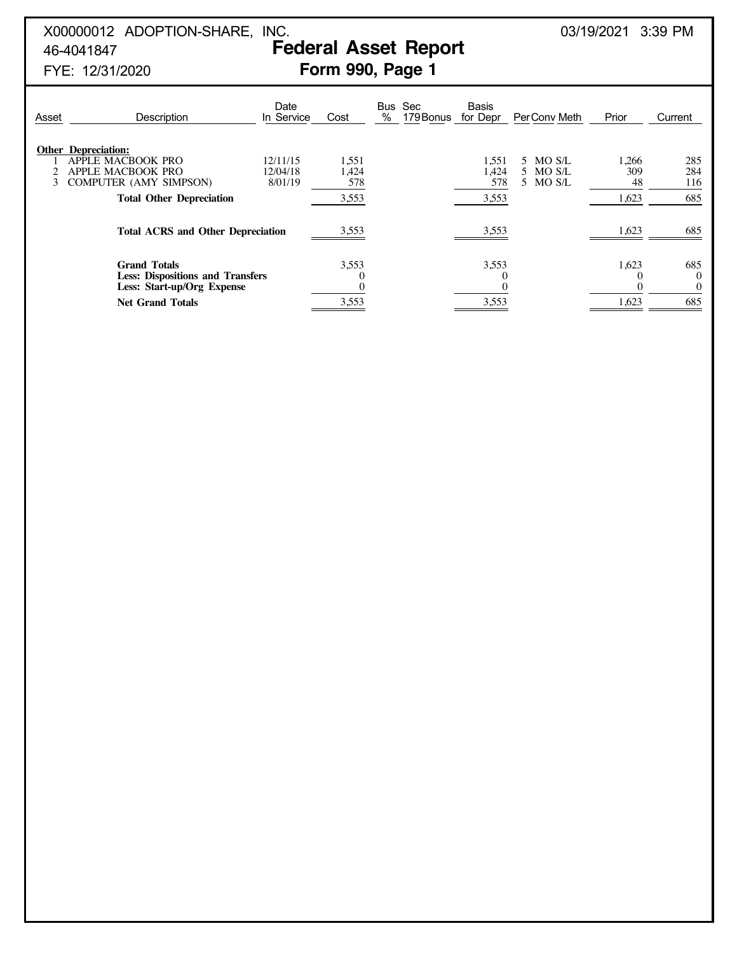# X00000012 ADOPTION-SHARE, INC. 200000012 ADOPTION-SHARE, INC.

# 46-4041847 **Federal Asset Report**

| Asset | Description                                                                                                                              | Date<br>In Service              | Cost                           | Bus<br>$\%$ | Sec<br>179 Bonus | Basis<br>for Depr              | Per Conv Meth                        | Prior                       | Current                     |
|-------|------------------------------------------------------------------------------------------------------------------------------------------|---------------------------------|--------------------------------|-------------|------------------|--------------------------------|--------------------------------------|-----------------------------|-----------------------------|
| 3     | <b>Other Depreciation:</b><br>APPLE MACBOOK PRO<br>APPLE MACBOOK PRO<br><b>COMPUTER (AMY SIMPSON)</b><br><b>Total Other Depreciation</b> | 12/11/15<br>12/04/18<br>8/01/19 | 1,551<br>1,424<br>578<br>3,553 |             |                  | 1,551<br>1.424<br>578<br>3,553 | MO S/L<br>5.<br>5 MO S/L<br>5 MO S/L | 1,266<br>309<br>48<br>1,623 | 285<br>284<br>116<br>685    |
|       | <b>Total ACRS and Other Depreciation</b>                                                                                                 |                                 | 3,553                          |             |                  | 3,553                          |                                      | 1,623                       | 685                         |
|       | <b>Grand Totals</b><br><b>Less: Dispositions and Transfers</b><br>Less: Start-up/Org Expense                                             |                                 | 3,553                          |             |                  | 3,553<br>$\theta$              |                                      | 1,623                       | 685<br>$\Omega$<br>$\bf{0}$ |
|       | <b>Net Grand Totals</b>                                                                                                                  |                                 | 3,553                          |             |                  | 3,553                          |                                      | 1,623                       | 685                         |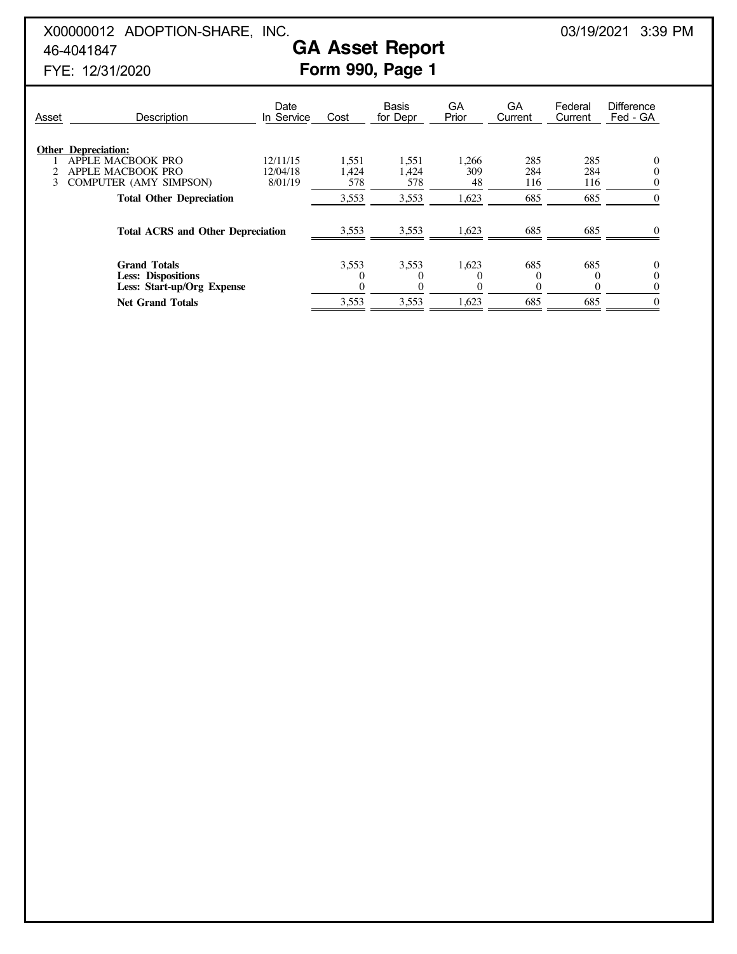## X00000012 ADOPTION-SHARE, INC. 200000012 ADOPTION-SHARE, INC. 46-4041847 **GA Asset Report**

| Asset | Description                                                                                    | Date<br>In Service              | Cost                  | <b>Basis</b><br>for Depr | GA<br>Prior        | GA<br>Current     | Federal<br>Current | <b>Difference</b><br>Fed - GA |
|-------|------------------------------------------------------------------------------------------------|---------------------------------|-----------------------|--------------------------|--------------------|-------------------|--------------------|-------------------------------|
| 3     | <b>Other Depreciation:</b><br>APPLE MACBOOK PRO<br>APPLE MACBOOK PRO<br>COMPUTER (AMY SIMPSON) | 12/11/15<br>12/04/18<br>8/01/19 | 1,551<br>1.424<br>578 | 1,551<br>1.424<br>578    | 1,266<br>309<br>48 | 285<br>284<br>116 | 285<br>284<br>116  |                               |
|       | <b>Total Other Depreciation</b>                                                                |                                 | 3,553                 | 3,553                    | 1,623              | 685               | 685                |                               |
|       | <b>Total ACRS and Other Depreciation</b>                                                       |                                 | 3,553                 | 3,553                    | 1,623              | 685               | 685                |                               |
|       | <b>Grand Totals</b><br><b>Less: Dispositions</b><br>Less: Start-up/Org Expense                 |                                 | 3,553                 | 3,553<br>$\cup$          | 1,623              | 685<br>$\Omega$   | 685                |                               |
|       | <b>Net Grand Totals</b>                                                                        |                                 | 3,553                 | 3,553                    | 1,623              | 685               | 685                |                               |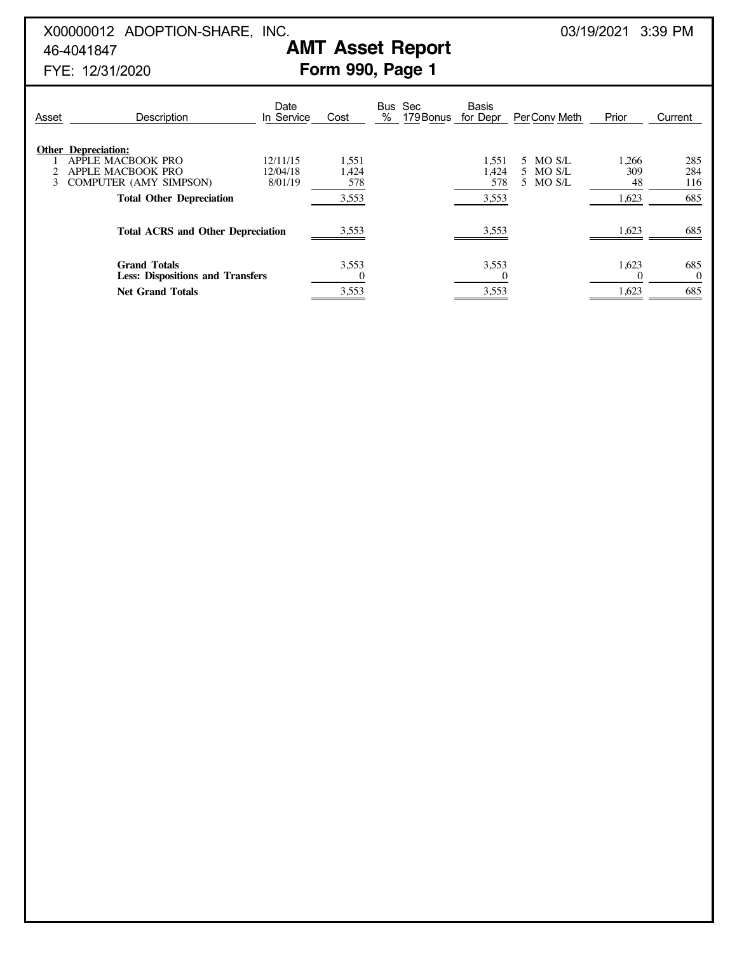## X00000012 ADOPTION-SHARE, INC. 200000012 ADOPTION-SHARE, INC. 46-4041847 **AMT Asset Report**

| Asset | Description                                                                                                                              | Date<br>In Service              | Cost                           | % | Bus Sec<br>179 Bonus | <b>Basis</b><br>for Depr       | PerConv Meth                     | Prior                       | Current                  |
|-------|------------------------------------------------------------------------------------------------------------------------------------------|---------------------------------|--------------------------------|---|----------------------|--------------------------------|----------------------------------|-----------------------------|--------------------------|
|       | <b>Other Depreciation:</b><br>APPLE MACBOOK PRO<br>APPLE MACBOOK PRO<br><b>COMPUTER (AMY SIMPSON)</b><br><b>Total Other Depreciation</b> | 12/11/15<br>12/04/18<br>8/01/19 | 1,551<br>1,424<br>578<br>3,553 |   |                      | 1,551<br>1,424<br>578<br>3,553 | 5 MO S/L<br>5 MO S/L<br>5 MO S/L | 1,266<br>309<br>48<br>1,623 | 285<br>284<br>116<br>685 |
|       | <b>Total ACRS and Other Depreciation</b>                                                                                                 |                                 | 3,553                          |   |                      | 3,553                          |                                  | 1,623                       | 685                      |
|       | <b>Grand Totals</b><br><b>Less: Dispositions and Transfers</b><br><b>Net Grand Totals</b>                                                |                                 | 3,553<br>3,553                 |   |                      | 3,553<br>3,553                 |                                  | 1,623<br>1,623              | 685<br>$\Omega$<br>685   |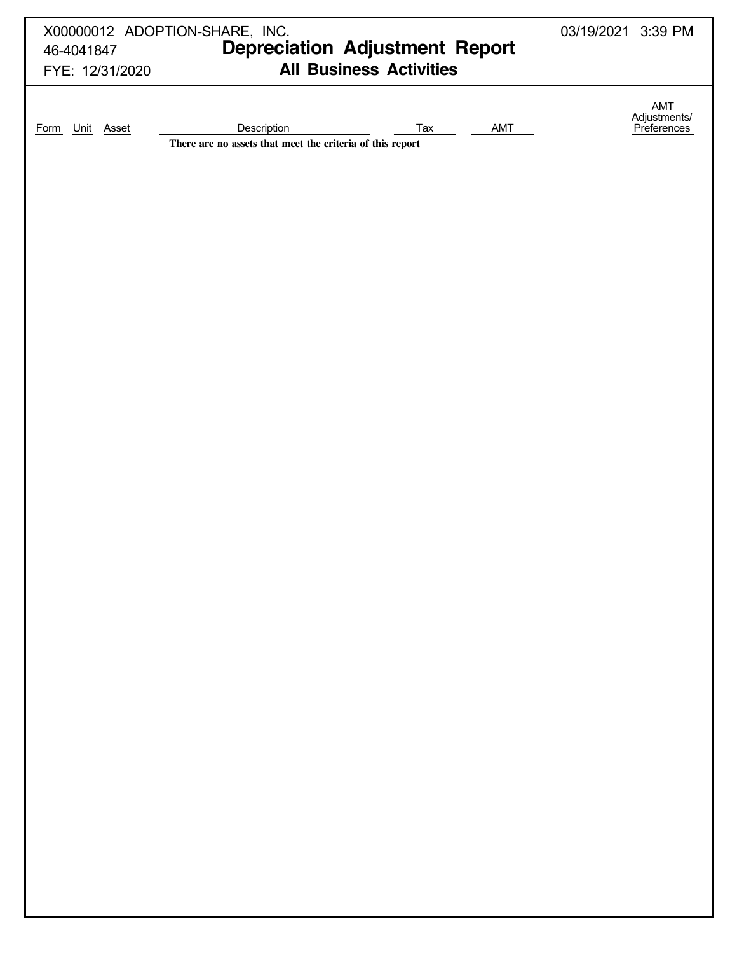| 46-4041847<br>FYE: 12/31/2020 | X00000012 ADOPTION-SHARE, INC.<br><b>Depreciation Adjustment Report</b><br><b>All Business Activities</b> | 03/19/2021 3:39 PM                 |
|-------------------------------|-----------------------------------------------------------------------------------------------------------|------------------------------------|
| Unit Asset<br><b>Form</b>     | Description<br>AMT<br>Tax<br>There are no assets that meet the criteria of this report                    | AMT<br>Adjustments/<br>Preferences |
|                               |                                                                                                           |                                    |
|                               |                                                                                                           |                                    |
|                               |                                                                                                           |                                    |
|                               |                                                                                                           |                                    |
|                               |                                                                                                           |                                    |
|                               |                                                                                                           |                                    |
|                               |                                                                                                           |                                    |
|                               |                                                                                                           |                                    |
|                               |                                                                                                           |                                    |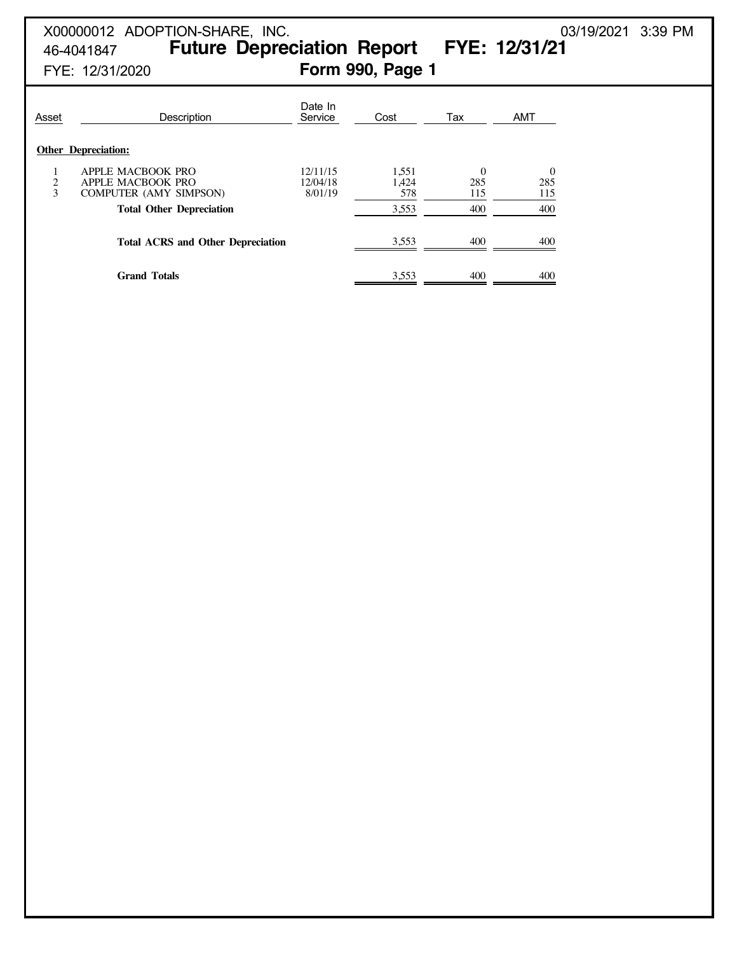# X00000012 ADOPTION-SHARE, INC. 200000012 ADOPTION-SHARE, INC. 46-4041847 **Future Depreciation Report FYE: 12/31/21** FYE: 12/31/2020 **Form 990, Page 1**

| Asset  | Description                                                             | Date In<br>Service              | Cost                  | Tax                    | <b>AMT</b>             |
|--------|-------------------------------------------------------------------------|---------------------------------|-----------------------|------------------------|------------------------|
|        | <b>Other Depreciation:</b>                                              |                                 |                       |                        |                        |
| 2<br>3 | APPLE MACBOOK PRO<br>APPLE MACBOOK PRO<br><b>COMPUTER (AMY SIMPSON)</b> | 12/11/15<br>12/04/18<br>8/01/19 | 1,551<br>1,424<br>578 | $\Omega$<br>285<br>115 | $\Omega$<br>285<br>115 |
|        | <b>Total Other Depreciation</b>                                         |                                 | 3,553                 | 400                    | 400                    |
|        | <b>Total ACRS and Other Depreciation</b>                                |                                 | 3.553                 | 400                    | 400                    |
|        | <b>Grand Totals</b>                                                     |                                 | 3.553                 | 400                    | 400                    |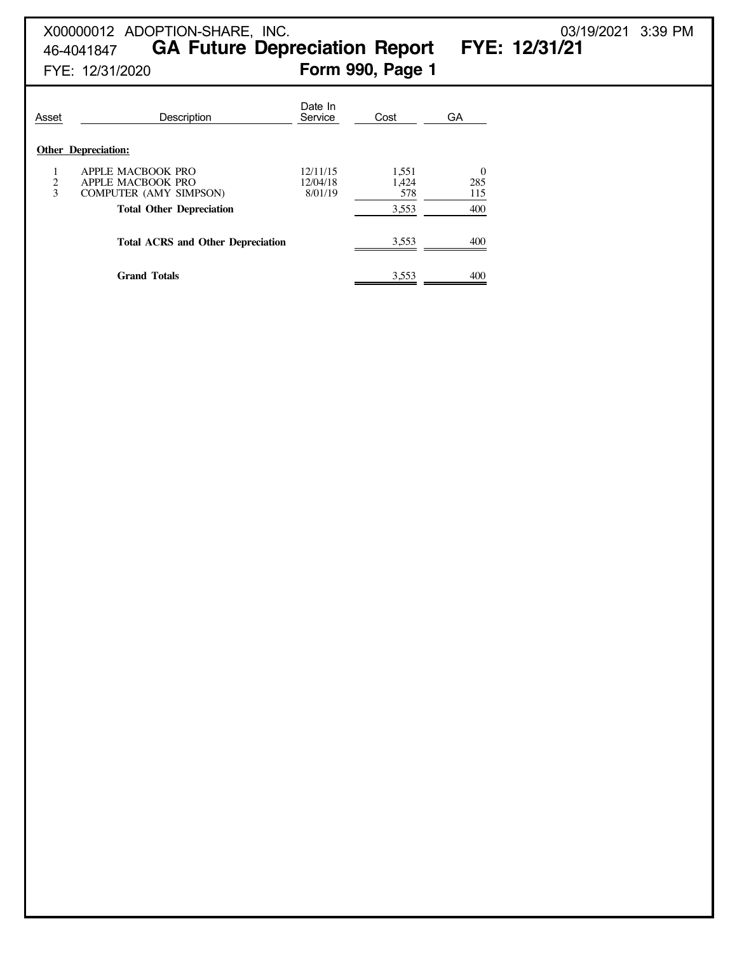# X00000012 ADOPTION-SHARE, INC. 03/19/2021 3:39 PM

46-4041847 **GA Future Depreciation Report FYE: 12/31/21**

| Asset       | Description                                                                                                | Date In<br>Service              | Cost                           | <b>GA</b>                     |
|-------------|------------------------------------------------------------------------------------------------------------|---------------------------------|--------------------------------|-------------------------------|
|             | <b>Other Depreciation:</b>                                                                                 |                                 |                                |                               |
| 1<br>2<br>3 | APPLE MACBOOK PRO<br>APPLE MACBOOK PRO<br><b>COMPUTER (AMY SIMPSON)</b><br><b>Total Other Depreciation</b> | 12/11/15<br>12/04/18<br>8/01/19 | 1,551<br>1.424<br>578<br>3,553 | $\Omega$<br>285<br>115<br>400 |
|             | <b>Total ACRS and Other Depreciation</b>                                                                   |                                 | 3,553                          | 400                           |
|             | <b>Grand Totals</b>                                                                                        |                                 | 3.553                          | 400                           |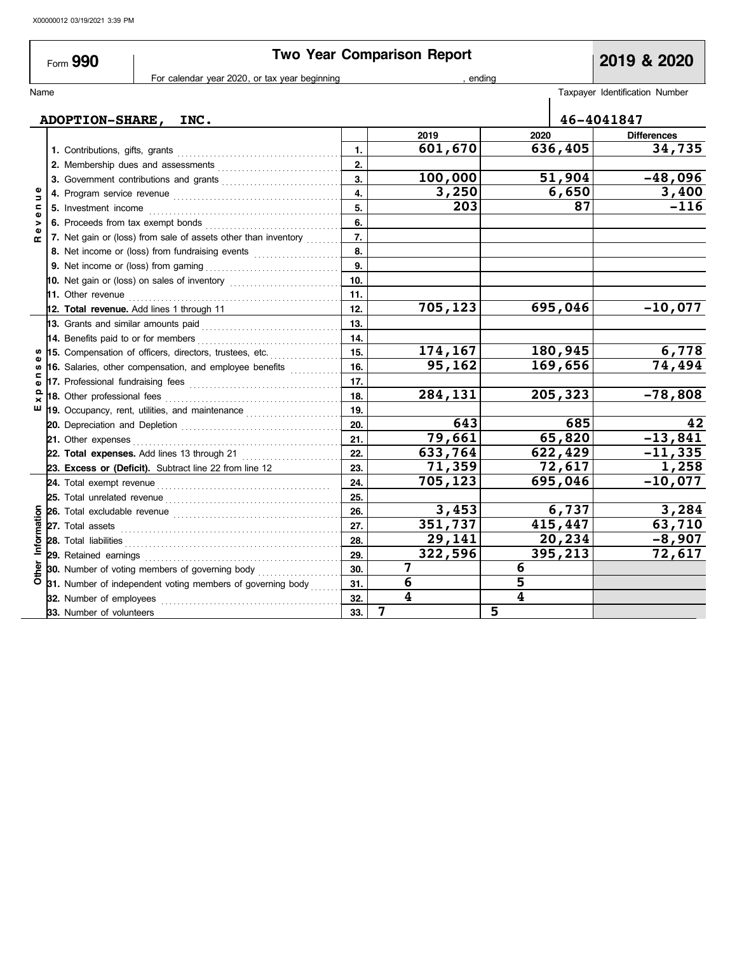$\overline{\phantom{a}}$ 

|                   | Form 990                            |                                                                                                                                                                                                                                     |     | <b>Two Year Comparison Report</b> |                         | 2019 & 2020                    |
|-------------------|-------------------------------------|-------------------------------------------------------------------------------------------------------------------------------------------------------------------------------------------------------------------------------------|-----|-----------------------------------|-------------------------|--------------------------------|
|                   |                                     | For calendar year 2020, or tax year beginning                                                                                                                                                                                       |     |                                   | ending                  |                                |
| Name              |                                     |                                                                                                                                                                                                                                     |     |                                   |                         | Taxpayer Identification Number |
|                   |                                     | ADOPTION-SHARE, INC.                                                                                                                                                                                                                |     |                                   |                         | 46-4041847                     |
|                   |                                     |                                                                                                                                                                                                                                     |     | 2019                              | 2020                    | <b>Differences</b>             |
|                   |                                     |                                                                                                                                                                                                                                     | 1.  | 601,670                           | 636,405                 | 34,735                         |
|                   |                                     |                                                                                                                                                                                                                                     | 2.  |                                   |                         |                                |
|                   |                                     |                                                                                                                                                                                                                                     | 3.  | 100,000                           | 51,904                  | $-48,096$                      |
| Ξ                 |                                     |                                                                                                                                                                                                                                     | 4.  | 3,250                             | 6,650                   | 3,400                          |
| Ξ                 |                                     |                                                                                                                                                                                                                                     | 5.  | 203                               | 87                      | $-116$                         |
| $\mathbf{v}$<br>> |                                     | 6. Proceeds from tax exempt bonds                                                                                                                                                                                                   | 6.  |                                   |                         |                                |
| ω<br>œ            |                                     | 7. Net gain or (loss) from sale of assets other than inventory                                                                                                                                                                      | 7.  |                                   |                         |                                |
|                   |                                     | 8. Net income or (loss) from fundraising events                                                                                                                                                                                     | 8.  |                                   |                         |                                |
|                   |                                     | 9. Net income or (loss) from gaming <i>manual</i> successive and set on the set of the set of the set of the set of the set of the set of the set of the set of the set of the set of the set of the set of the set of the set of t | 9.  |                                   |                         |                                |
|                   |                                     | 10. Net gain or (loss) on sales of inventory [10. 100]                                                                                                                                                                              | 10. |                                   |                         |                                |
|                   |                                     |                                                                                                                                                                                                                                     | 11. |                                   |                         |                                |
|                   |                                     | 12. Total revenue. Add lines 1 through 11                                                                                                                                                                                           | 12. | 705,123                           | $\overline{695}$ , 046  | $-10,077$                      |
|                   |                                     | 13. Grants and similar amounts paid                                                                                                                                                                                                 | 13. |                                   |                         |                                |
|                   | 14. Benefits paid to or for members |                                                                                                                                                                                                                                     | 14. |                                   |                         |                                |
|                   |                                     | 15. Compensation of officers, directors, trustees, etc.                                                                                                                                                                             | 15. | 174,167                           | 180,945                 | 6,778                          |
|                   |                                     | 16. Salaries, other compensation, and employee benefits                                                                                                                                                                             | 16. | 95,162                            | 169,656                 | 74,494                         |
| c<br>ω            |                                     | 17. Professional fundraising fees <b>constructs</b> and a series of the series and a series of the series of the series and a series of the series of the series of the series of the series of the series of the series of the ser | 17. |                                   |                         |                                |
| $\Omega$          |                                     | 18. Other professional fees <b>constants</b> and the professional fees <b>constants</b> and the professional fees <b>constants</b>                                                                                                  | 18. | 284,131                           | 205,323                 | $-78,808$                      |
| ш                 |                                     |                                                                                                                                                                                                                                     | 19. |                                   |                         |                                |
|                   |                                     |                                                                                                                                                                                                                                     | 20. | 643                               | 685                     | 42                             |
|                   | 21. Other expenses                  |                                                                                                                                                                                                                                     | 21. | 79,661                            | 65,820                  | $-13,841$                      |
|                   |                                     | 22. Total expenses. Add lines 13 through 21                                                                                                                                                                                         | 22. | 633,764                           | 622,429                 | $-11,335$                      |
|                   |                                     | 23. Excess or (Deficit). Subtract line 22 from line 12                                                                                                                                                                              | 23. | 71,359                            | 72,617                  | 1,258                          |
|                   |                                     |                                                                                                                                                                                                                                     | 24. | 705,123                           | 695,046                 | $-10,077$                      |
|                   |                                     | 25. Total unrelated revenue <i>communically</i> contained a set of the set of the set of the set of the set of the set of the set of the set of the set of the set of the set of the set of the set of the set of the set of the se | 25. |                                   |                         |                                |
|                   |                                     | 26. Total excludable revenue <i>construction</i> construction of the set of the set of the set of the set of the set of the set of the set of the set of the set of the set of the set of the set of the set of the set of the set  | 26. | 3,453                             | 6,737                   | 3,284                          |
|                   |                                     |                                                                                                                                                                                                                                     | 27. | 351,737                           | 415,447                 | 63,710                         |
| Information       | 28. Total liabilities               |                                                                                                                                                                                                                                     | 28. | 29,141                            | 20,234                  | $-8,907$                       |
|                   | 29. Retained earnings               |                                                                                                                                                                                                                                     | 29. | 322,596                           | 395,213                 | 72,617                         |
| Other             |                                     | 30. Number of voting members of governing body                                                                                                                                                                                      | 30. | 7                                 | 6                       |                                |
|                   |                                     | 31. Number of independent voting members of governing body                                                                                                                                                                          | 31. | 6                                 | 5                       |                                |
|                   | 32. Number of employees             |                                                                                                                                                                                                                                     | 32. | $\overline{\mathbf{4}}$           | $\overline{\mathbf{4}}$ |                                |
|                   | 33. Number of volunteers            |                                                                                                                                                                                                                                     | 33. | $\overline{7}$                    | 5                       |                                |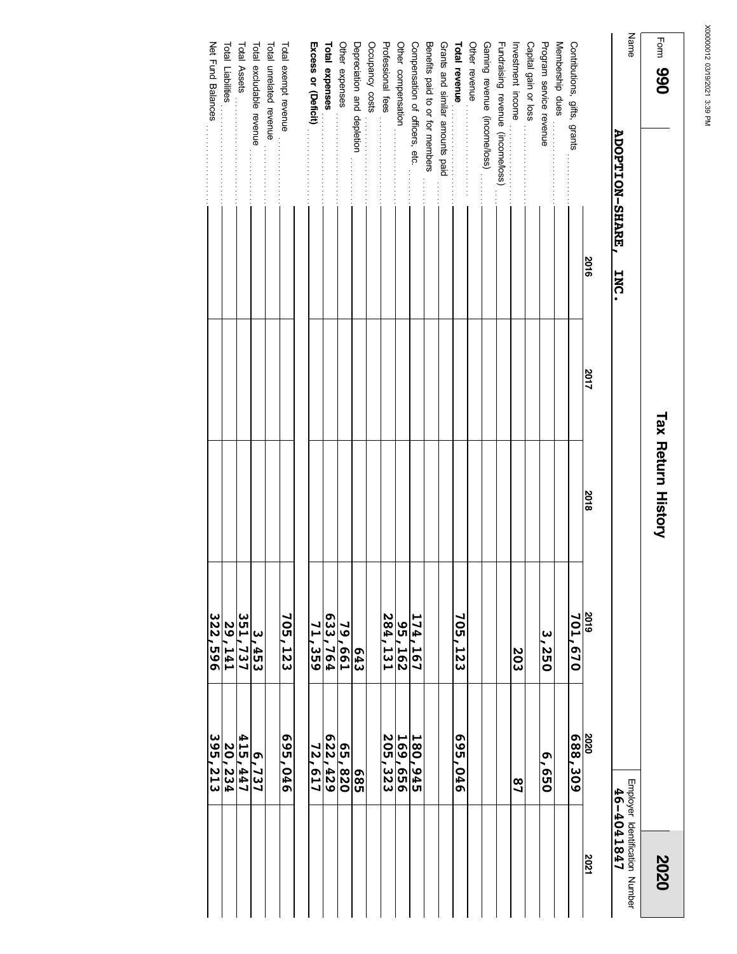| $1$ comp <b>390</b>          |                             |      | <b>Tax Return History</b> |                        |         | 2020                                         |
|------------------------------|-----------------------------|------|---------------------------|------------------------|---------|----------------------------------------------|
| Name                         | <b>ADOPTION-SHARE, INC.</b> |      |                           |                        |         | Employer Identification Number<br>46-4041847 |
|                              | <b>2016</b>                 | 2017 | <b>2018</b>               |                        | 2020    | 2021                                         |
| Contributions, gifts, grants |                             |      |                           | $\frac{2019}{701,670}$ | 602.309 |                                              |
| Membership dues              |                             |      |                           |                        |         |                                              |
| Program service revenue      |                             |      |                           | 3,250                  | 059'9   |                                              |

|                                   | 2016 | 2017 | 2018 | 2019           | 2020            | 2021 |
|-----------------------------------|------|------|------|----------------|-----------------|------|
| Contributions, gifts, grants      |      |      |      | 701,670        | 688,309         |      |
| Membership dues                   |      |      |      |                |                 |      |
| Program service revenue           |      |      |      | 3,250          | Ō<br><b>OSO</b> |      |
| Capital gain or loss              |      |      |      |                |                 |      |
| Investment income                 |      |      |      | 203            | $\frac{8}{1}$   |      |
| Fundraising revenue (income/loss) |      |      |      |                |                 |      |
| Gaming revenue (income/loss)      |      |      |      |                |                 |      |
| Other revenue                     |      |      |      |                |                 |      |
| <b>Total revenue</b>              |      |      |      | 705,123        | <b>695,046</b>  |      |
| Grants and similar amounts paid   |      |      |      |                |                 |      |
| Benefits paid to or for members   |      |      |      |                |                 |      |
| Compensation of officers, etc.    |      |      |      | 174,167        | 180,945         |      |
| Other compensation                |      |      |      | 291'56         | 169,656         |      |
| Professional fees                 |      |      |      | 284,131        | 205,323         |      |
| Occupancy costs                   |      |      |      |                |                 |      |
| Depreciation and depletion        |      |      |      | <b>643</b>     | 98<br>95        |      |
| Other expenses                    |      |      |      | 79,661         | 65,820          |      |
| Total expenses                    |      |      |      | <b>633,764</b> | 622,429         |      |
| Excess or (Deficit)               |      |      |      | 71,359         | 72,617          |      |
| Total exempt revenue              |      |      |      | 705,123        | 950'569         |      |
| Total unrelated revenue           |      |      |      |                |                 |      |
| Total excludable revenue          |      |      |      | س<br>-453      | 6,737           |      |
| Total Assets                      |      |      |      | 351,737        | 415,447         |      |

Net Fund Balances

Total Liabilities

. . . . . . . . . . . . . . . . . . . .

. . . . . . . . . . . . . . . . . . . . . . . . .

Total Liabilities<br>Total Liabilities Net Trud Barances

**29,141 322,596**

**20,234 395,213**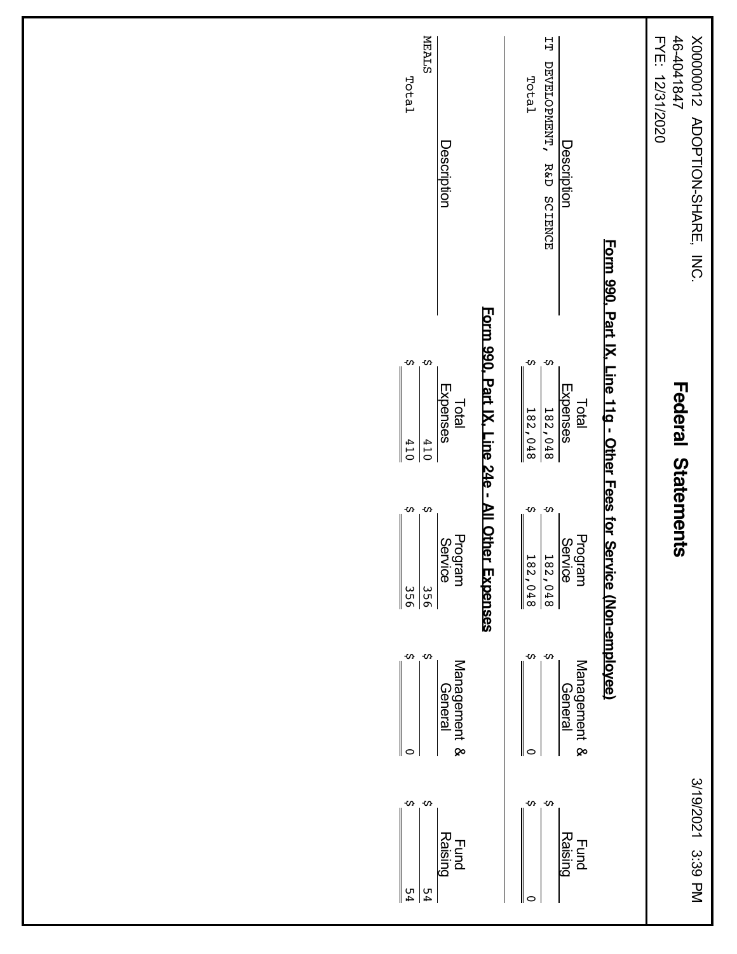| <b>MEALS</b><br>Total<br>Description                                                                                                        | $\overline{L}$<br>DEVELOPMENT,<br>Total<br><b>Description</b><br>R&D SCIENCE                                                                                           | 46-4041847<br>FYE: 12/31/2020<br>Z100000X<br><b>ADOPTION-SHARE,</b><br>INC. |
|---------------------------------------------------------------------------------------------------------------------------------------------|------------------------------------------------------------------------------------------------------------------------------------------------------------------------|-----------------------------------------------------------------------------|
| Form 990, Part IX, Line 24e -<br>$\mathbf{v}$<br>Ş<br>Expenses<br>Total<br>410<br>410                                                       | $\mathbf{v}$<br>$\mathbf{v}$<br>Expenses<br>Total<br>$\frac{182,048}{2}$<br>$\frac{182,048}{$                                                                          | <b>Federal Statements</b>                                                   |
| <b>All Other Expenses</b><br>$\mathbf{v}$<br>S<br>Program<br>Service<br>$\frac{356}{56}$<br>$rac{556}{ }$<br>$\pmb{\omega}$<br>$\mathbf{v}$ | Form 990, Part IX, Line 11g - Other Fees for Service (Non-employee)<br>w.<br>S<br>Program<br>Service<br>$\frac{182,048}{$<br>$\frac{182,048}{18}$<br>$\mathbf{v}$<br>Ş |                                                                             |
| Management &<br>Ceneral<br>Ceneral<br>∥⇔                                                                                                    | Management &<br>General<br>Oeneral<br>$\circ$                                                                                                                          |                                                                             |
| $\mathbf{v}$<br>$\infty$<br>Fund<br>Raising<br>54<br>54                                                                                     | $\alpha$ o<br><b>Raising</b><br><b>Fund</b><br>$\circ$                                                                                                                 | 3/19/2021<br>3:39 PM                                                        |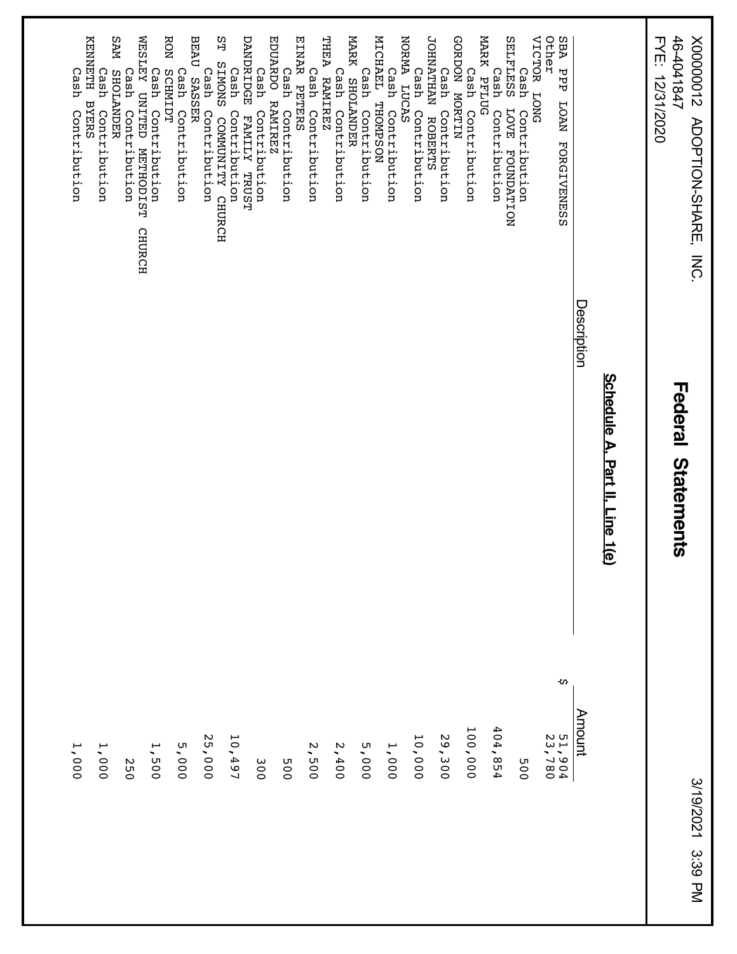X00000012 ADOPTION-SHARE, INC.<br>46-4041847<br>FYE: 12/31/2020 46-4041847 X00000012 ADOPTION-SHARE, INC.

FYE: 12/31/2020

Federal Statements **Federal Statements**

| <b>JOHNATHAN</b><br><b>ROBERTS</b>                       |        |  |
|----------------------------------------------------------|--------|--|
| NORMA LUCAS<br>Cash<br>Contribution                      | 10,000 |  |
| Cash                                                     |        |  |
| MICHAEL<br>Contribution<br>THOMPSON                      | 1,000  |  |
| Cash<br>Contribution                                     | 5,000  |  |
| MARK SHOLANDER                                           |        |  |
| Cash Contribution                                        | 2,400  |  |
| THEA<br>Cash<br><b>RAMIREZ</b><br>Contribution           | 2,500  |  |
| EINAR PETERS                                             |        |  |
| Cash<br>Contribution                                     | 005    |  |
| <b>EDUARDO</b><br><b>RAMIREZ</b>                         |        |  |
| Cash<br>Contribution                                     | 300    |  |
| DANDRIDGE<br>FAMILY TRUST                                |        |  |
| SТ<br>SNONIS<br>Cash<br>Contribution<br>COMMUNITY CHURCH | 10,497 |  |
| Cash<br>Contribution                                     | 25,000 |  |
| <b>BEAU</b><br><b>SASSER</b>                             |        |  |
| Cash<br>Contribution                                     | 5,000  |  |
| <b>RON</b><br><b>SCHMIDT</b><br>Cash Contribution        | 1,500  |  |
| WESLEY UNITED METHODIST<br><b>CHURCH</b>                 |        |  |
| Cash<br>Contribution                                     | 250    |  |
| MAS<br><b>SHOLANDER</b>                                  |        |  |
| Cash<br>Contribution                                     | 1,000  |  |
| KRNARTH<br><b>BYERS</b>                                  |        |  |
| Cash<br>Contribution                                     | 1,000  |  |